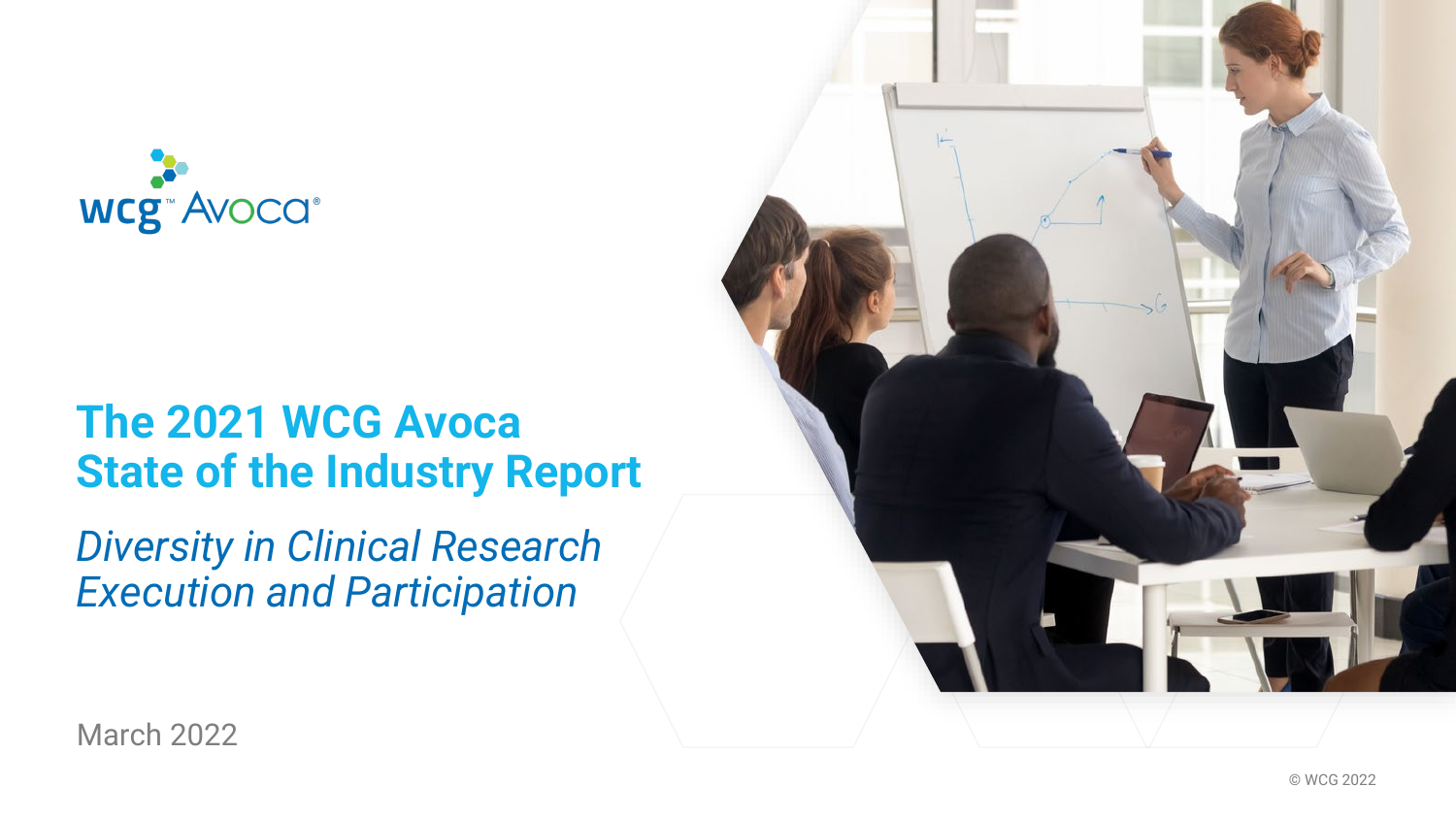

# **The 2021 WCG Avoca State of the Industry Report**

*Diversity in Clinical Research Execution and Participation*



March 2022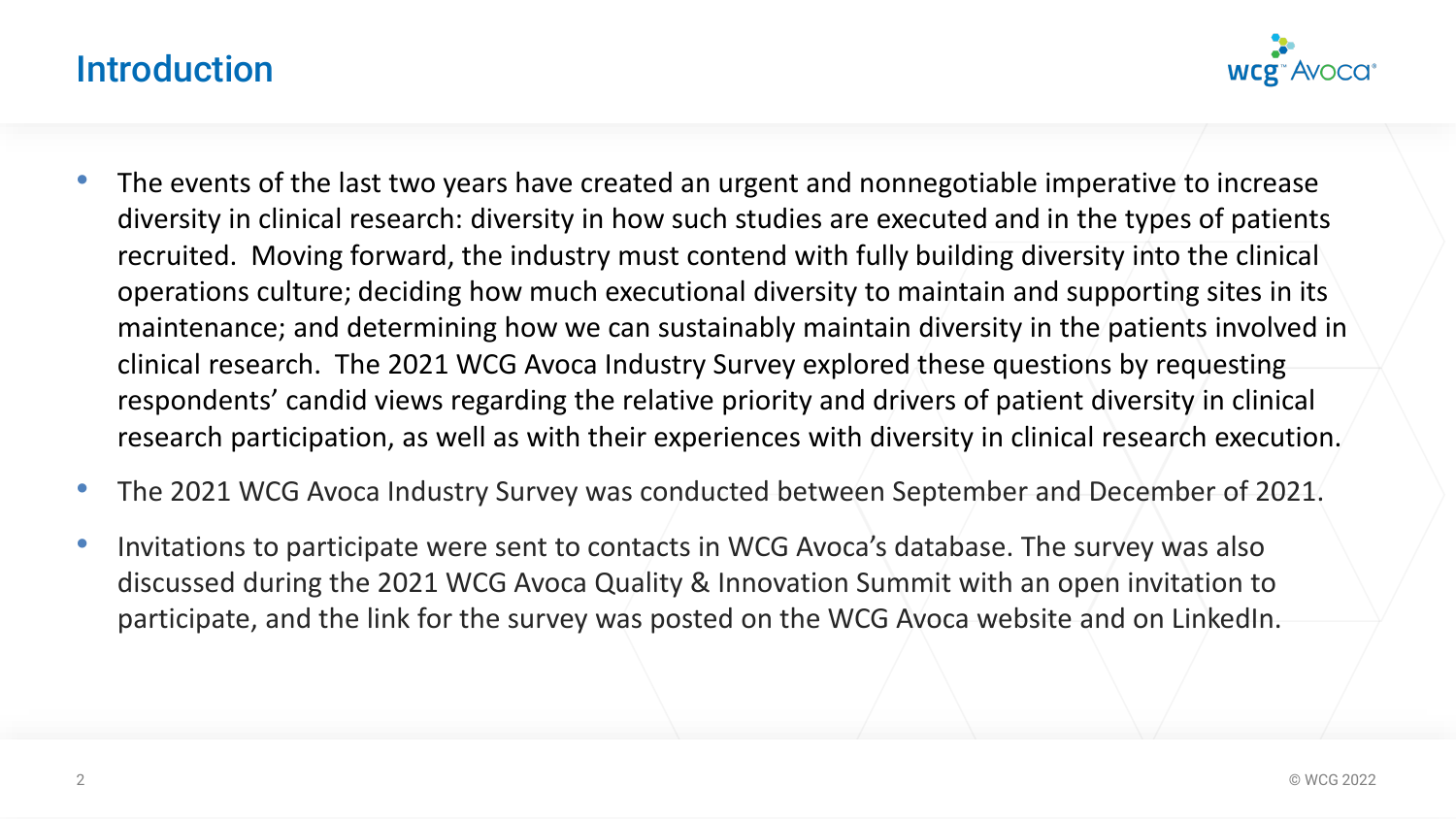## Introduction



- The events of the last two years have created an urgent and nonnegotiable imperative to increase diversity in clinical research: diversity in how such studies are executed and in the types of patients recruited. Moving forward, the industry must contend with fully building diversity into the clinical operations culture; deciding how much executional diversity to maintain and supporting sites in its maintenance; and determining how we can sustainably maintain diversity in the patients involved in clinical research. The 2021 WCG Avoca Industry Survey explored these questions by requesting respondents' candid views regarding the relative priority and drivers of patient diversity in clinical research participation, as well as with their experiences with diversity in clinical research execution.
- The 2021 WCG Avoca Industry Survey was conducted between September and December of 2021.
- Invitations to participate were sent to contacts in WCG Avoca's database. The survey was also discussed during the 2021 WCG Avoca Quality & Innovation Summit with an open invitation to participate, and the link for the survey was posted on the WCG Avoca website and on LinkedIn.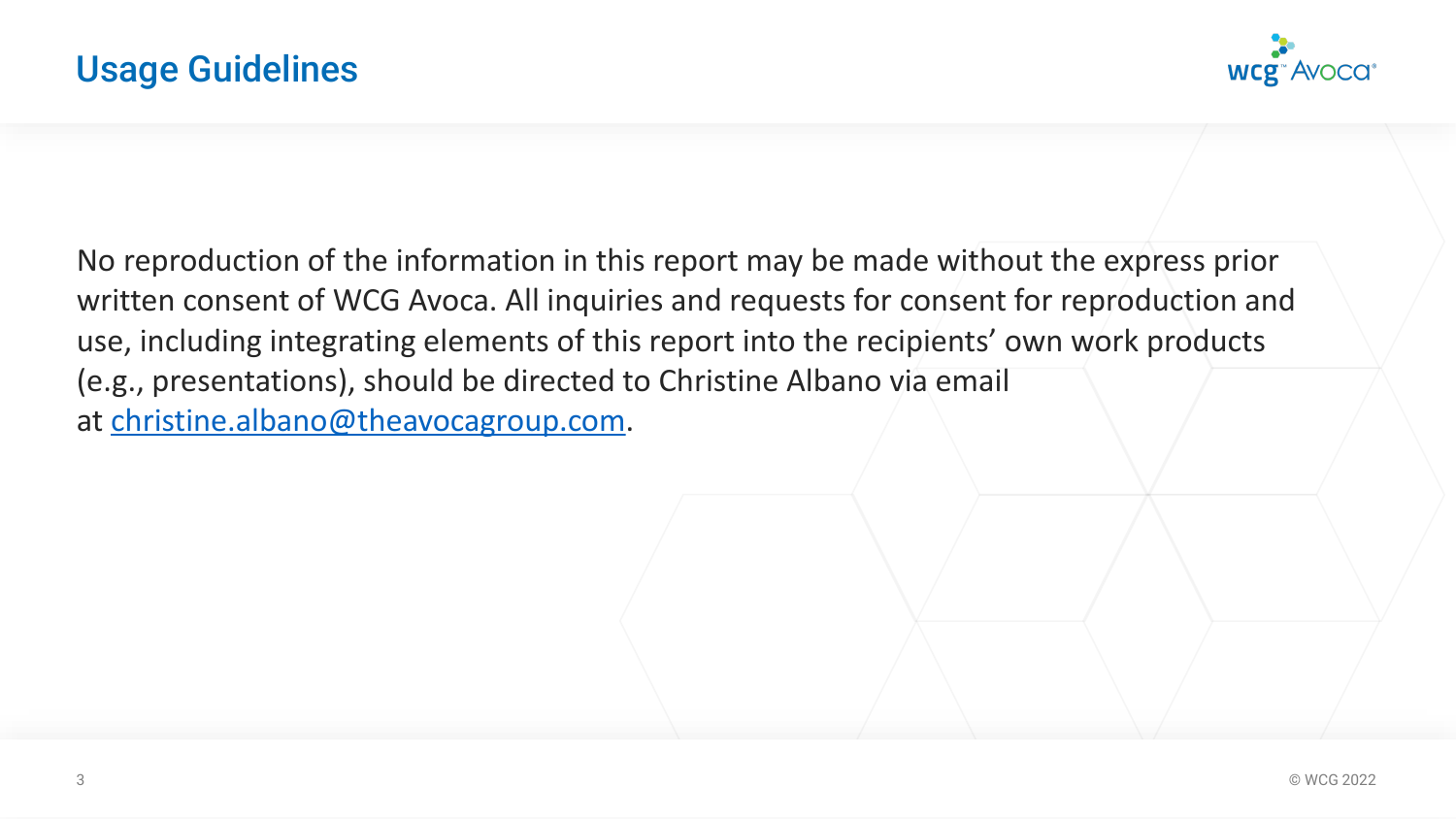

No reproduction of the information in this report may be made without the express prior written consent of WCG Avoca. All inquiries and requests for consent for reproduction and use, including integrating elements of this report into the recipients' own work products (e.g., presentations), should be directed to Christine Albano via email at [christine.albano@theavocagroup.com.](mailto:christine.albano@theavocagroup.com)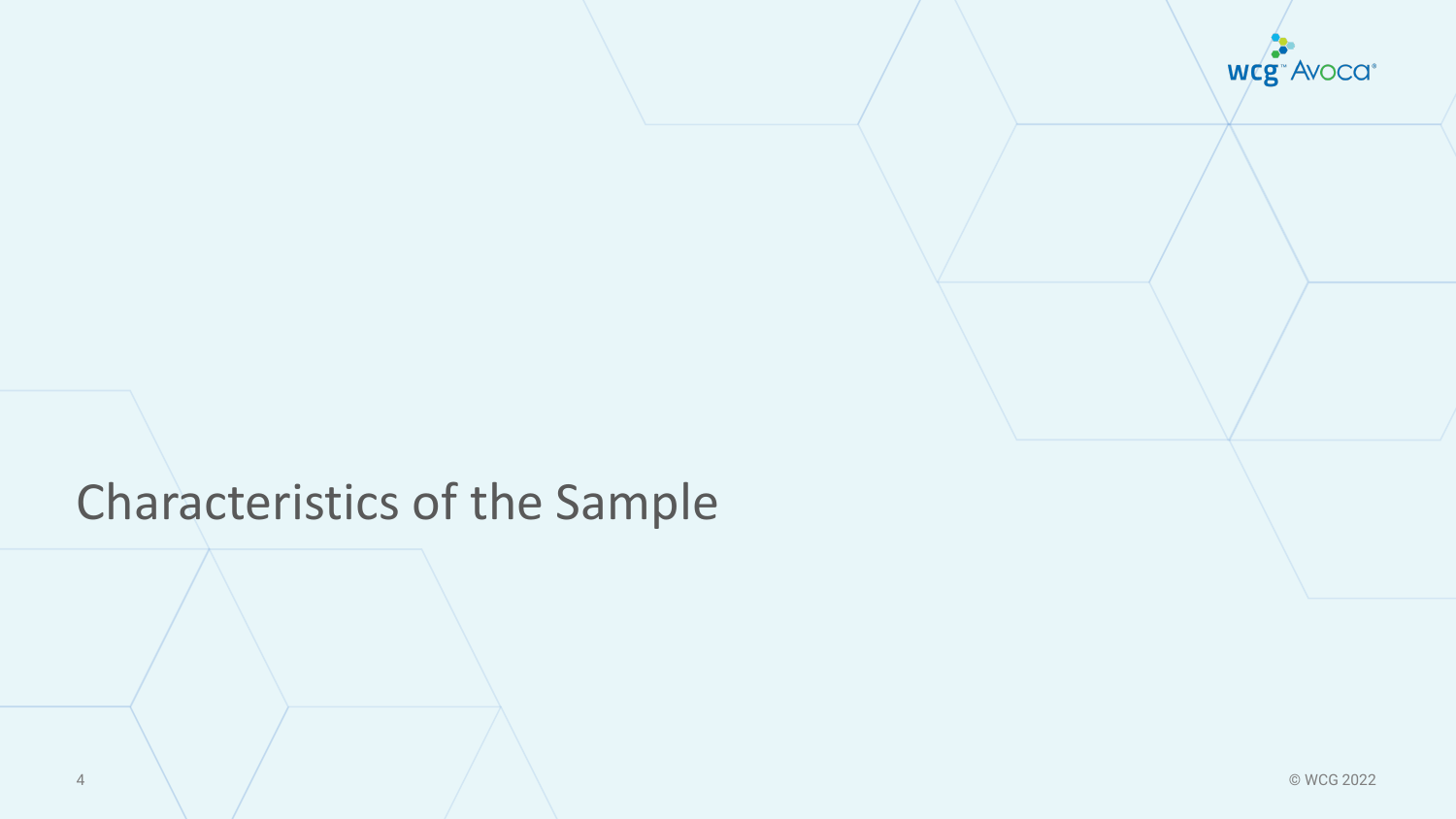wcg<sup>-</sup>Avoca<sup>®</sup>

# Characteristics of the Sample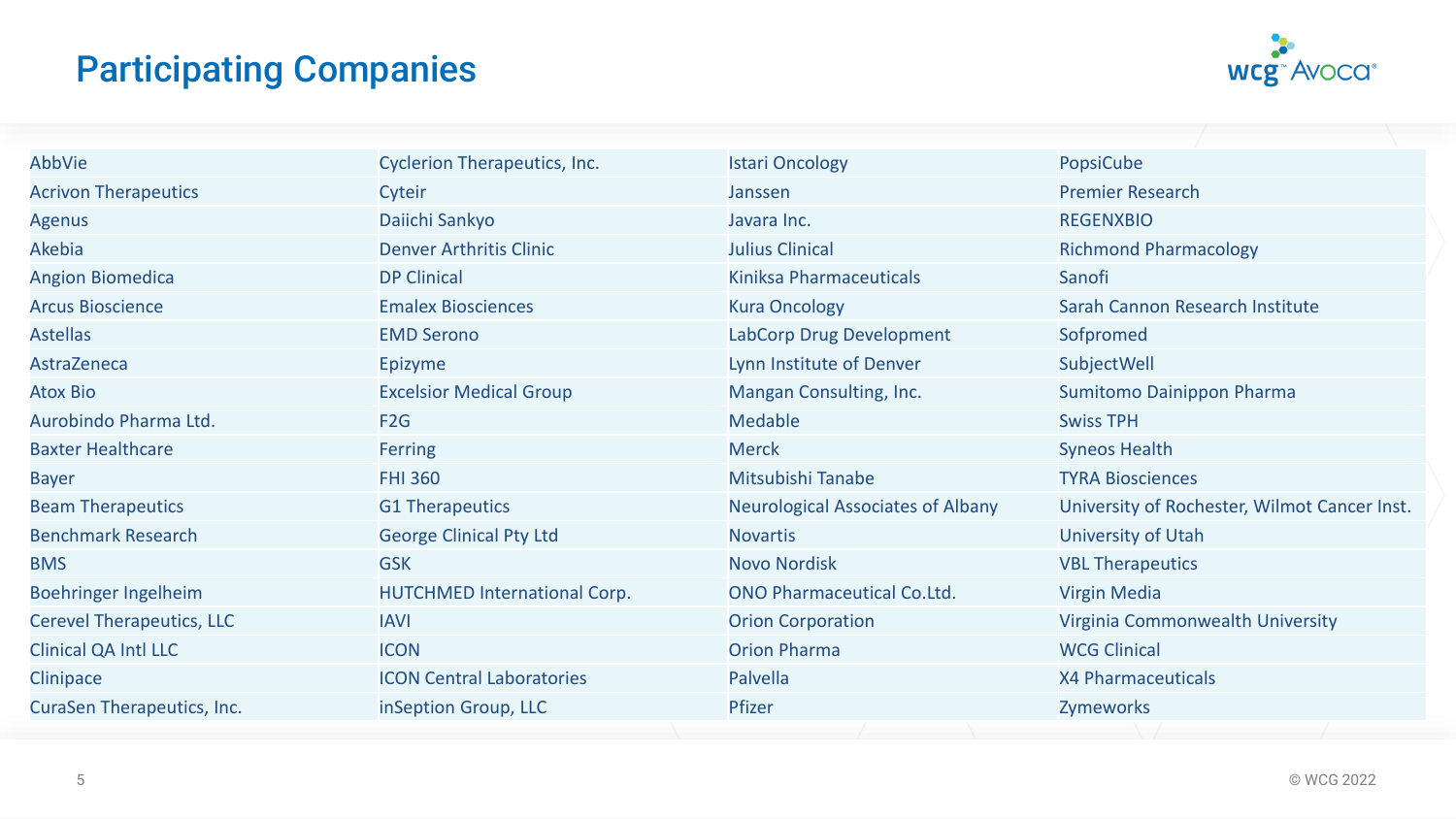# Participating Companies



| AbbVie                            | <b>Cyclerion Therapeutics, Inc.</b> | <b>Istari Oncology</b>                   | PopsiCube                                    |
|-----------------------------------|-------------------------------------|------------------------------------------|----------------------------------------------|
| <b>Acrivon Therapeutics</b>       | Cyteir                              | Janssen                                  | <b>Premier Research</b>                      |
| <b>Agenus</b>                     | Daiichi Sankyo                      | Javara Inc.                              | <b>REGENXBIO</b>                             |
| Akebia                            | <b>Denver Arthritis Clinic</b>      | <b>Julius Clinical</b>                   | <b>Richmond Pharmacology</b>                 |
| <b>Angion Biomedica</b>           | <b>DP Clinical</b>                  | Kiniksa Pharmaceuticals                  | Sanofi                                       |
| <b>Arcus Bioscience</b>           | <b>Emalex Biosciences</b>           | <b>Kura Oncology</b>                     | Sarah Cannon Research Institute              |
| <b>Astellas</b>                   | <b>EMD Serono</b>                   | LabCorp Drug Development                 | Sofpromed                                    |
| AstraZeneca                       | Epizyme                             | Lynn Institute of Denver                 | SubjectWell                                  |
| <b>Atox Bio</b>                   | <b>Excelsior Medical Group</b>      | Mangan Consulting, Inc.                  | Sumitomo Dainippon Pharma                    |
| Aurobindo Pharma Ltd.             | F2G                                 | <b>Medable</b>                           | <b>Swiss TPH</b>                             |
| <b>Baxter Healthcare</b>          | Ferring                             | <b>Merck</b>                             | <b>Syneos Health</b>                         |
| <b>Bayer</b>                      | <b>FHI 360</b>                      | Mitsubishi Tanabe                        | <b>TYRA Biosciences</b>                      |
| <b>Beam Therapeutics</b>          | <b>G1 Therapeutics</b>              | <b>Neurological Associates of Albany</b> | University of Rochester, Wilmot Cancer Inst. |
| <b>Benchmark Research</b>         | <b>George Clinical Pty Ltd</b>      | <b>Novartis</b>                          | University of Utah                           |
| <b>BMS</b>                        | <b>GSK</b>                          | <b>Novo Nordisk</b>                      | <b>VBL Therapeutics</b>                      |
| Boehringer Ingelheim              | <b>HUTCHMED International Corp.</b> | <b>ONO Pharmaceutical Co.Ltd.</b>        | <b>Virgin Media</b>                          |
| <b>Cerevel Therapeutics, LLC</b>  | <b>IAVI</b>                         | <b>Orion Corporation</b>                 | Virginia Commonwealth University             |
| <b>Clinical QA Intl LLC</b>       | <b>ICON</b>                         | <b>Orion Pharma</b>                      | <b>WCG Clinical</b>                          |
| Clinipace                         | <b>ICON Central Laboratories</b>    | Palvella                                 | X4 Pharmaceuticals                           |
| <b>CuraSen Therapeutics, Inc.</b> | inSeption Group, LLC                | Pfizer                                   | Zymeworks                                    |
|                                   |                                     |                                          |                                              |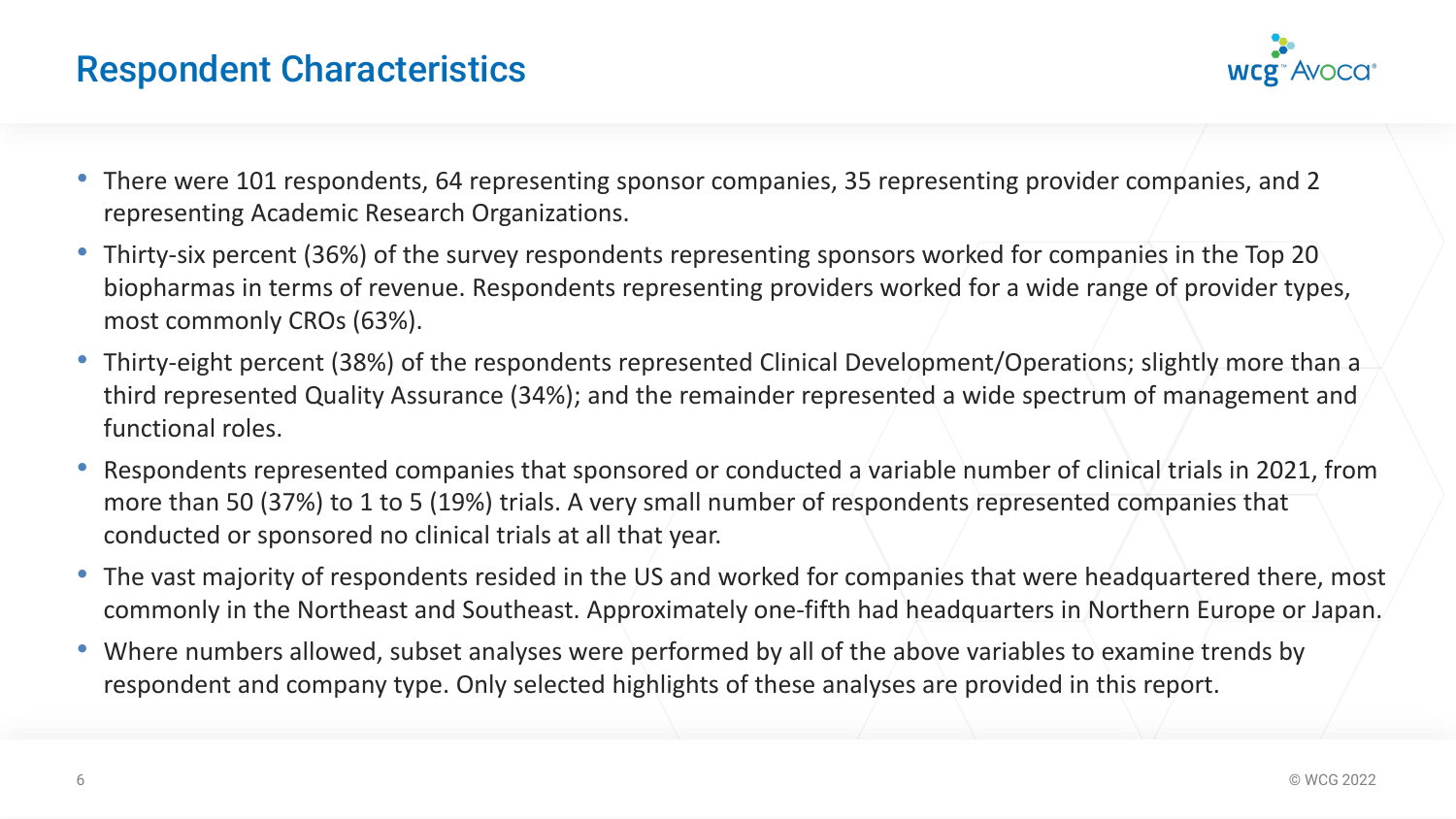

- There were 101 respondents, 64 representing sponsor companies, 35 representing provider companies, and 2 representing Academic Research Organizations.
- Thirty-six percent (36%) of the survey respondents representing sponsors worked for companies in the Top 20 biopharmas in terms of revenue. Respondents representing providers worked for a wide range of provider types, most commonly CROs (63%).
- Thirty-eight percent (38%) of the respondents represented Clinical Development/Operations; slightly more than a third represented Quality Assurance (34%); and the remainder represented a wide spectrum of management and functional roles.
- Respondents represented companies that sponsored or conducted a variable number of clinical trials in 2021, from more than 50 (37%) to 1 to 5 (19%) trials. A very small number of respondents represented companies that conducted or sponsored no clinical trials at all that year.
- The vast majority of respondents resided in the US and worked for companies that were headquartered there, most commonly in the Northeast and Southeast. Approximately one-fifth had headquarters in Northern Europe or Japan.
- Where numbers allowed, subset analyses were performed by all of the above variables to examine trends by respondent and company type. Only selected highlights of these analyses are provided in this report.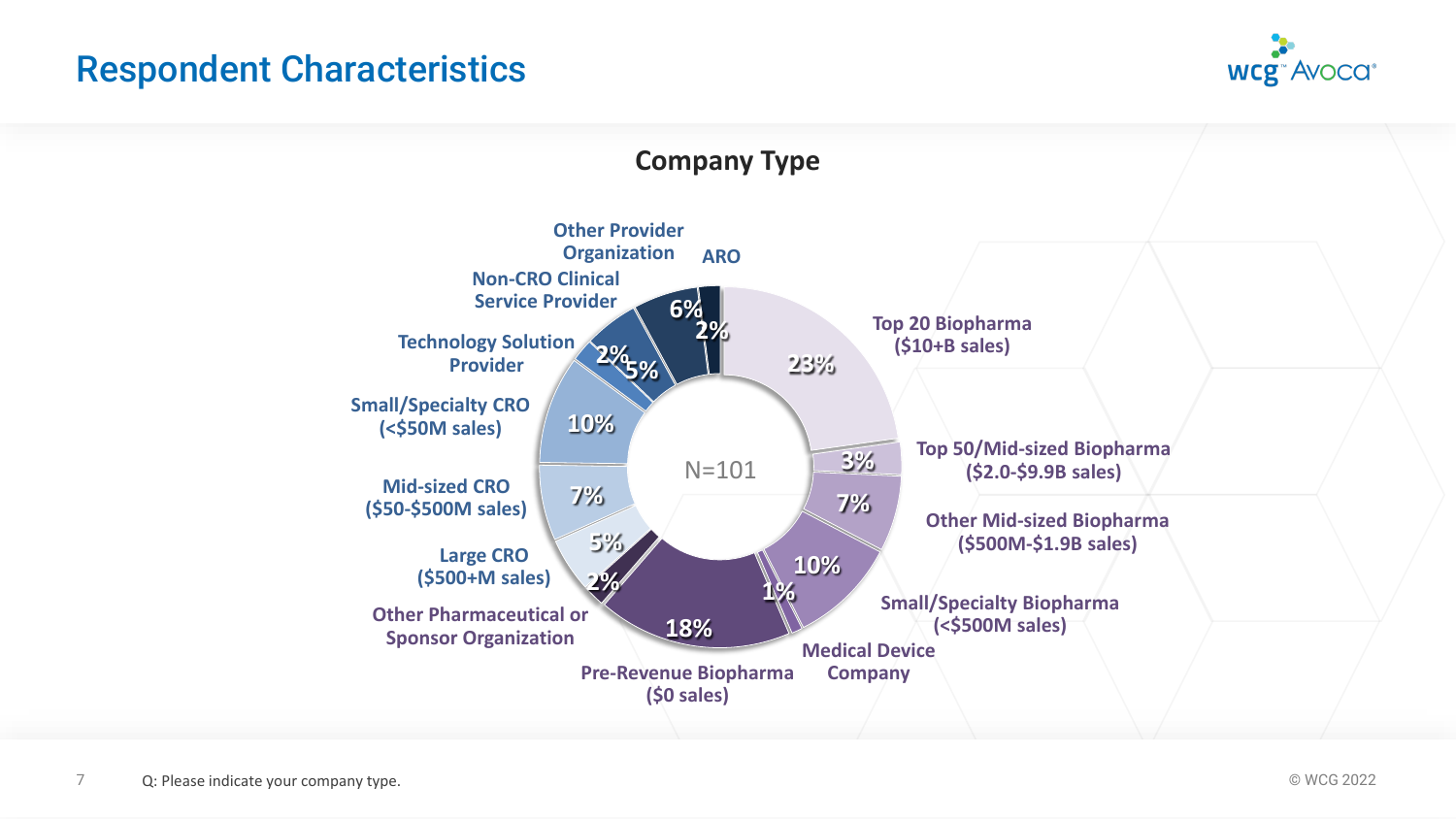

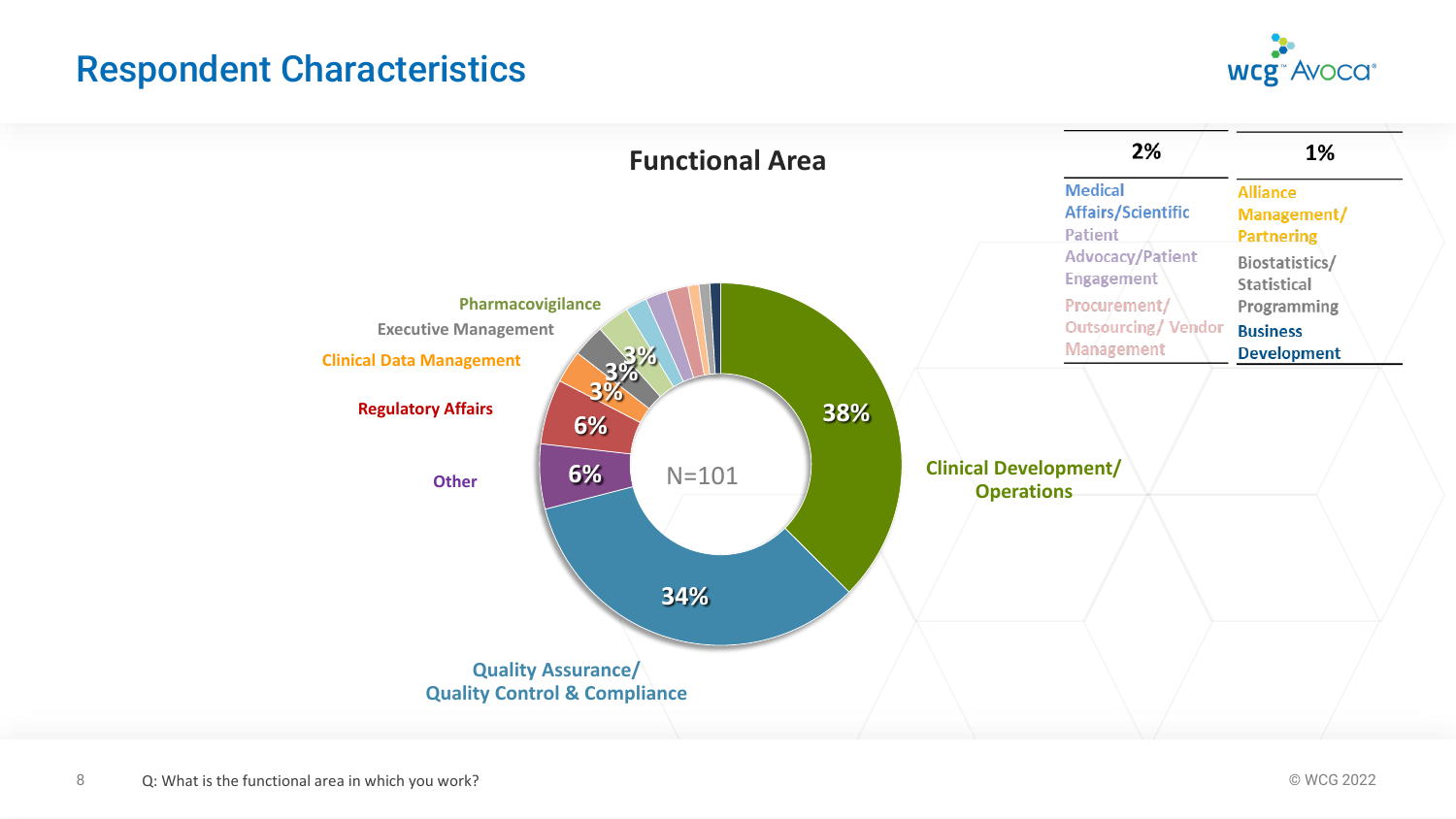

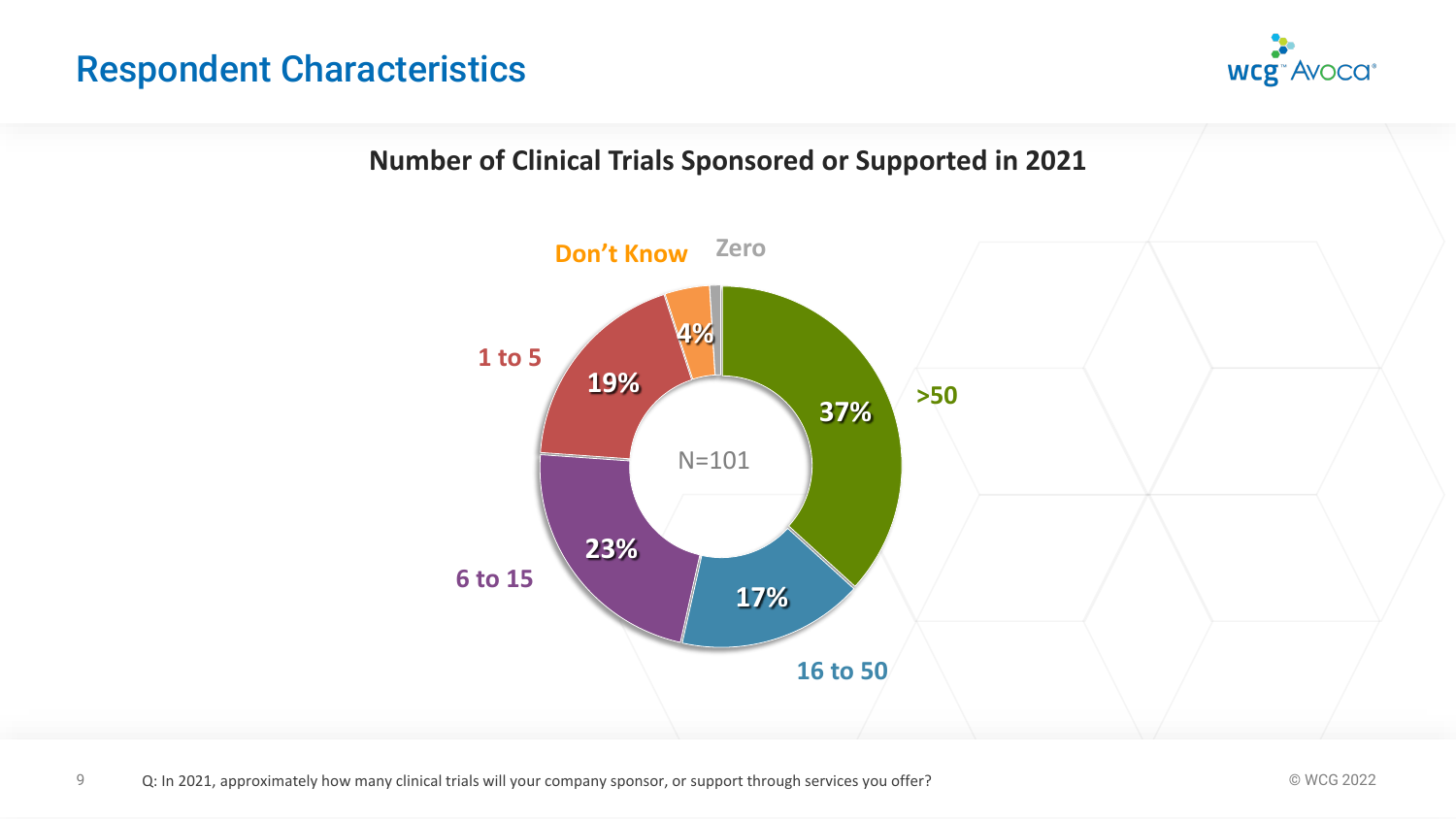

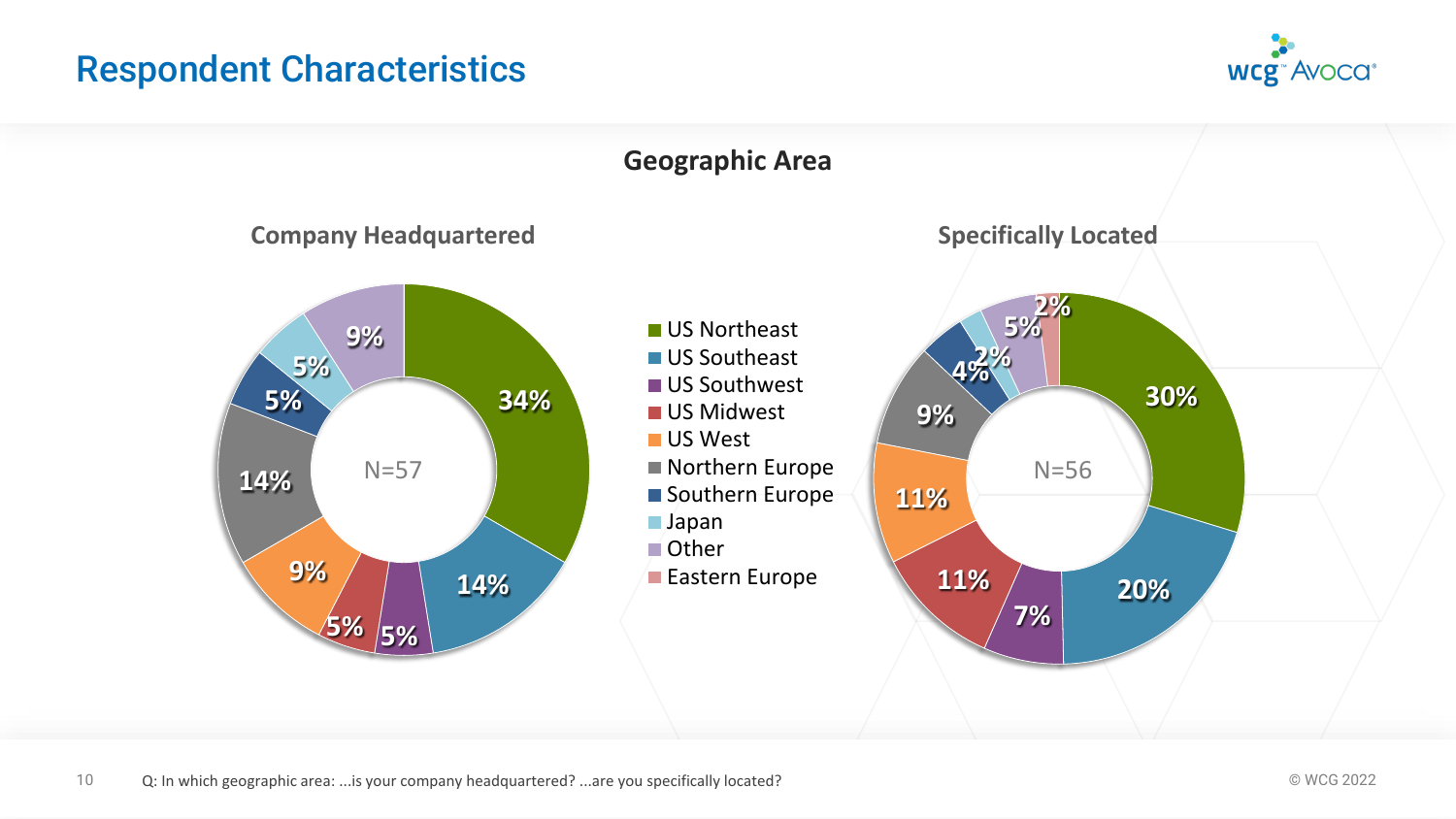

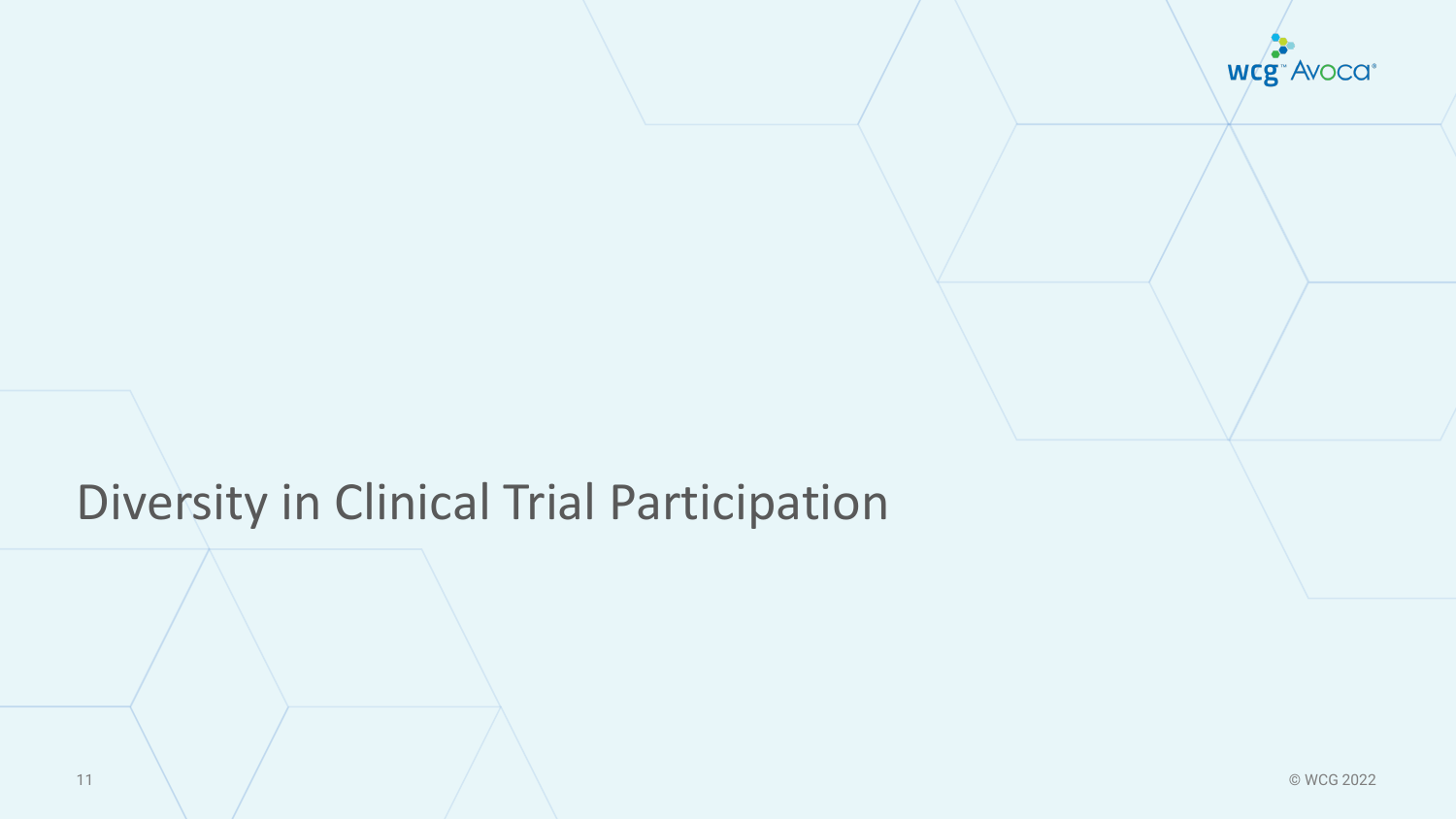

# Diversity in Clinical Trial Participation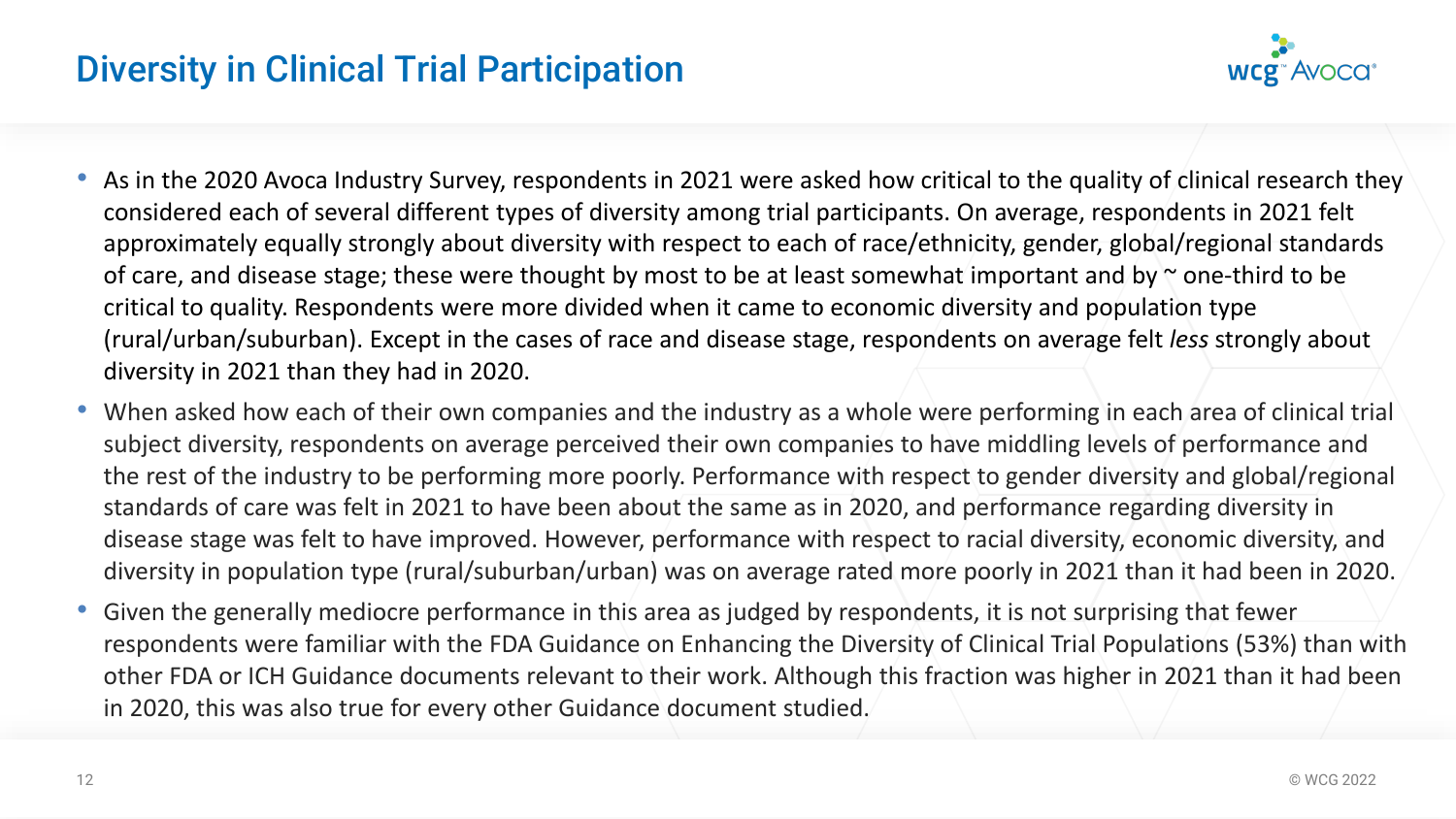# Diversity in Clinical Trial Participation



- As in the 2020 Avoca Industry Survey, respondents in 2021 were asked how critical to the quality of clinical research they considered each of several different types of diversity among trial participants. On average, respondents in 2021 felt approximately equally strongly about diversity with respect to each of race/ethnicity, gender, global/regional standards of care, and disease stage; these were thought by most to be at least somewhat important and by  $\sim$  one-third to be critical to quality. Respondents were more divided when it came to economic diversity and population type (rural/urban/suburban). Except in the cases of race and disease stage, respondents on average felt *less* strongly about diversity in 2021 than they had in 2020.
- When asked how each of their own companies and the industry as a whole were performing in each area of clinical trial subject diversity, respondents on average perceived their own companies to have middling levels of performance and the rest of the industry to be performing more poorly. Performance with respect to gender diversity and global/regional standards of care was felt in 2021 to have been about the same as in 2020, and performance regarding diversity in disease stage was felt to have improved. However, performance with respect to racial diversity, economic diversity, and diversity in population type (rural/suburban/urban) was on average rated more poorly in 2021 than it had been in 2020.
- Given the generally mediocre performance in this area as judged by respondents, it is not surprising that fewer respondents were familiar with the FDA Guidance on Enhancing the Diversity of Clinical Trial Populations (53%) than with other FDA or ICH Guidance documents relevant to their work. Although this fraction was higher in 2021 than it had been in 2020, this was also true for every other Guidance document studied.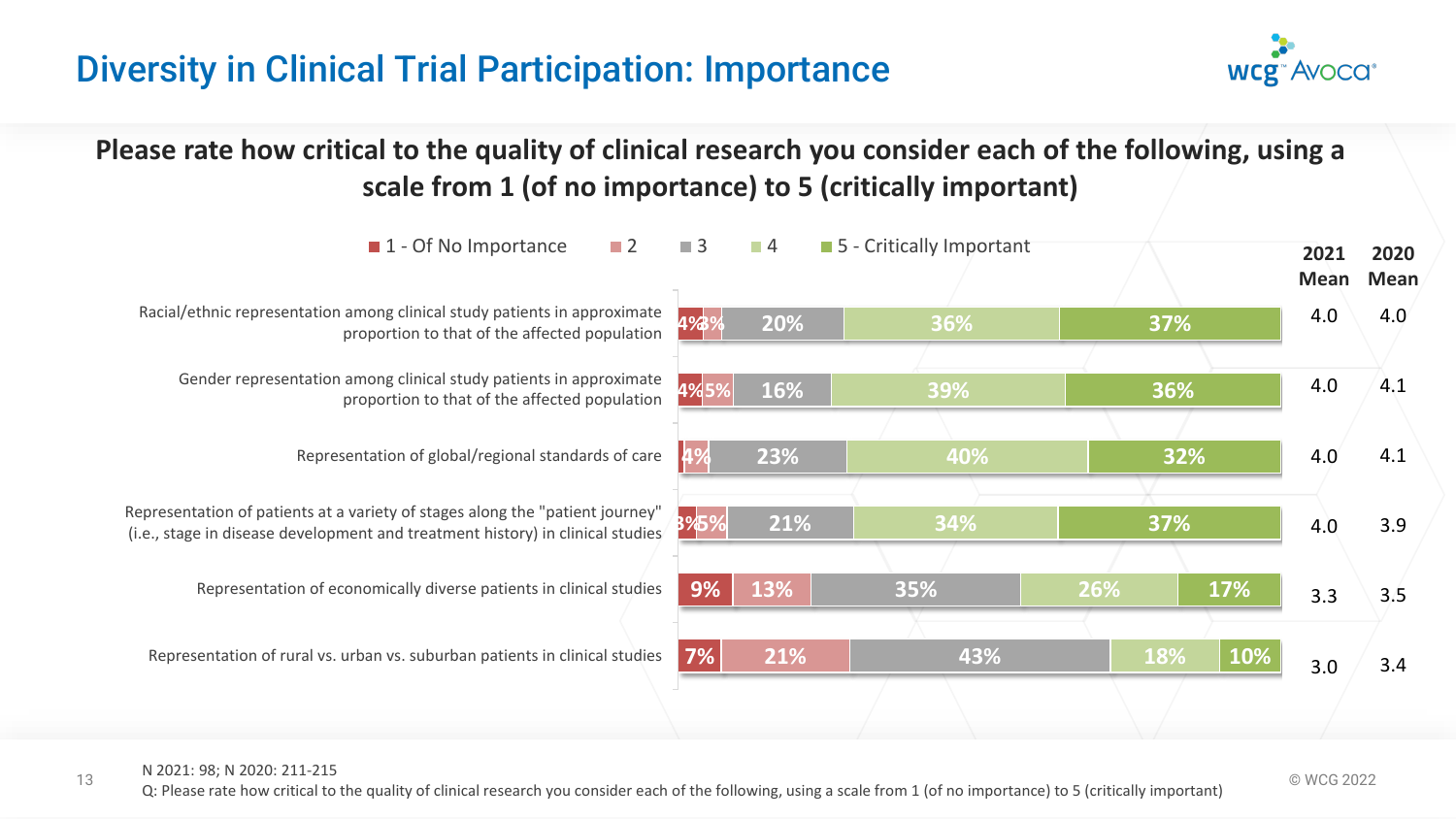# Diversity in Clinical Trial Participation: Importance



**Please rate how critical to the quality of clinical research you consider each of the following, using a scale from 1 (of no importance) to 5 (critically important)**



#### N 2021: 98; N 2020: 211-215

13 © WCG 2022 Q: Please rate how critical to the quality of clinical research you consider each of the following, using a scale from 1 (of no importance) to 5 (critically important)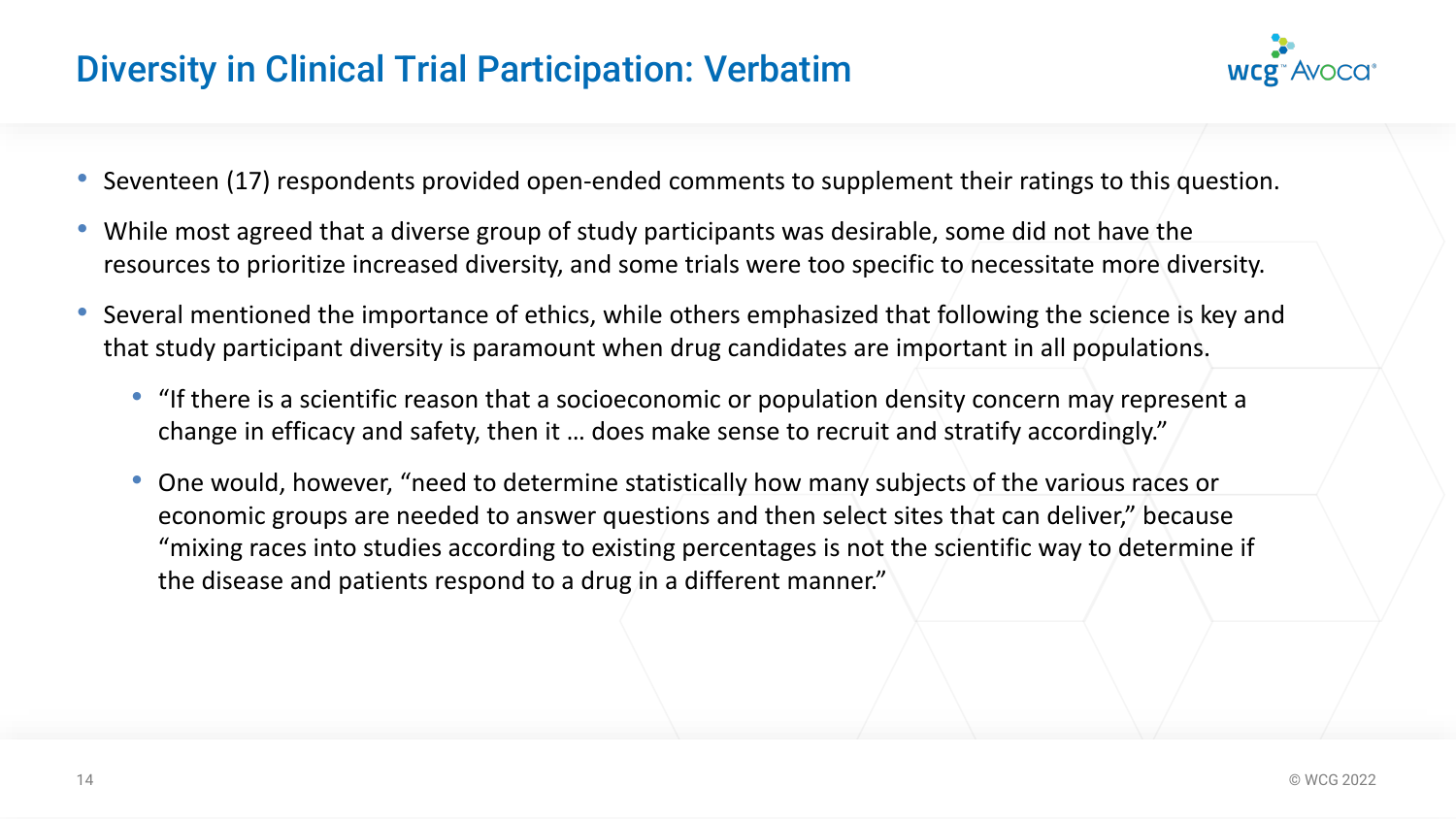# Diversity in Clinical Trial Participation: Verbatim



- Seventeen (17) respondents provided open-ended comments to supplement their ratings to this question.
- While most agreed that a diverse group of study participants was desirable, some did not have the resources to prioritize increased diversity, and some trials were too specific to necessitate more diversity.
- Several mentioned the importance of ethics, while others emphasized that following the science is key and that study participant diversity is paramount when drug candidates are important in all populations.
	- "If there is a scientific reason that a socioeconomic or population density concern may represent a change in efficacy and safety, then it … does make sense to recruit and stratify accordingly."
	- One would, however, "need to determine statistically how many subjects of the various races or economic groups are needed to answer questions and then select sites that can deliver," because "mixing races into studies according to existing percentages is not the scientific way to determine if the disease and patients respond to a drug in a different manner."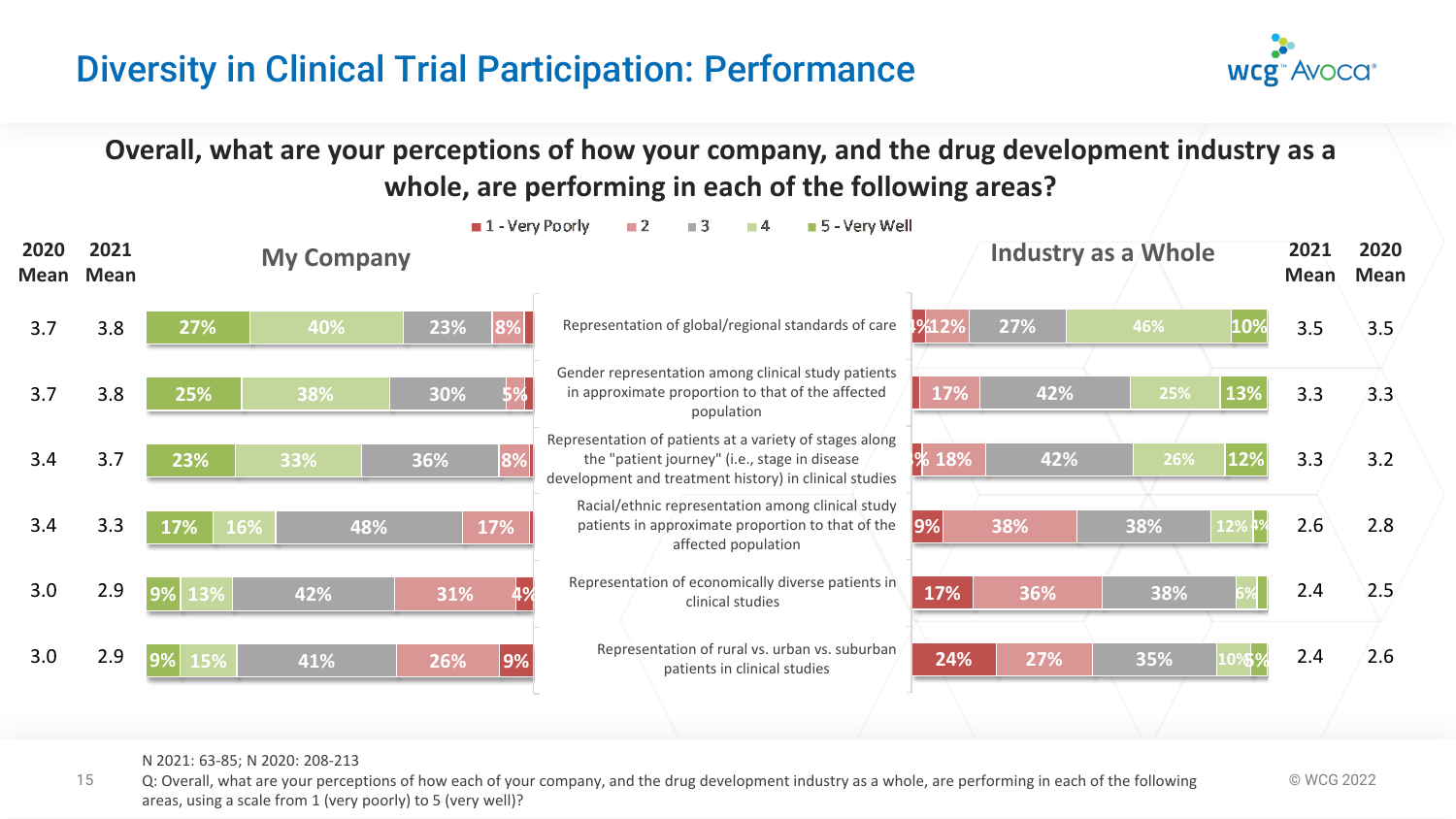# Diversity in Clinical Trial Participation: Performance



**Overall, what are your perceptions of how your company, and the drug development industry as a whole, are performing in each of the following areas?**



#### N 2021: 63-85; N 2020: 208-213

15 Q: Overall, what are your perceptions of how each of your company, and the drug development industry as a whole, are performing in each of the following  $\heartsuit$  WCG 2022 areas, using a scale from 1 (very poorly) to 5 (very well)?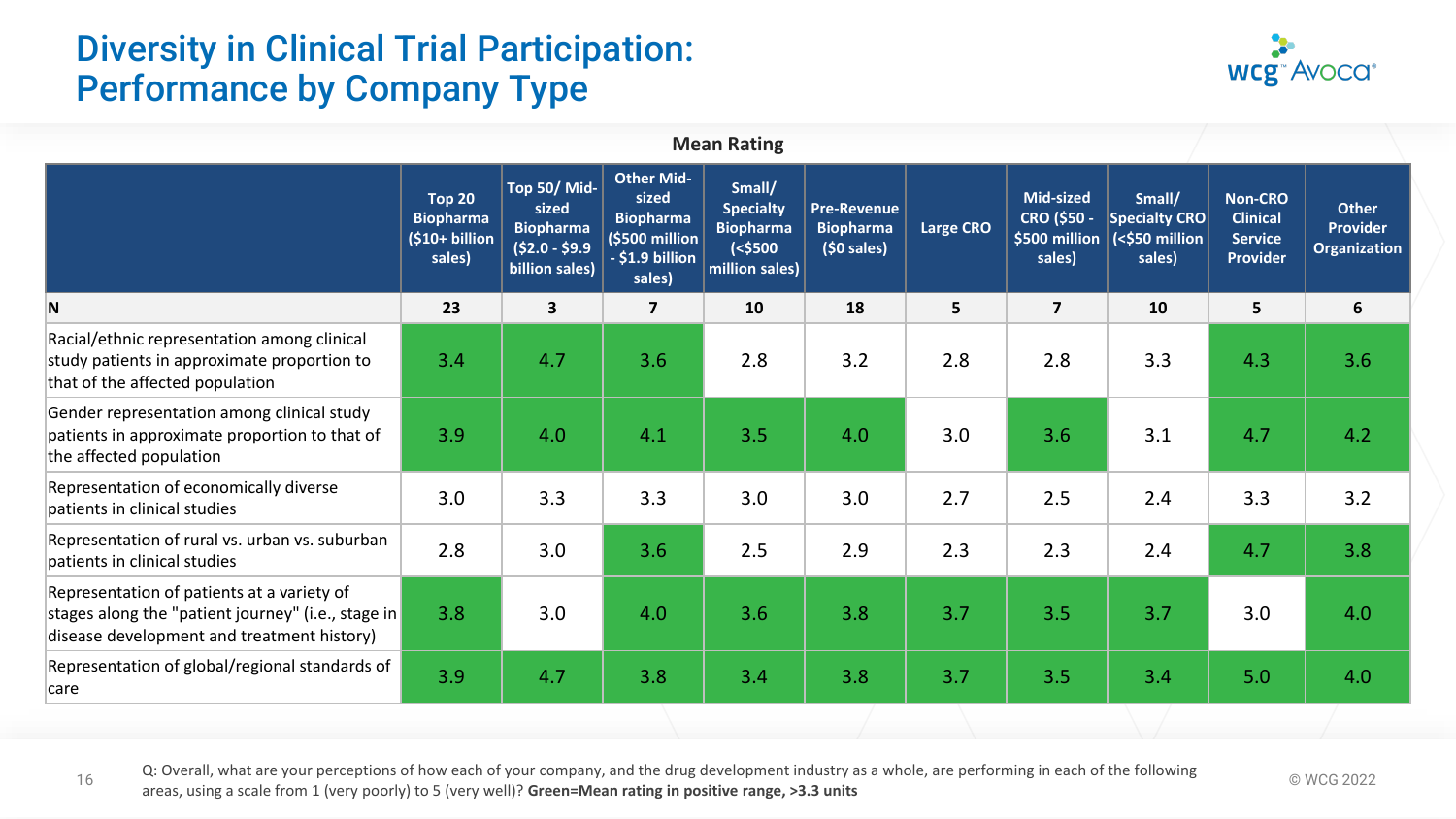# Diversity in Clinical Trial Participation: Performance by Company Type



|                                                                                                                                                |                                                                 |                                                                                       |                                                                                               | <b>Mean Rating</b>                                                             |                                                        |                  |                                                            |                                                     |                                                                        |                                                        |
|------------------------------------------------------------------------------------------------------------------------------------------------|-----------------------------------------------------------------|---------------------------------------------------------------------------------------|-----------------------------------------------------------------------------------------------|--------------------------------------------------------------------------------|--------------------------------------------------------|------------------|------------------------------------------------------------|-----------------------------------------------------|------------------------------------------------------------------------|--------------------------------------------------------|
|                                                                                                                                                | <b>Top 20</b><br><b>Biopharma</b><br>$(510+ billion)$<br>sales) | <b>Top 50/ Mid-</b><br>sized<br><b>Biopharma</b><br>$(52.0 - 59.9)$<br>billion sales) | Other Mid-<br>sized<br><b>Biopharma</b><br>$\sqrt{5500}$ million<br>- \$1.9 billion<br>sales) | Small/<br><b>Specialty</b><br><b>Biopharma</b><br>$(<$ \$500<br>million sales) | <b>Pre-Revenue</b><br><b>Biopharma</b><br>$(50$ sales) | <b>Large CRO</b> | Mid-sized<br><b>CRO (\$50 -</b><br>\$500 million<br>sales) | Small/<br>Specialty CRO<br>(<\$50 million<br>sales) | <b>Non-CRO</b><br><b>Clinical</b><br><b>Service</b><br><b>Provider</b> | <b>Other</b><br><b>Provider</b><br><b>Organization</b> |
| N                                                                                                                                              | 23                                                              | $\mathbf{3}$                                                                          | $\overline{\mathbf{z}}$                                                                       | 10                                                                             | 18                                                     | 5 <sup>1</sup>   | $\overline{\mathbf{z}}$                                    | 10                                                  | $5\phantom{a}$                                                         | 6                                                      |
| Racial/ethnic representation among clinical<br>study patients in approximate proportion to<br>that of the affected population                  | 3.4                                                             | 4.7                                                                                   | 3.6                                                                                           | 2.8                                                                            | 3.2                                                    | 2.8              | 2.8                                                        | 3.3                                                 | 4.3                                                                    | 3.6                                                    |
| Gender representation among clinical study<br>patients in approximate proportion to that of<br>the affected population                         | 3.9                                                             | 4.0                                                                                   | 4.1                                                                                           | 3.5                                                                            | 4.0                                                    | 3.0              | 3.6                                                        | 3.1                                                 | 4.7                                                                    | 4.2                                                    |
| Representation of economically diverse<br>patients in clinical studies                                                                         | 3.0                                                             | 3.3                                                                                   | 3.3                                                                                           | 3.0                                                                            | 3.0                                                    | 2.7              | 2.5                                                        | 2.4                                                 | 3.3                                                                    | 3.2                                                    |
| Representation of rural vs. urban vs. suburban<br>patients in clinical studies                                                                 | 2.8                                                             | 3.0                                                                                   | 3.6                                                                                           | 2.5                                                                            | 2.9                                                    | 2.3              | 2.3                                                        | 2.4                                                 | 4.7                                                                    | 3.8                                                    |
| Representation of patients at a variety of<br>stages along the "patient journey" (i.e., stage in<br>disease development and treatment history) | 3.8                                                             | 3.0                                                                                   | 4.0                                                                                           | 3.6                                                                            | 3.8                                                    | 3.7              | 3.5                                                        | 3.7                                                 | 3.0                                                                    | 4.0                                                    |
| Representation of global/regional standards of<br>care                                                                                         | 3.9 <sub>2</sub>                                                | 4.7                                                                                   | 3.8                                                                                           | 3.4                                                                            | 3.8                                                    | 3.7              | 3.5                                                        | 3.4                                                 | 5.0                                                                    | 4.0                                                    |
|                                                                                                                                                |                                                                 |                                                                                       |                                                                                               |                                                                                |                                                        |                  |                                                            |                                                     |                                                                        |                                                        |

Q: Overall, what are your perceptions of how each of your company, and the drug development industry as a whole, are performing in each of the following  $\degree$  WCG 2022 areas, using a scale from 1 (very poorly) to 5 (very well)? **Green=Mean rating in positive range, >3.3 units**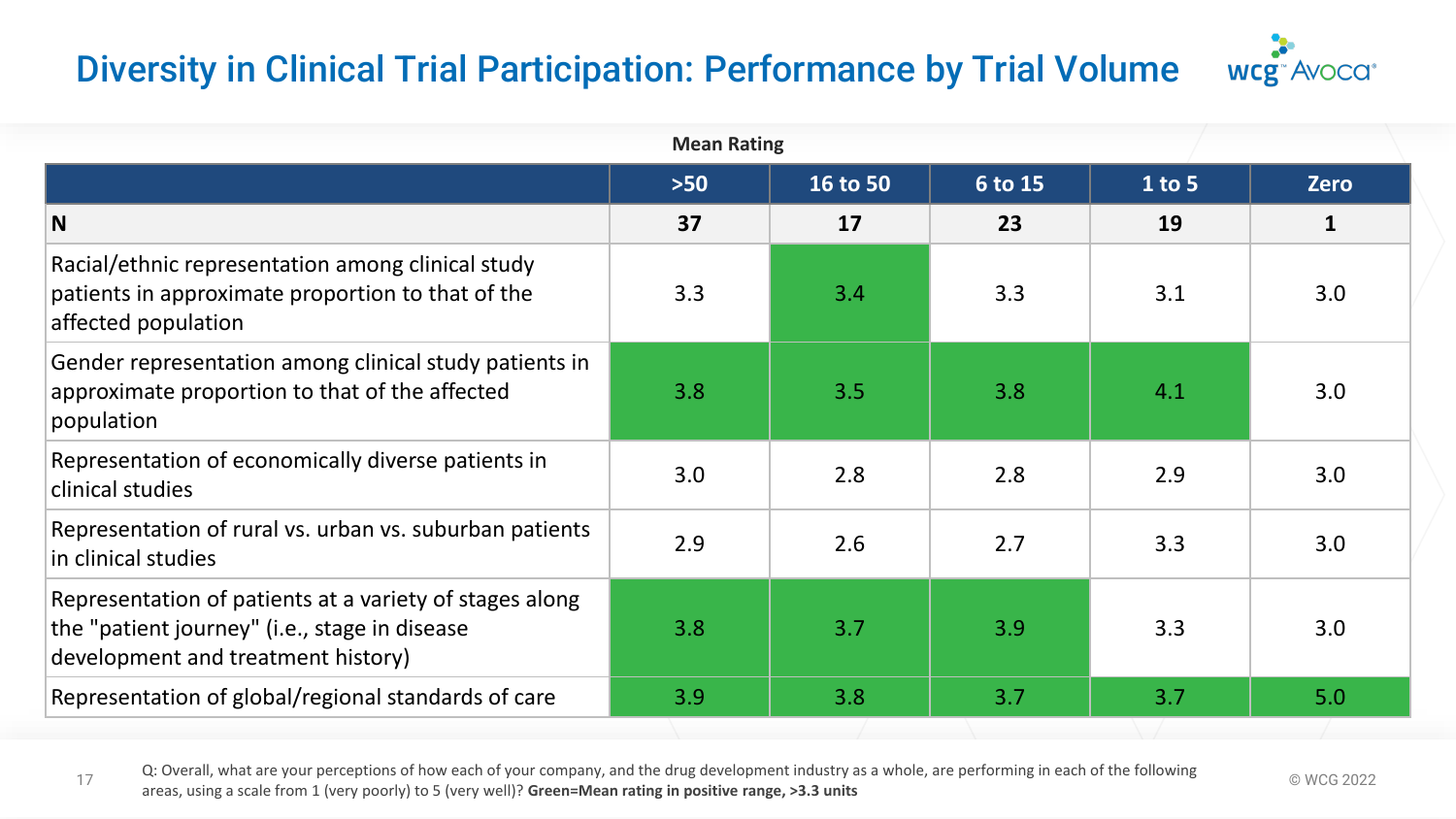# Diversity in Clinical Trial Participation: Performance by Trial Volume



| <b>Mean Rating</b>                                                                                                                             |       |          |         |          |              |  |  |  |  |  |
|------------------------------------------------------------------------------------------------------------------------------------------------|-------|----------|---------|----------|--------------|--|--|--|--|--|
|                                                                                                                                                | $>50$ | 16 to 50 | 6 to 15 | $1$ to 5 | <b>Zero</b>  |  |  |  |  |  |
| N                                                                                                                                              | 37    | 17       | 23      | 19       | $\mathbf{1}$ |  |  |  |  |  |
| Racial/ethnic representation among clinical study<br>patients in approximate proportion to that of the<br>affected population                  | 3.3   | 3.4      | 3.3     | 3.1      | 3.0          |  |  |  |  |  |
| Gender representation among clinical study patients in<br>approximate proportion to that of the affected<br>population                         | 3.8   | 3.5      | 3.8     | 4.1      | 3.0          |  |  |  |  |  |
| Representation of economically diverse patients in<br>clinical studies                                                                         | 3.0   | 2.8      | 2.8     | 2.9      | 3.0          |  |  |  |  |  |
| Representation of rural vs. urban vs. suburban patients<br>in clinical studies                                                                 | 2.9   | 2.6      | 2.7     | 3.3      | 3.0          |  |  |  |  |  |
| Representation of patients at a variety of stages along<br>the "patient journey" (i.e., stage in disease<br>development and treatment history) | 3.8   | 3.7      | 3.9     | 3.3      | 3.0          |  |  |  |  |  |
| Representation of global/regional standards of care                                                                                            | 3.9   | 3.8      | 3.7     | 3.7      | 5.0          |  |  |  |  |  |

Q: Overall, what are your perceptions of how each of your company, and the drug development industry as a whole, are performing in each of the following  $\degree$  WCG 2022 areas, using a scale from 1 (very poorly) to 5 (very well)? **Green=Mean rating in positive range, >3.3 units**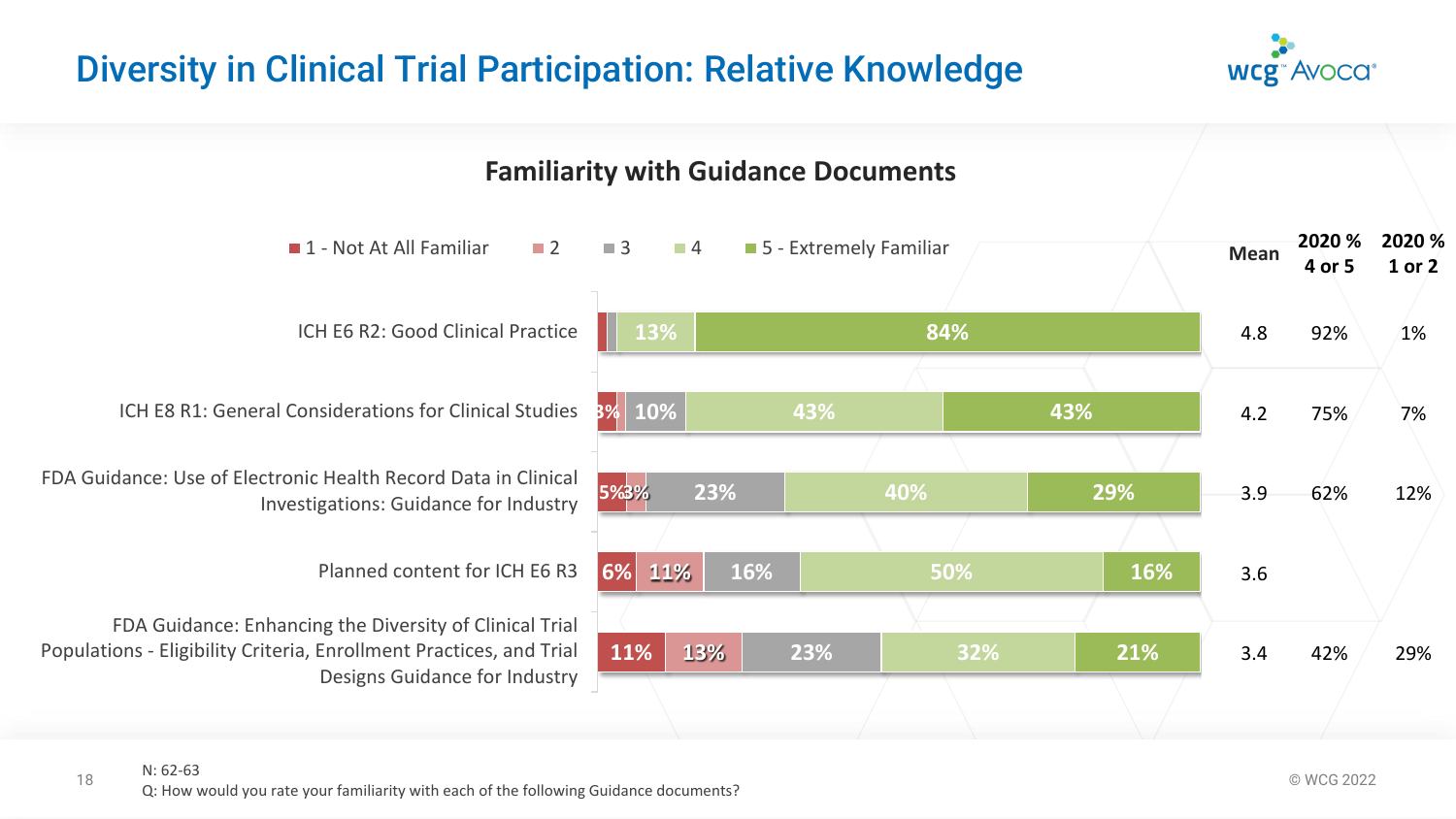# Diversity in Clinical Trial Participation: Relative Knowledge



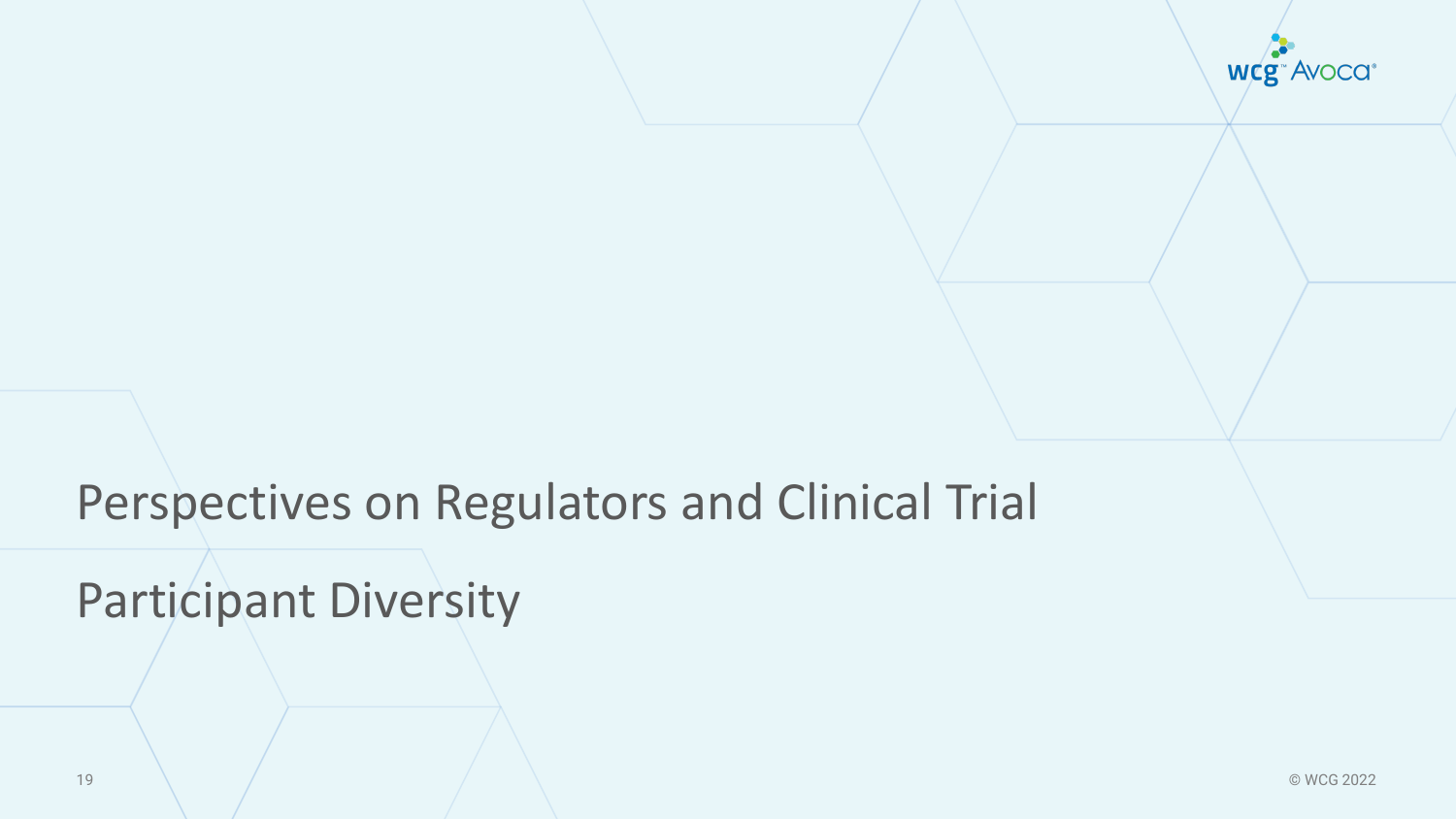

# Perspectives on Regulators and Clinical Trial

Participant Diversity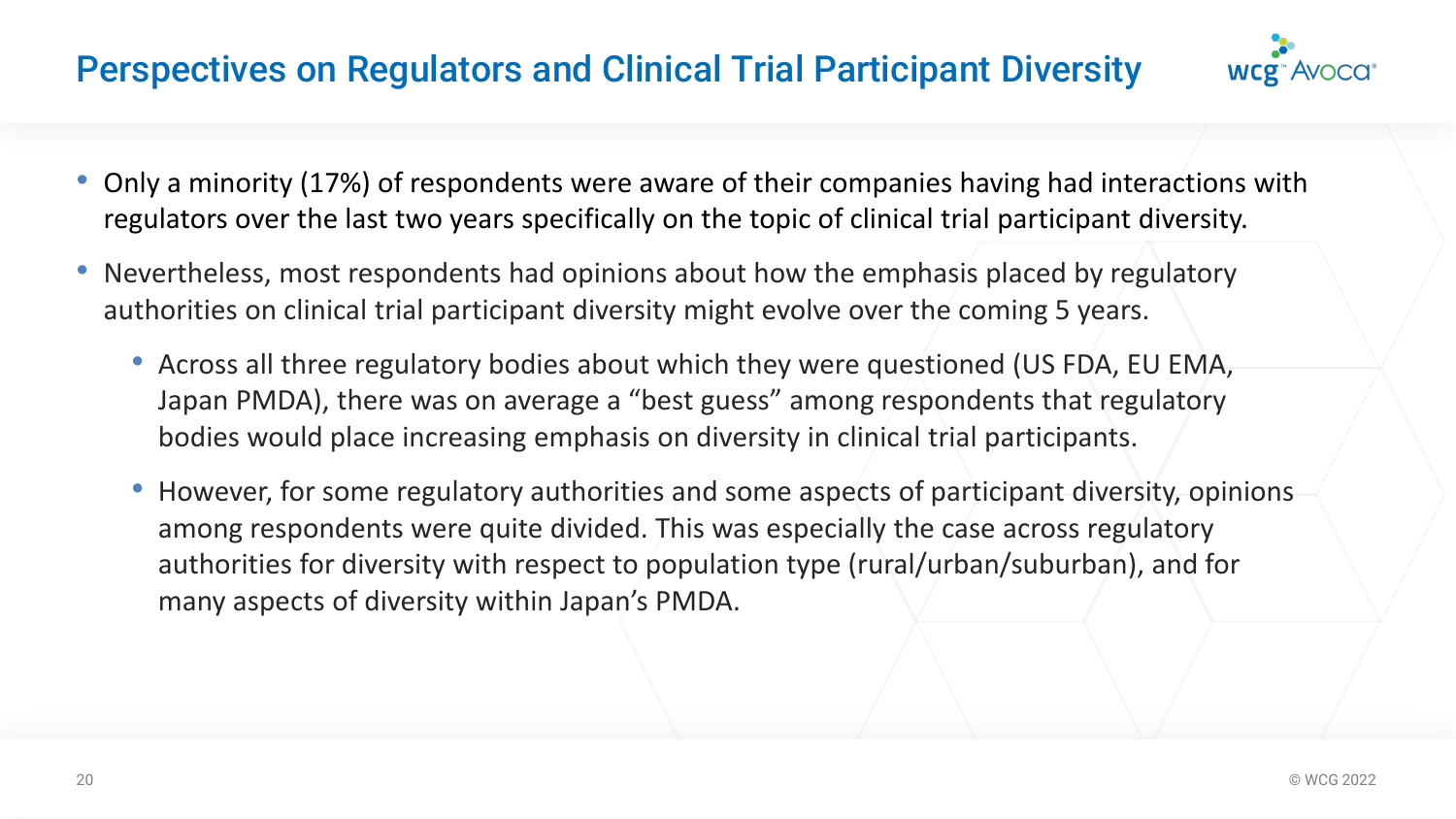# Perspectives on Regulators and Clinical Trial Participant Diversity



- Only a minority (17%) of respondents were aware of their companies having had interactions with regulators over the last two years specifically on the topic of clinical trial participant diversity.
- Nevertheless, most respondents had opinions about how the emphasis placed by regulatory authorities on clinical trial participant diversity might evolve over the coming 5 years.
	- Across all three regulatory bodies about which they were questioned (US FDA, EU EMA, Japan PMDA), there was on average a "best guess" among respondents that regulatory bodies would place increasing emphasis on diversity in clinical trial participants.
	- However, for some regulatory authorities and some aspects of participant diversity, opinions among respondents were quite divided. This was especially the case across regulatory authorities for diversity with respect to population type (rural/urban/suburban), and for many aspects of diversity within Japan's PMDA.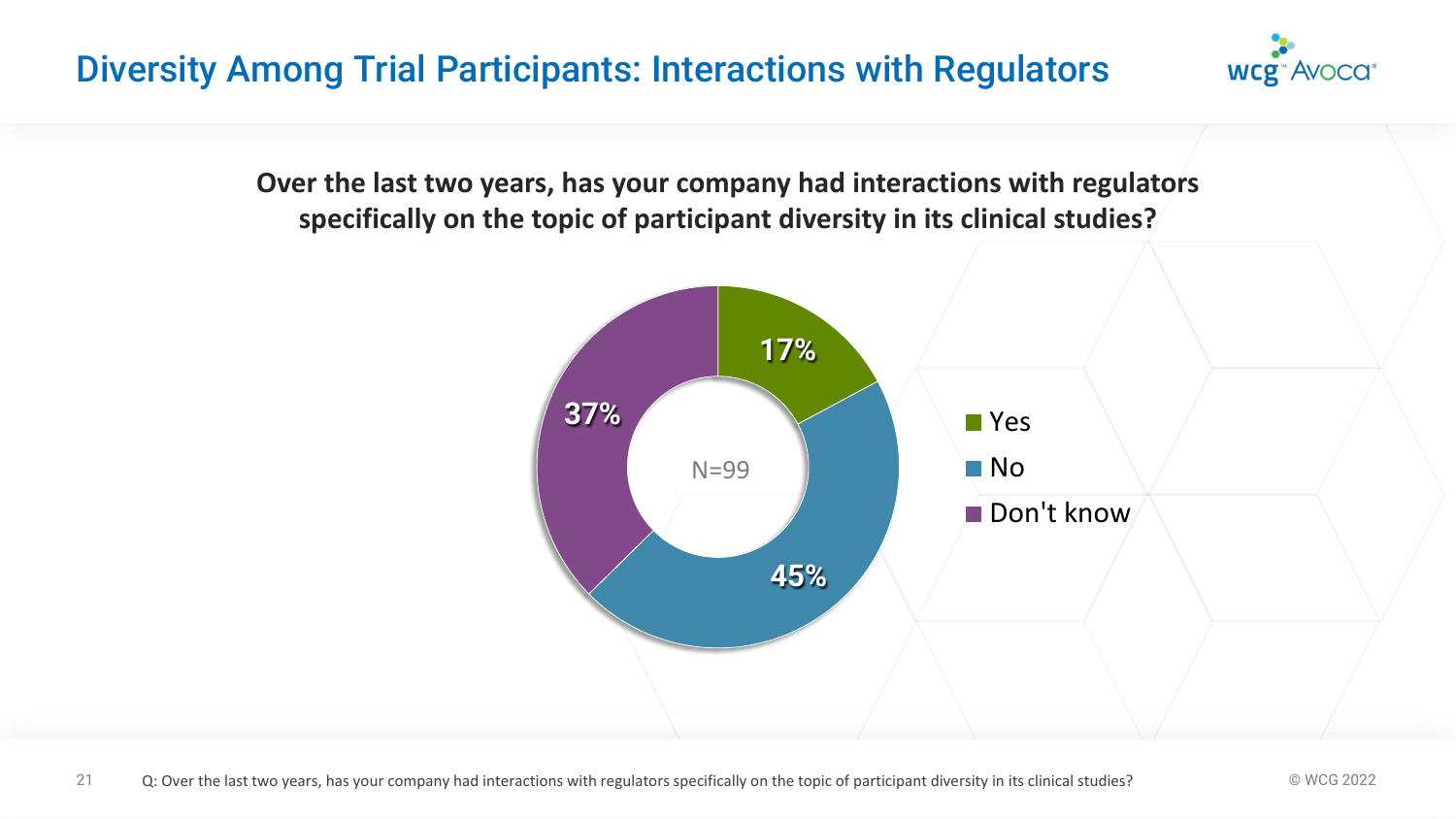# Diversity Among Trial Participants: Interactions with Regulators



**Over the last two years, has your company had interactions with regulators specifically on the topic of participant diversity in its clinical studies?**

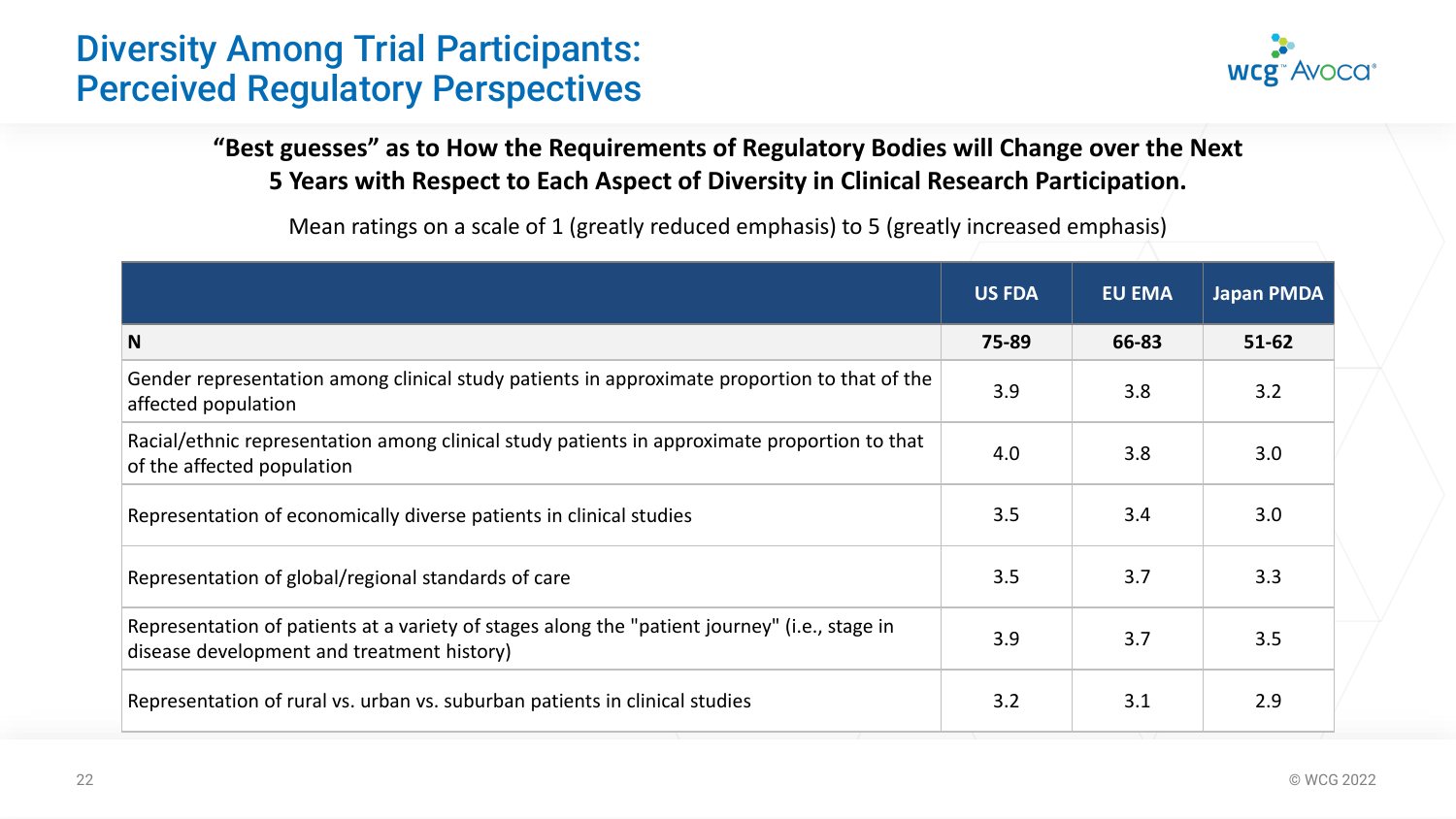# Diversity Among Trial Participants: Perceived Regulatory Perspectives



**"Best guesses" as to How the Requirements of Regulatory Bodies will Change over the Next 5 Years with Respect to Each Aspect of Diversity in Clinical Research Participation.** 

Mean ratings on a scale of 1 (greatly reduced emphasis) to 5 (greatly increased emphasis)

|                                                                                                                                             | <b>US FDA</b> | <b>EU EMA</b> | <b>Japan PMDA</b> |
|---------------------------------------------------------------------------------------------------------------------------------------------|---------------|---------------|-------------------|
| N                                                                                                                                           | 75-89         | 66-83         | $51 - 62$         |
| Gender representation among clinical study patients in approximate proportion to that of the<br>affected population                         | 3.9           | 3.8           | 3.2               |
| Racial/ethnic representation among clinical study patients in approximate proportion to that<br>of the affected population                  | 4.0           | 3.8           | 3.0               |
| Representation of economically diverse patients in clinical studies                                                                         | 3.5           | 3.4           | 3.0               |
| Representation of global/regional standards of care                                                                                         | 3.5           | 3.7           | 3.3               |
| Representation of patients at a variety of stages along the "patient journey" (i.e., stage in<br>disease development and treatment history) | 3.9           | 3.7           | 3.5               |
| Representation of rural vs. urban vs. suburban patients in clinical studies                                                                 | 3.2           | 3.1           | 2.9               |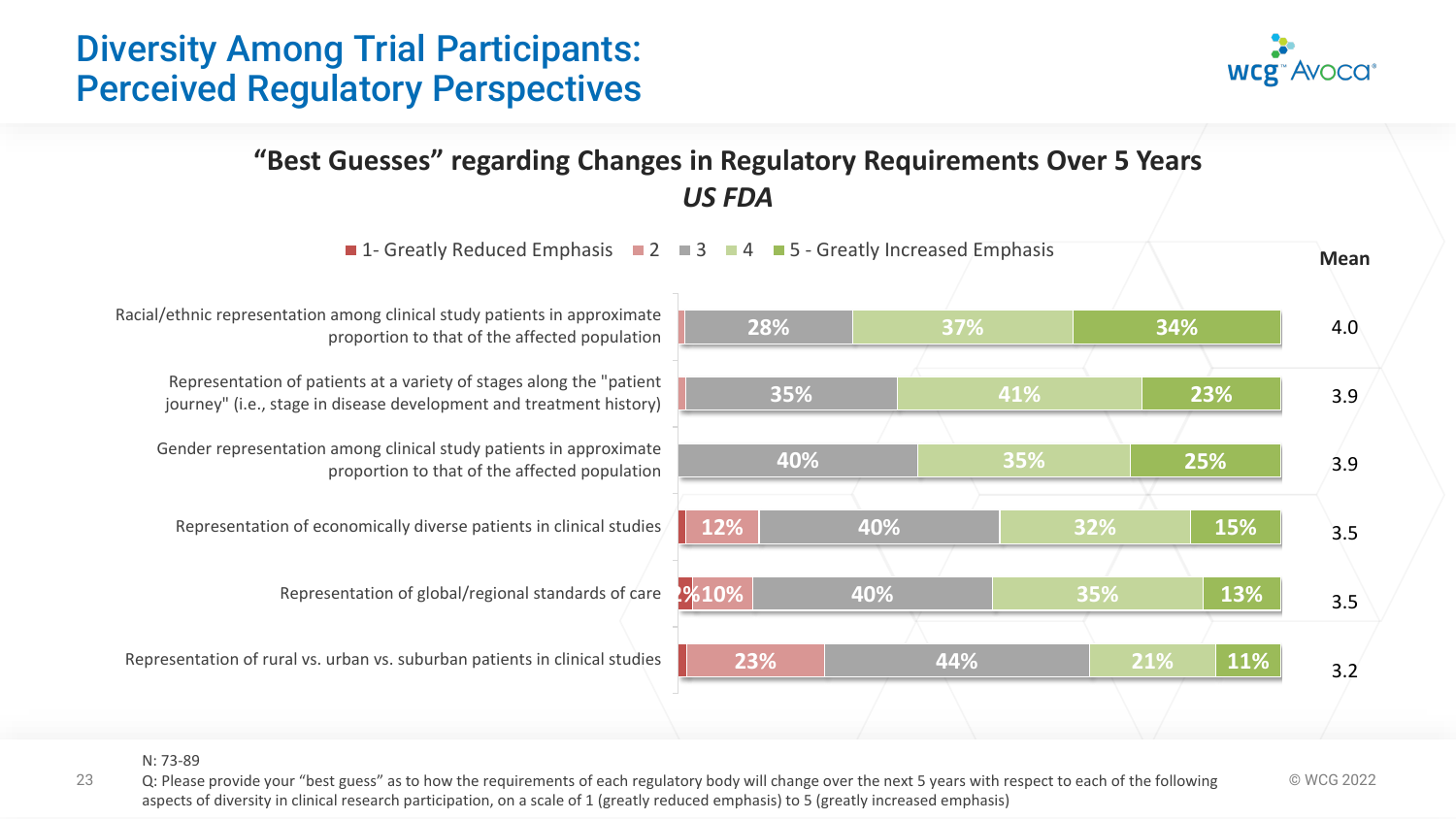#### N: 73-89

23 Q: Please provide your "best guess" as to how the requirements of each regulatory body will change over the next 5 years with respect to each of the following  $\heartsuit$  WCG 2022 aspects of diversity in clinical research participation, on a scale of 1 (greatly reduced emphasis) to 5 (greatly increased emphasis)

#### Diversity Among Trial Participants: Perceived Regulatory Perspectives



**"Best Guesses" regarding Changes in Regulatory Requirements Over 5 Years** *US FDA*

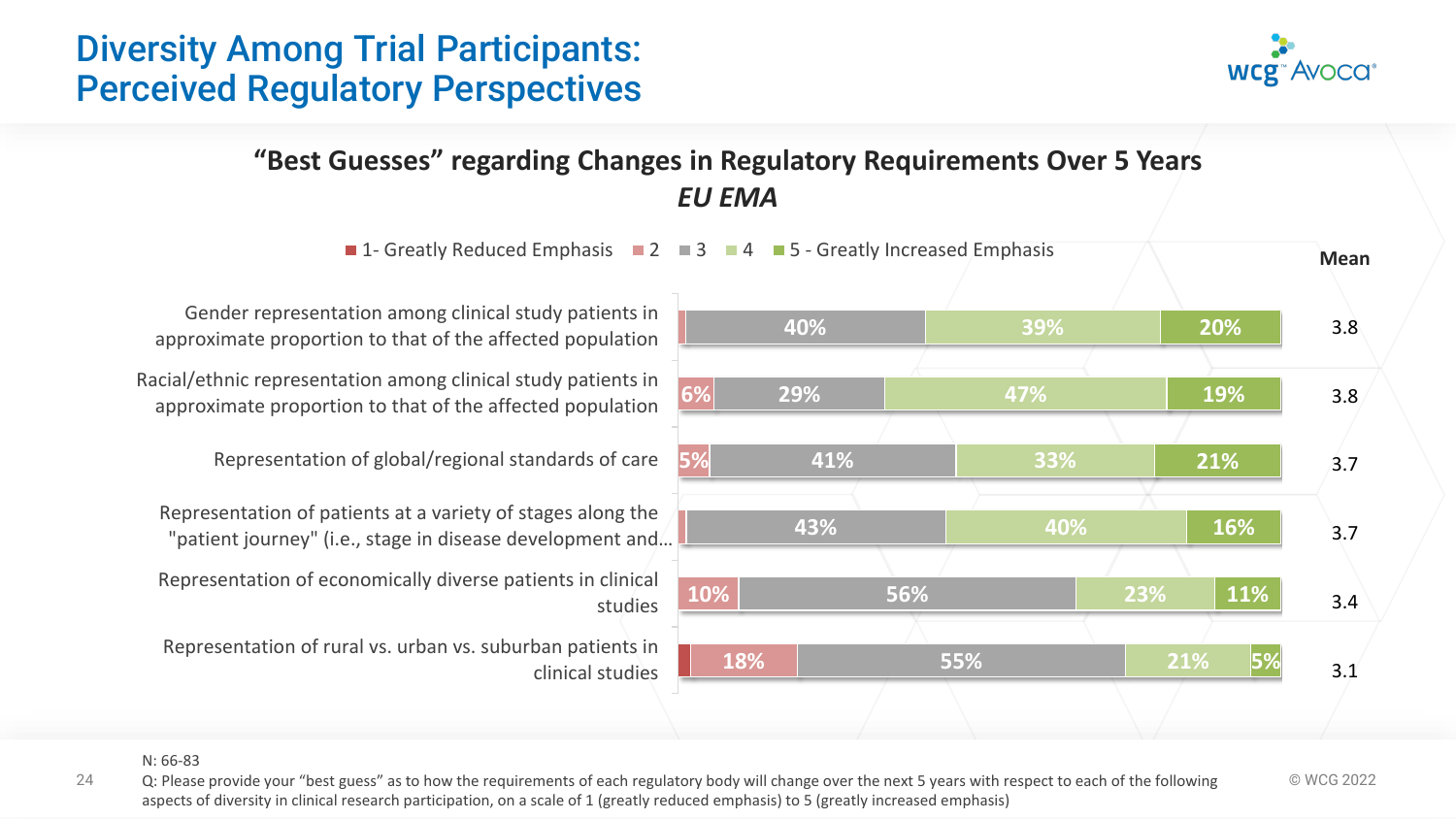#### N: 66-83

24 Q: Please provide your "best guess" as to how the requirements of each regulatory body will change over the next 5 years with respect to each of the following  $\heartsuit$  WCG 2022 aspects of diversity in clinical research participation, on a scale of 1 (greatly reduced emphasis) to 5 (greatly increased emphasis)

Perceived Regulatory Perspectives

#### **"Best Guesses" regarding Changes in Regulatory Requirements Over 5 Years** *EU EMA*

 $\blacksquare$  **1- Greatly Reduced Emphasis**  $\blacksquare$  **2**  $\blacksquare$  **3**  $\blacksquare$  **4**  $\blacksquare$  **5 - Greatly Increased Emphasis** 

Gender representation among clinical study patients in approximate proportion to that of the affected population

Diversity Among Trial Participants:

Racial/ethnic representation among clinical study patients in approximate proportion to that of the affected population

Representation of global/regional standards of care

Representation of patients at a variety of stages along the "patient journey" (i.e., stage in disease development and…

Representation of economically diverse patients in clinical studies

Representation of rural vs. urban vs. suburban patients in clinical studies



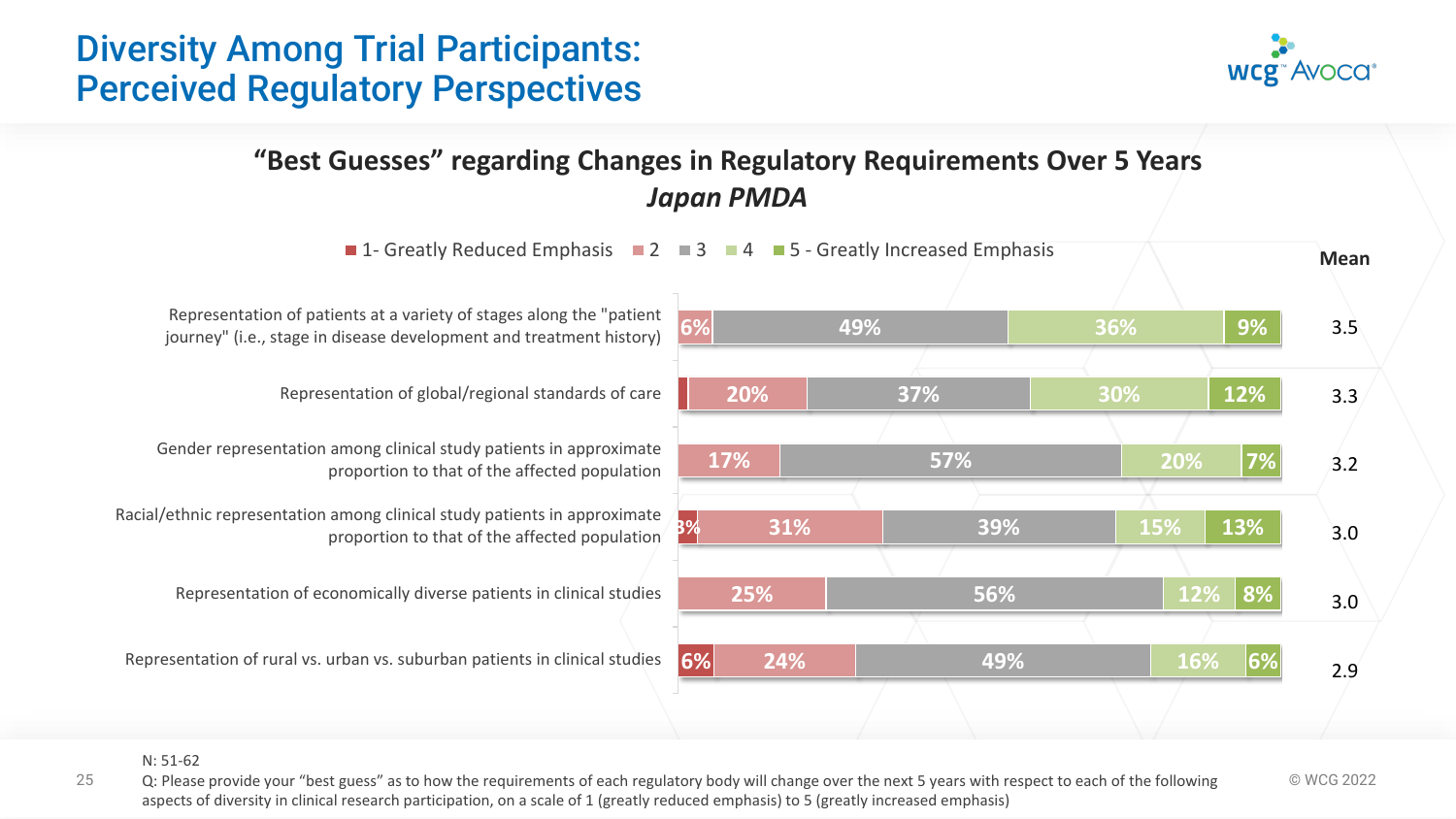# Diversity Among Trial Participants: Perceived Regulatory Perspectives



#### **"Best Guesses" regarding Changes in Regulatory Requirements Over 5 Years** *Japan PMDA*



#### N: 51-62

25 Q: Please provide your "best guess" as to how the requirements of each regulatory body will change over the next 5 years with respect to each of the following  $\heartsuit$  WCG 2022 aspects of diversity in clinical research participation, on a scale of 1 (greatly reduced emphasis) to 5 (greatly increased emphasis)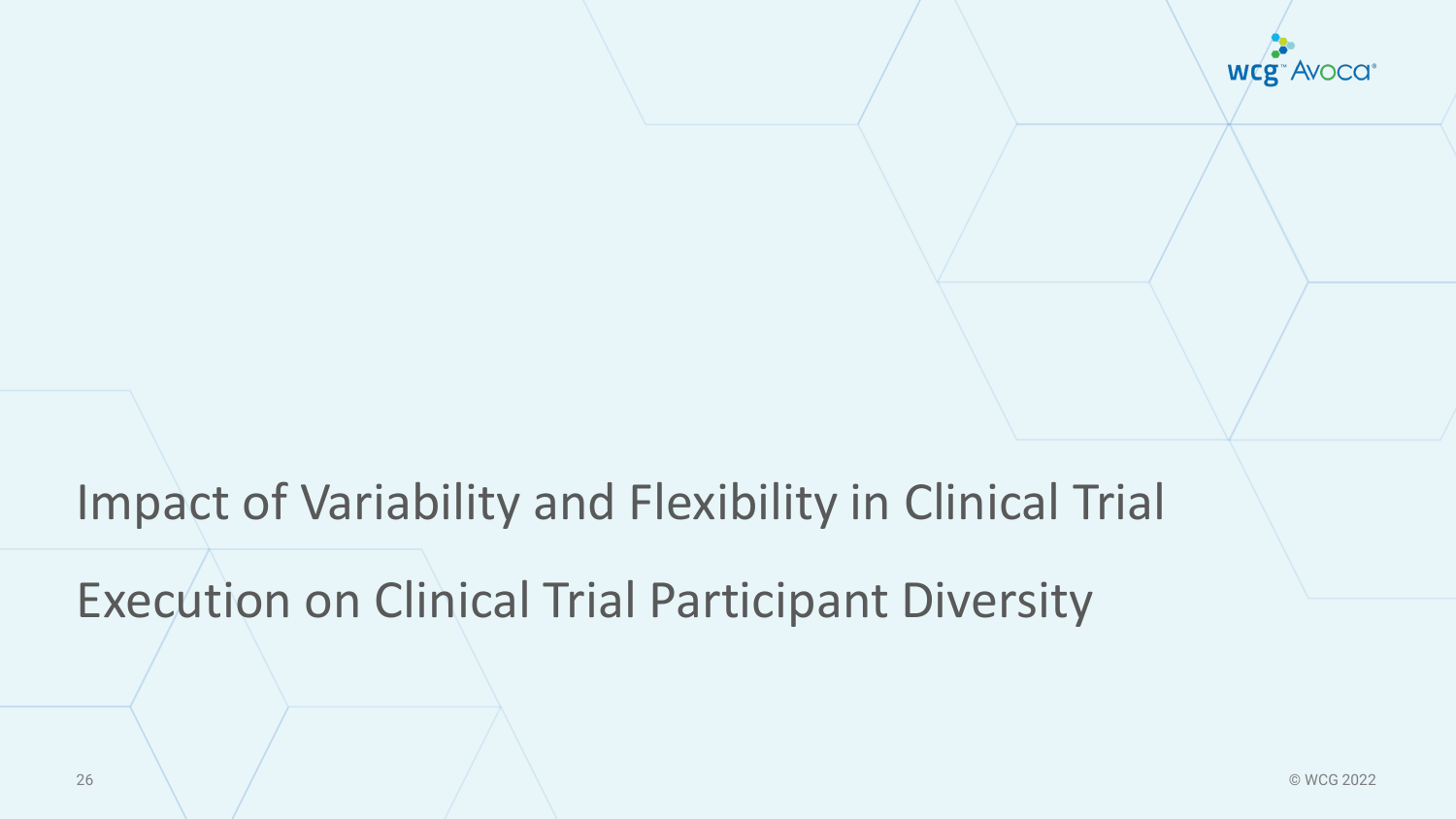

# Impact of Variability and Flexibility in Clinical Trial

Execution on Clinical Trial Participant Diversity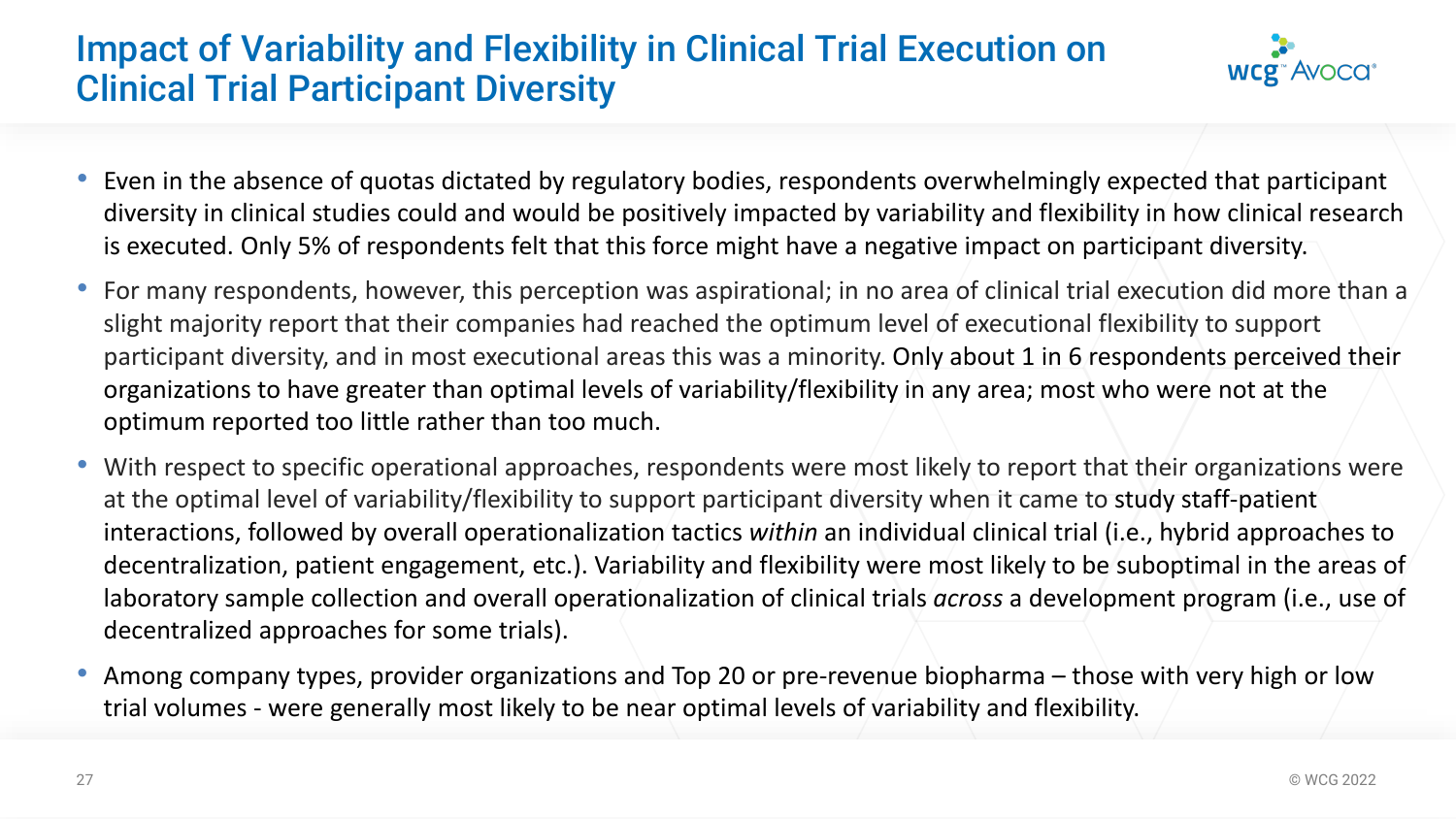# Impact of Variability and Flexibility in Clinical Trial Execution on Clinical Trial Participant Diversity



- Even in the absence of quotas dictated by regulatory bodies, respondents overwhelmingly expected that participant diversity in clinical studies could and would be positively impacted by variability and flexibility in how clinical research is executed. Only 5% of respondents felt that this force might have a negative impact on participant diversity.
- For many respondents, however, this perception was aspirational; in no area of clinical trial execution did more than a slight majority report that their companies had reached the optimum level of executional flexibility to support participant diversity, and in most executional areas this was a minority. Only about 1 in 6 respondents perceived their organizations to have greater than optimal levels of variability/flexibility in any area; most who were not at the optimum reported too little rather than too much.
- With respect to specific operational approaches, respondents were most likely to report that their organizations were at the optimal level of variability/flexibility to support participant diversity when it came to study staff-patient interactions, followed by overall operationalization tactics *within* an individual clinical trial (i.e., hybrid approaches to decentralization, patient engagement, etc.). Variability and flexibility were most likely to be suboptimal in the areas of laboratory sample collection and overall operationalization of clinical trials *across* a development program (i.e., use of decentralized approaches for some trials).
- Among company types, provider organizations and Top 20 or pre-revenue biopharma those with very high or low trial volumes - were generally most likely to be near optimal levels of variability and flexibility.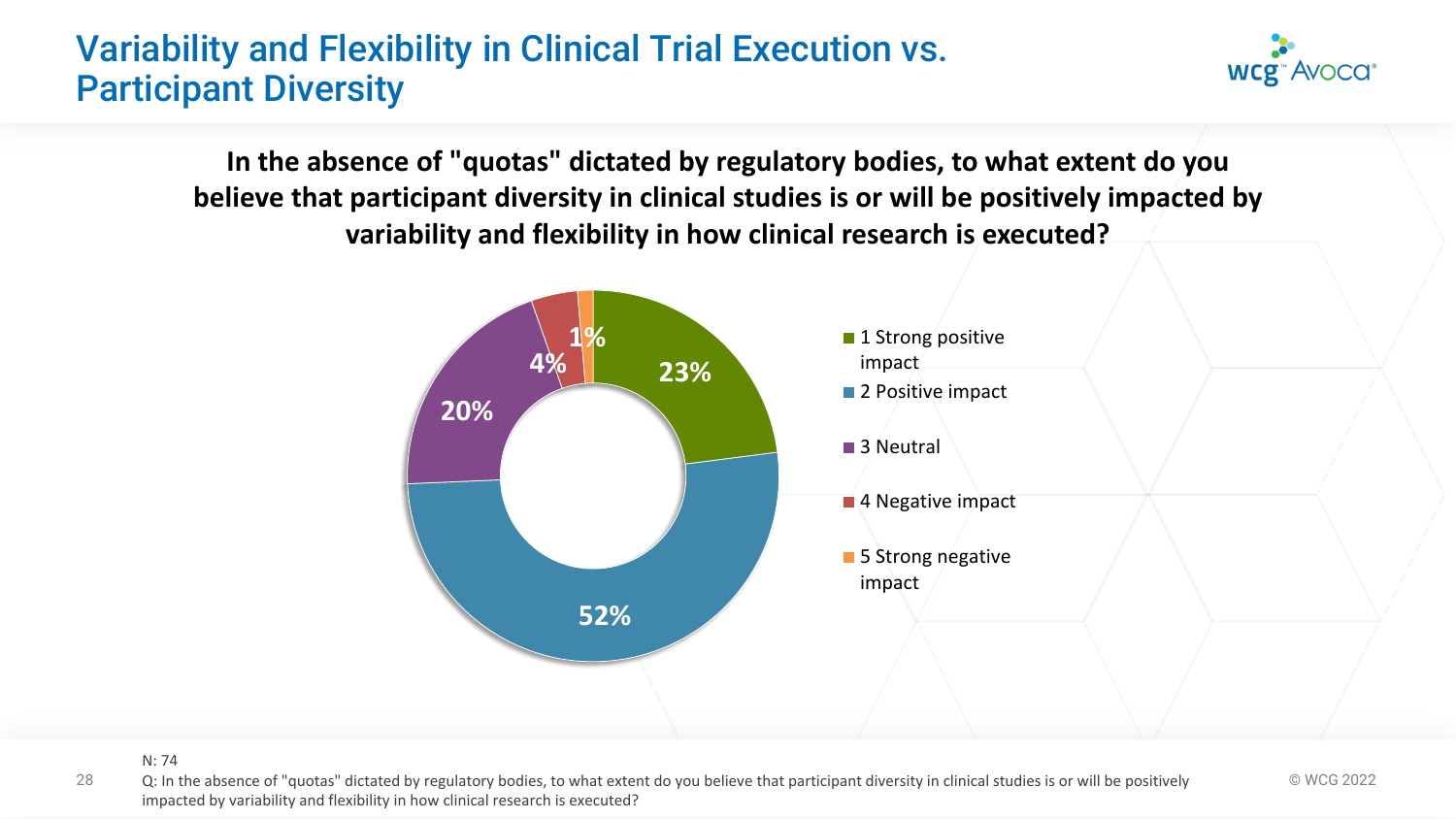# Variability and Flexibility in Clinical Trial Execution vs. Participant Diversity

**In the absence of "quotas" dictated by regulatory bodies, to what extent do you believe that participant diversity in clinical studies is or will be positively impacted by variability and flexibility in how clinical research is executed?**



**WCg<sup>\*</sup>AVOCG<sup>\*</sup>** 

N: 74

28 Q: In the absence of "quotas" dictated by regulatory bodies, to what extent do you believe that participant diversity in clinical studies is or will be positively  $\textcircled{wCG 2022}$ impacted by variability and flexibility in how clinical research is executed?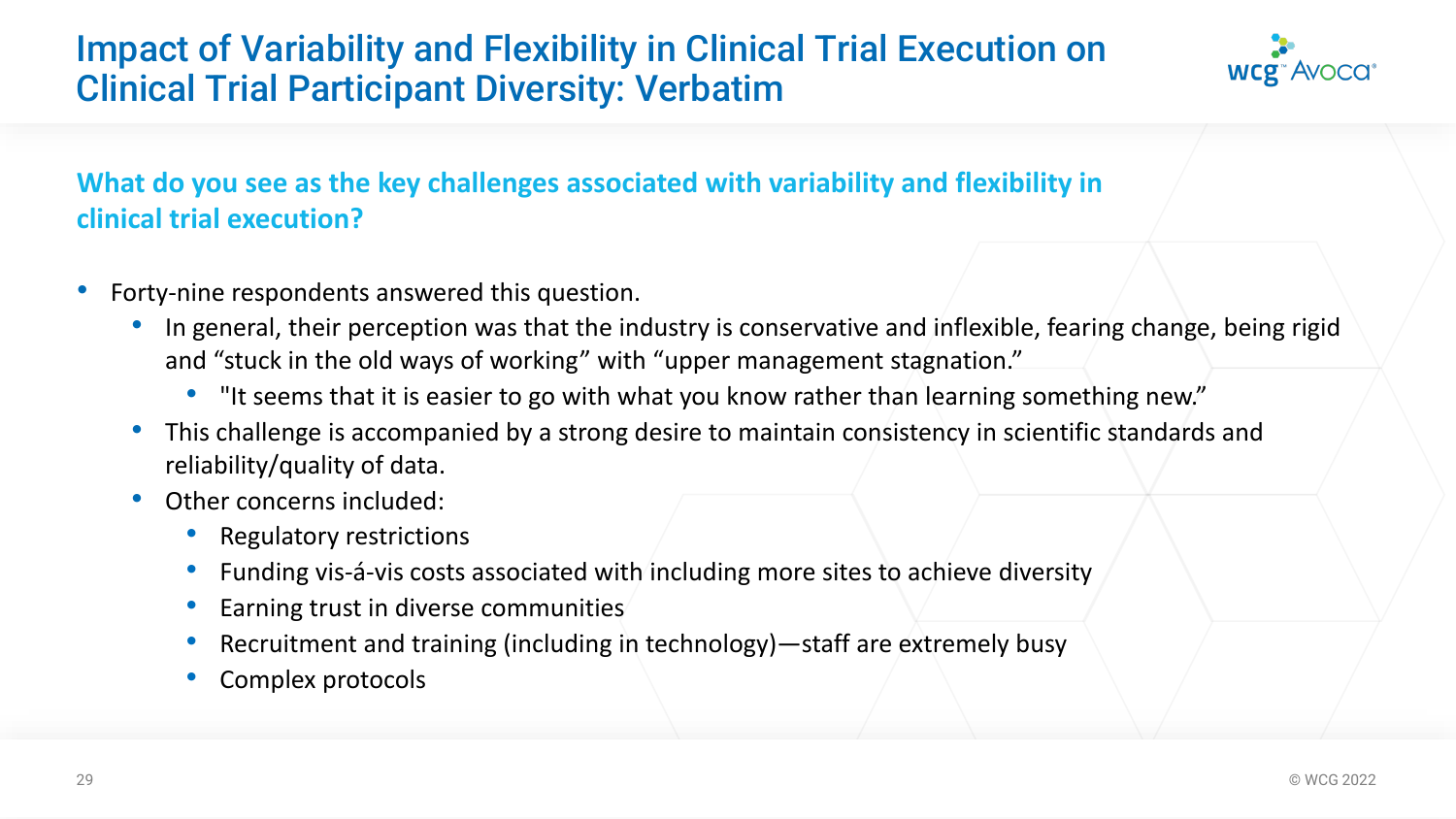# Impact of Variability and Flexibility in Clinical Trial Execution on Clinical Trial Participant Diversity: Verbatim



#### **What do you see as the key challenges associated with variability and flexibility in clinical trial execution?**

- Forty-nine respondents answered this question.
	- In general, their perception was that the industry is conservative and inflexible, fearing change, being rigid and "stuck in the old ways of working" with "upper management stagnation."
		- "It seems that it is easier to go with what you know rather than learning something new."
	- This challenge is accompanied by a strong desire to maintain consistency in scientific standards and reliability/quality of data.
	- Other concerns included:
		- Regulatory restrictions
		- Funding vis-á-vis costs associated with including more sites to achieve diversity
		- Earning trust in diverse communities
		- Recruitment and training (including in technology)—staff are extremely busy
		- Complex protocols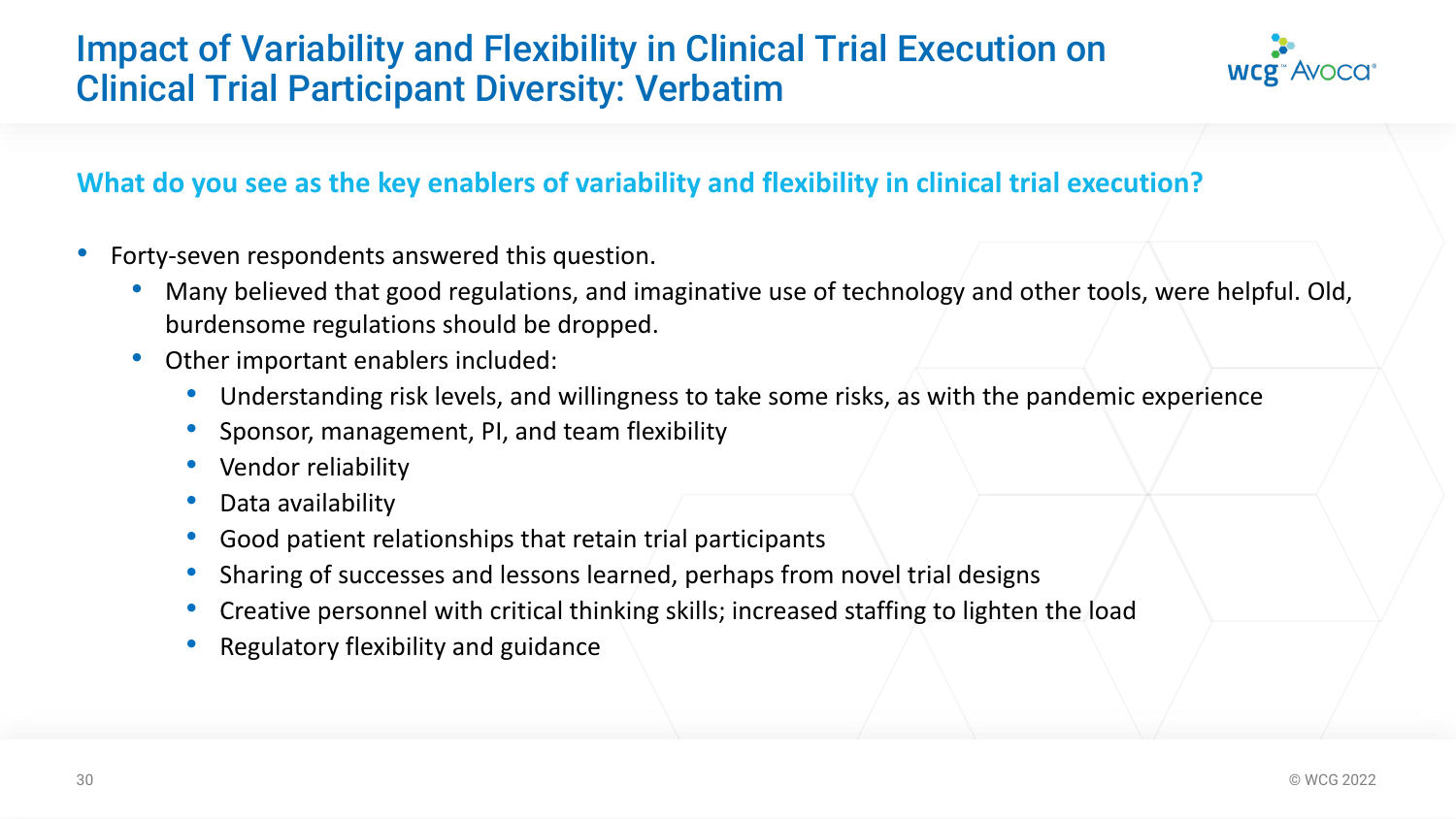# Impact of Variability and Flexibility in Clinical Trial Execution on Clinical Trial Participant Diversity: Verbatim



#### **What do you see as the key enablers of variability and flexibility in clinical trial execution?**

- Forty-seven respondents answered this question.
	- Many believed that good regulations, and imaginative use of technology and other tools, were helpful. Old, burdensome regulations should be dropped.
	- Other important enablers included:
		- Understanding risk levels, and willingness to take some risks, as with the pandemic experience
		- Sponsor, management, PI, and team flexibility
		- Vendor reliability
		- Data availability
		- Good patient relationships that retain trial participants
		- Sharing of successes and lessons learned, perhaps from novel trial designs
		- Creative personnel with critical thinking skills; increased staffing to lighten the load
		- Regulatory flexibility and guidance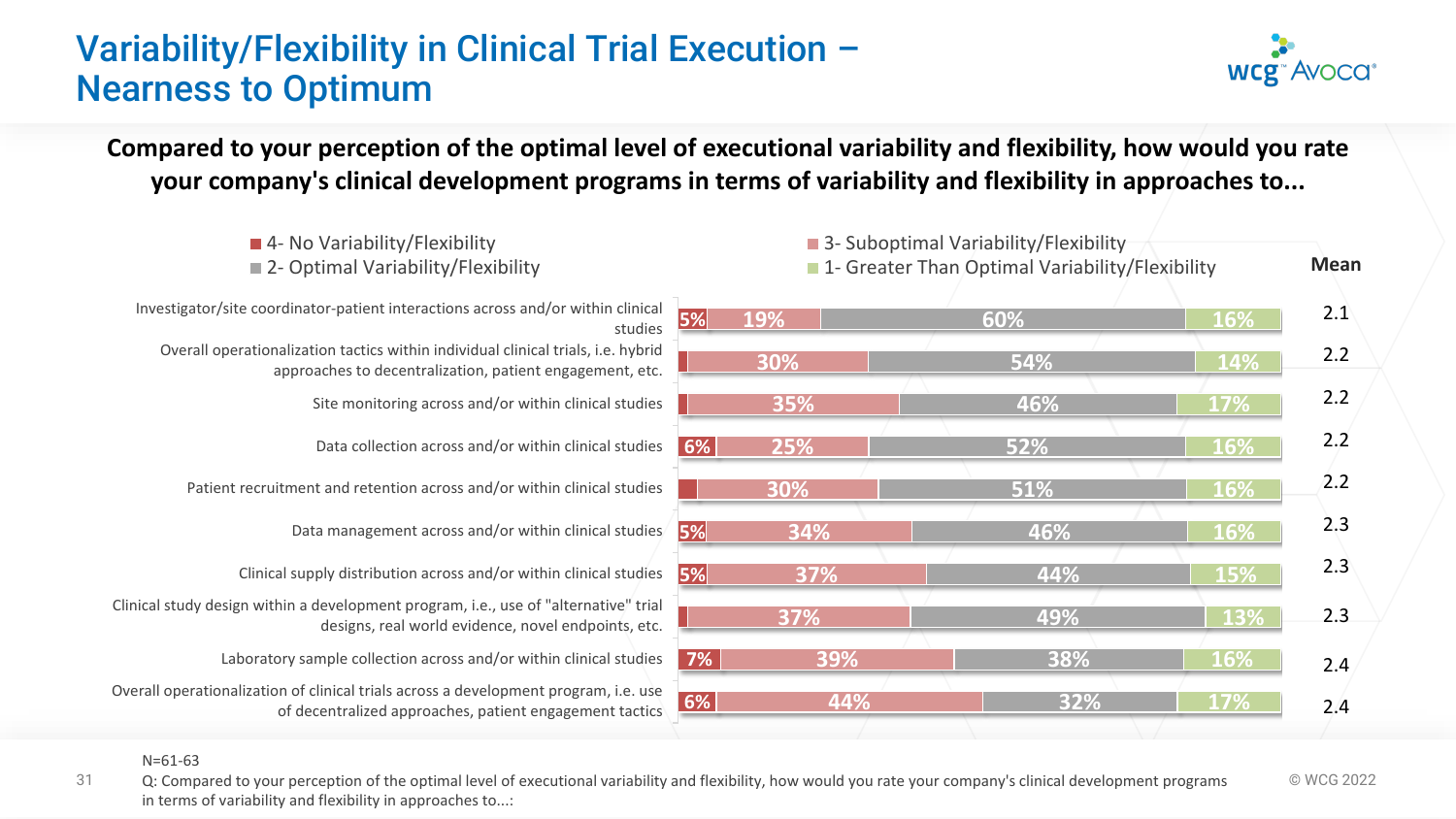# Variability/Flexibility in Clinical Trial Execution – Nearness to Optimum

**WCg**<sup>\*</sup> Avoca<sup>\*</sup>

**Compared to your perception of the optimal level of executional variability and flexibility, how would you rate your company's clinical development programs in terms of variability and flexibility in approaches to...**

| ■ 4- No Variability/Flexibility<br>■ 2- Optimal Variability/Flexibility                                                                         |    |     | ■ 3- Suboptimal Variability/Flexibility<br>■ 1- Greater Than Optimal Variability/Flexibility |            | <b>Mean</b> |  |
|-------------------------------------------------------------------------------------------------------------------------------------------------|----|-----|----------------------------------------------------------------------------------------------|------------|-------------|--|
| Investigator/site coordinator-patient interactions across and/or within clinical<br>studies                                                     | 5% | 19% | 60%                                                                                          | <b>16%</b> | 2.1         |  |
| Overall operationalization tactics within individual clinical trials, i.e. hybrid<br>approaches to decentralization, patient engagement, etc.   |    | 30% | 54%                                                                                          | 14%        | 2.2         |  |
| Site monitoring across and/or within clinical studies                                                                                           |    | 35% | 46%                                                                                          | <b>17%</b> | 2.2         |  |
| Data collection across and/or within clinical studies                                                                                           | 6% | 25% | 52%                                                                                          | <b>16%</b> | 2.2         |  |
| Patient recruitment and retention across and/or within clinical studies                                                                         |    | 30% | 51%                                                                                          | <b>16%</b> | 2.2         |  |
| Data management across and/or within clinical studies                                                                                           | 5% | 34% | 46%                                                                                          | 16%        | 2.3         |  |
| Clinical supply distribution across and/or within clinical studies                                                                              | 5% | 37% | 44%                                                                                          | <b>15%</b> | 2.3         |  |
| Clinical study design within a development program, i.e., use of "alternative" trial<br>designs, real world evidence, novel endpoints, etc.     |    | 37% | 49%                                                                                          | 13%        | 2.3         |  |
| Laboratory sample collection across and/or within clinical studies                                                                              | 7% | 39% | 38%                                                                                          | <b>16%</b> | 2.4         |  |
| Overall operationalization of clinical trials across a development program, i.e. use<br>of decentralized approaches, patient engagement tactics | 6% | 44% | 32%                                                                                          | <b>17%</b> | 2.4         |  |
|                                                                                                                                                 |    |     |                                                                                              |            |             |  |

N=61-63

31 Q: Compared to your perception of the optimal level of executional variability and flexibility, how would you rate your company's clinical development programs  $\textcircled{wCG 2022}$ in terms of variability and flexibility in approaches to...: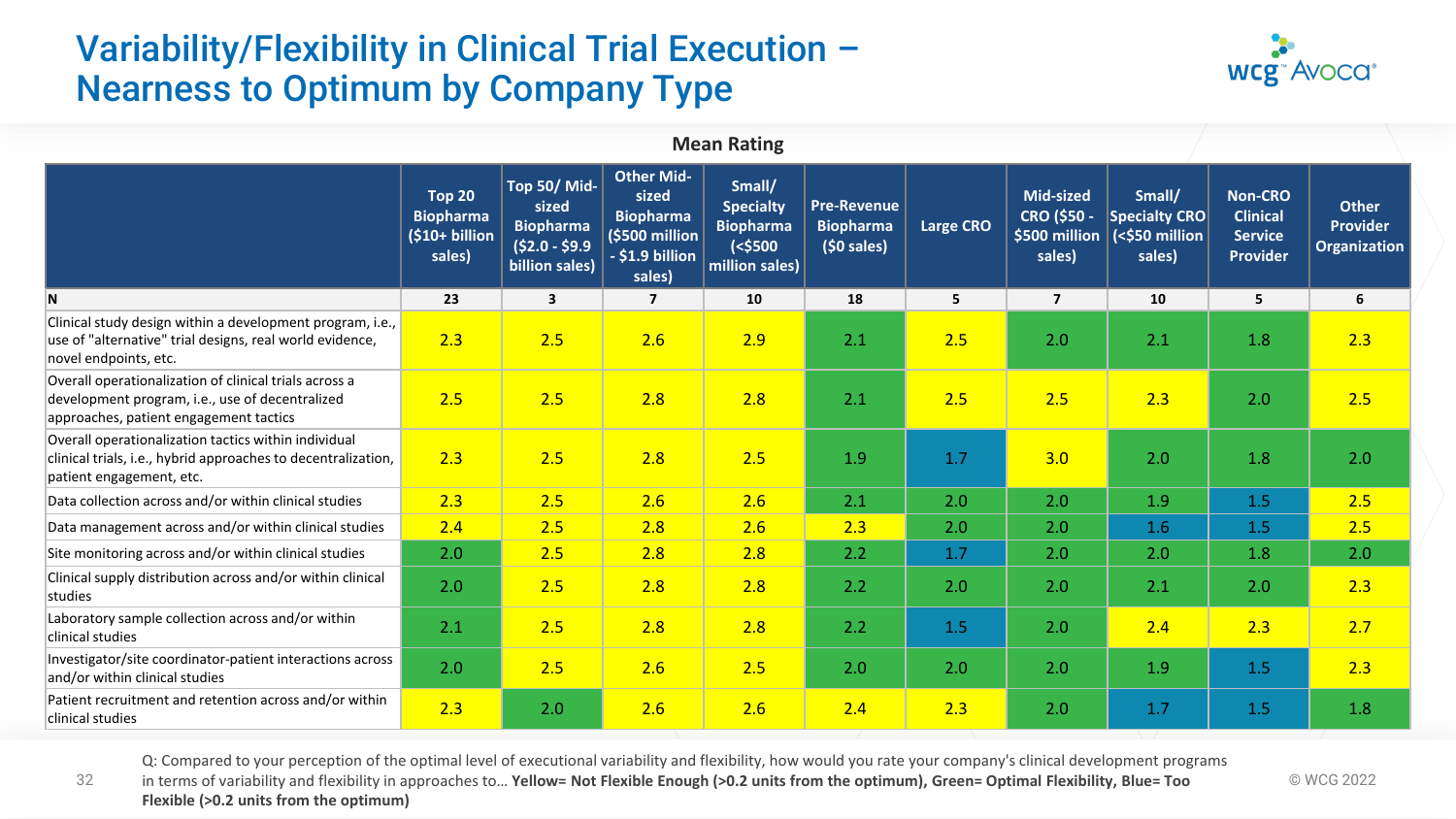# Variability/Flexibility in Clinical Trial Execution – Nearness to Optimum by Company Type



| <b>Mean Rating</b>                                                                                                                                  |                                                               |                                                                              |                                                                                               |                                                                                |                                                        |                  |                                                                   |                                                            |                                                                        |                                                        |
|-----------------------------------------------------------------------------------------------------------------------------------------------------|---------------------------------------------------------------|------------------------------------------------------------------------------|-----------------------------------------------------------------------------------------------|--------------------------------------------------------------------------------|--------------------------------------------------------|------------------|-------------------------------------------------------------------|------------------------------------------------------------|------------------------------------------------------------------------|--------------------------------------------------------|
|                                                                                                                                                     | <b>Top 20</b><br><b>Biopharma</b><br>(\$10+ billion<br>sales) | Top 50/ Mid-<br>sized<br><b>Biopharma</b><br>$$2.0 - $9.9$<br>billion sales) | <b>Other Mid-</b><br>sized<br><b>Biopharma</b><br>(\$500 million<br>- \$1.9 billion<br>sales) | Small/<br><b>Specialty</b><br><b>Biopharma</b><br>$(<$ \$500<br>million sales) | <b>Pre-Revenue</b><br><b>Biopharma</b><br>$(50$ sales) | <b>Large CRO</b> | <b>Mid-sized</b><br><b>CRO (\$50 -</b><br>\$500 million<br>sales) | Small/<br><b>Specialty CRO</b><br>(<\$50 million<br>sales) | <b>Non-CRO</b><br><b>Clinical</b><br><b>Service</b><br><b>Provider</b> | <b>Other</b><br><b>Provider</b><br><b>Organization</b> |
| N                                                                                                                                                   | 23                                                            | $\mathbf{3}$                                                                 | $\overline{7}$                                                                                | 10                                                                             | 18                                                     | 5                | $\overline{\mathbf{z}}$                                           | 10                                                         | 5                                                                      | 6                                                      |
| Clinical study design within a development program, i.e.,<br>use of "alternative" trial designs, real world evidence,<br>novel endpoints, etc.      | 2.3                                                           | 2.5                                                                          | 2.6                                                                                           | 2.9                                                                            | 2.1                                                    | 2.5              | 2.0                                                               | 2.1                                                        | 1.8                                                                    | 2.3                                                    |
| Overall operationalization of clinical trials across a<br>development program, i.e., use of decentralized<br>approaches, patient engagement tactics | 2.5                                                           | 2.5                                                                          | 2.8                                                                                           | 2.8                                                                            | 2.1                                                    | 2.5              | 2.5                                                               | 2.3                                                        | 2.0                                                                    | 2.5                                                    |
| Overall operationalization tactics within individual<br>clinical trials, i.e., hybrid approaches to decentralization,<br>patient engagement, etc.   | 2.3                                                           | 2.5                                                                          | 2.8                                                                                           | 2.5                                                                            | 1.9                                                    | 1.7              | 3.0                                                               | 2.0                                                        | 1.8                                                                    | 2.0                                                    |
| Data collection across and/or within clinical studies                                                                                               | 2.3                                                           | 2.5                                                                          | 2.6                                                                                           | 2.6                                                                            | 2.1                                                    | 2.0              | 2.0                                                               | 1.9                                                        | 1.5                                                                    | 2.5                                                    |
| Data management across and/or within clinical studies                                                                                               | 2.4                                                           | 2.5                                                                          | 2.8                                                                                           | 2.6                                                                            | 2.3                                                    | 2.0              | 2.0                                                               | 1.6                                                        | 1.5                                                                    | 2.5                                                    |
| Site monitoring across and/or within clinical studies                                                                                               | 2.0                                                           | 2.5                                                                          | 2.8                                                                                           | 2.8                                                                            | 2.2                                                    | 1.7              | 2.0                                                               | 2.0                                                        | 1.8                                                                    | 2.0                                                    |
| Clinical supply distribution across and/or within clinical<br>studies                                                                               | 2.0                                                           | 2.5                                                                          | 2.8                                                                                           | 2.8                                                                            | 2.2                                                    | 2.0              | 2.0                                                               | 2.1                                                        | 2.0                                                                    | 2.3                                                    |
| Laboratory sample collection across and/or within<br>clinical studies                                                                               | 2.1                                                           | 2.5                                                                          | 2.8                                                                                           | 2.8                                                                            | 2.2                                                    | 1.5              | 2.0                                                               | 2.4                                                        | 2.3                                                                    | 2.7                                                    |
| Investigator/site coordinator-patient interactions across<br>and/or within clinical studies                                                         | 2.0                                                           | 2.5                                                                          | 2.6                                                                                           | 2.5                                                                            | 2.0                                                    | 2.0              | 2.0                                                               | 1.9                                                        | 1.5                                                                    | 2.3                                                    |
| Patient recruitment and retention across and/or within<br>clinical studies                                                                          | 2.3                                                           | 2.0                                                                          | 2.6                                                                                           | 2.6                                                                            | 2.4                                                    | 2.3              | 2.0                                                               | 1.7                                                        | 1.5                                                                    | 1.8                                                    |

Q: Compared to your perception of the optimal level of executional variability and flexibility, how would you rate your company's clinical development programs

32 © WCG 2022 in terms of variability and flexibility in approaches to… **Yellow= Not Flexible Enough (>0.2 units from the optimum), Green= Optimal Flexibility, Blue= Too Flexible (>0.2 units from the optimum)**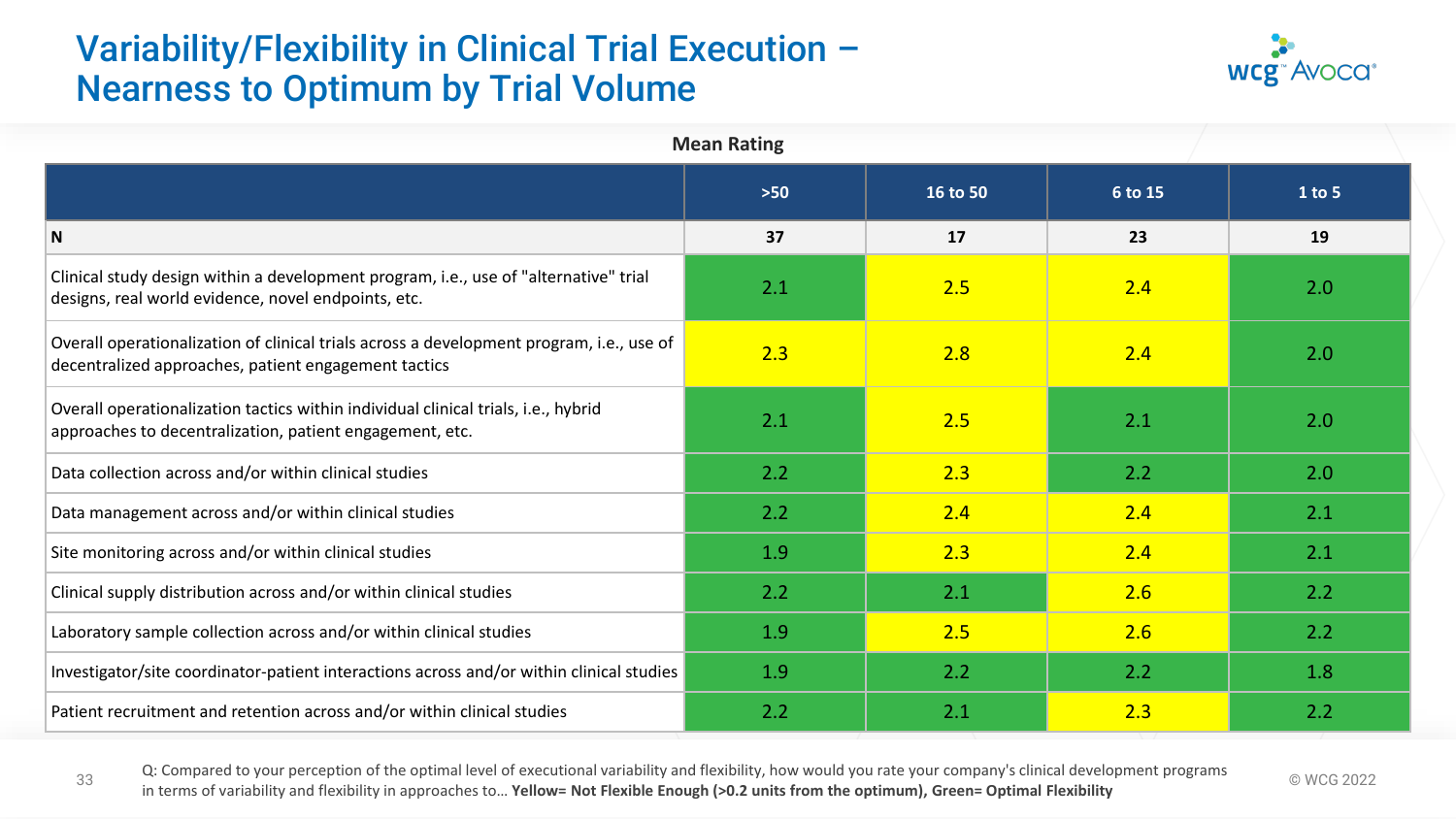# Variability/Flexibility in Clinical Trial Execution – Nearness to Optimum by Trial Volume



| <b>Mean Rating</b>                                                                                                                               |       |          |         |        |  |  |  |  |
|--------------------------------------------------------------------------------------------------------------------------------------------------|-------|----------|---------|--------|--|--|--|--|
|                                                                                                                                                  | $>50$ | 16 to 50 | 6 to 15 | 1 to 5 |  |  |  |  |
| ${\sf N}$                                                                                                                                        | 37    | 17       | 23      | 19     |  |  |  |  |
| Clinical study design within a development program, i.e., use of "alternative" trial<br>designs, real world evidence, novel endpoints, etc.      | 2.1   | 2.5      | 2.4     | 2.0    |  |  |  |  |
| Overall operationalization of clinical trials across a development program, i.e., use of<br>decentralized approaches, patient engagement tactics | 2.3   | 2.8      | 2.4     | 2.0    |  |  |  |  |
| Overall operationalization tactics within individual clinical trials, i.e., hybrid<br>approaches to decentralization, patient engagement, etc.   | 2.1   | 2.5      | 2.1     | 2.0    |  |  |  |  |
| Data collection across and/or within clinical studies                                                                                            | 2.2   | 2.3      | 2.2     | 2.0    |  |  |  |  |
| Data management across and/or within clinical studies                                                                                            | 2.2   | 2.4      | 2.4     | 2.1    |  |  |  |  |
| Site monitoring across and/or within clinical studies                                                                                            | 1.9   | 2.3      | 2.4     | 2.1    |  |  |  |  |
| Clinical supply distribution across and/or within clinical studies                                                                               | 2.2   | 2.1      | 2.6     | 2.2    |  |  |  |  |
| Laboratory sample collection across and/or within clinical studies                                                                               | 1.9   | 2.5      | 2.6     | 2.2    |  |  |  |  |
| Investigator/site coordinator-patient interactions across and/or within clinical studies                                                         | 1.9   | 2.2      | 2.2     | 1.8    |  |  |  |  |
| Patient recruitment and retention across and/or within clinical studies                                                                          | 2.2   | 2.1      | 2.3     | 2.2    |  |  |  |  |

33 Compared to your perception of the optimal level of executional variability and hexibility, how would you face your company s'ellimediate velopment programs 
© WCG 2022<br>in terms of variability and flexibility in approac Q: Compared to your perception of the optimal level of executional variability and flexibility, how would you rate your company's clinical development programs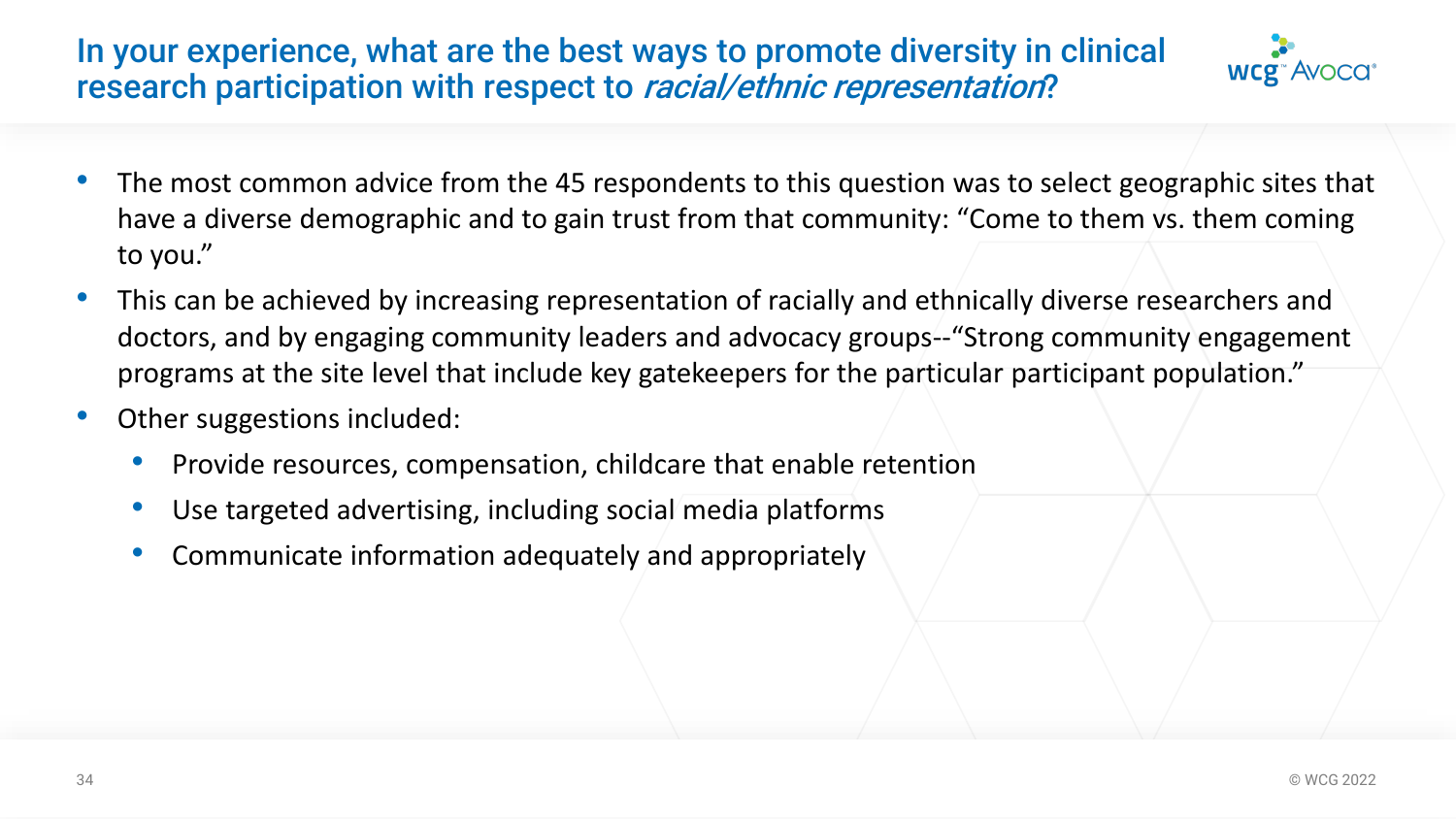### In your experience, what are the best ways to promote diversity in clinical research participation with respect to racial/ethnic representation?



- The most common advice from the 45 respondents to this question was to select geographic sites that have a diverse demographic and to gain trust from that community: "Come to them vs. them coming to you."
- This can be achieved by increasing representation of racially and ethnically diverse researchers and doctors, and by engaging community leaders and advocacy groups--"Strong community engagement programs at the site level that include key gatekeepers for the particular participant population."
- Other suggestions included:
	- Provide resources, compensation, childcare that enable retention
	- Use targeted advertising, including social media platforms
	- Communicate information adequately and appropriately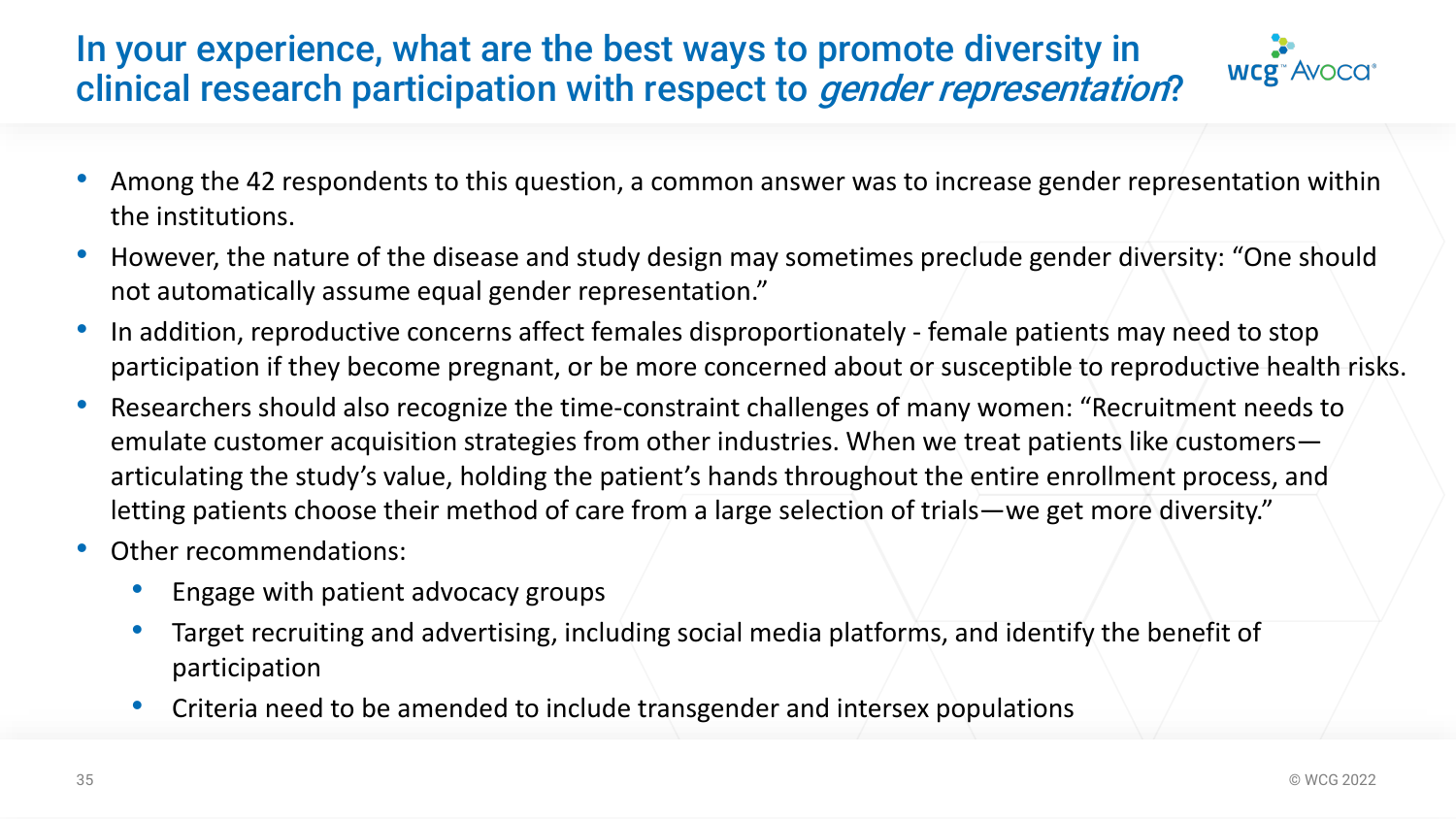# In your experience, what are the best ways to promote diversity in clinical research participation with respect to gender representation?



- Among the 42 respondents to this question, a common answer was to increase gender representation within the institutions.
- However, the nature of the disease and study design may sometimes preclude gender diversity: "One should not automatically assume equal gender representation."
- In addition, reproductive concerns affect females disproportionately female patients may need to stop participation if they become pregnant, or be more concerned about or susceptible to reproductive health risks.
- Researchers should also recognize the time-constraint challenges of many women: "Recruitment needs to emulate customer acquisition strategies from other industries. When we treat patients like customers articulating the study's value, holding the patient's hands throughout the entire enrollment process, and letting patients choose their method of care from a large selection of trials—we get more diversity."
- Other recommendations:
	- Engage with patient advocacy groups
	- Target recruiting and advertising, including social media platforms, and identify the benefit of participation
	- Criteria need to be amended to include transgender and intersex populations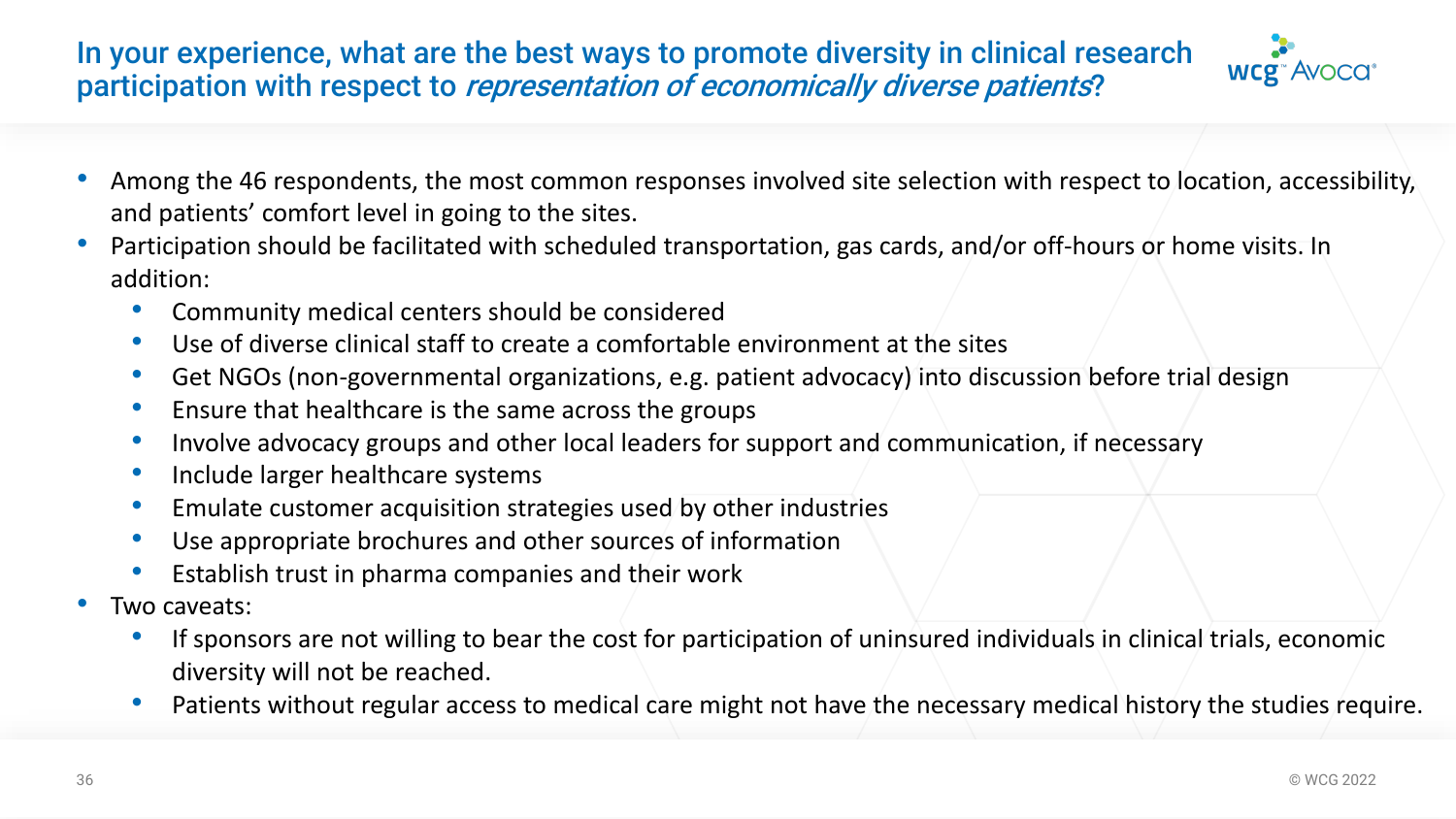In your experience, what are the best ways to promote diversity in clinical research participation with respect to representation of economically diverse patients?



- Among the 46 respondents, the most common responses involved site selection with respect to location, accessibility, and patients' comfort level in going to the sites.
- Participation should be facilitated with scheduled transportation, gas cards, and/or off-hours or home visits. In addition:
	- Community medical centers should be considered
	- Use of diverse clinical staff to create a comfortable environment at the sites
	- Get NGOs (non-governmental organizations, e.g. patient advocacy) into discussion before trial design
	- Ensure that healthcare is the same across the groups
	- Involve advocacy groups and other local leaders for support and communication, if necessary
	- Include larger healthcare systems
	- Emulate customer acquisition strategies used by other industries
	- Use appropriate brochures and other sources of information
	- Establish trust in pharma companies and their work
- Two caveats:
	- If sponsors are not willing to bear the cost for participation of uninsured individuals in clinical trials, economic diversity will not be reached.
	- Patients without regular access to medical care might not have the necessary medical history the studies require.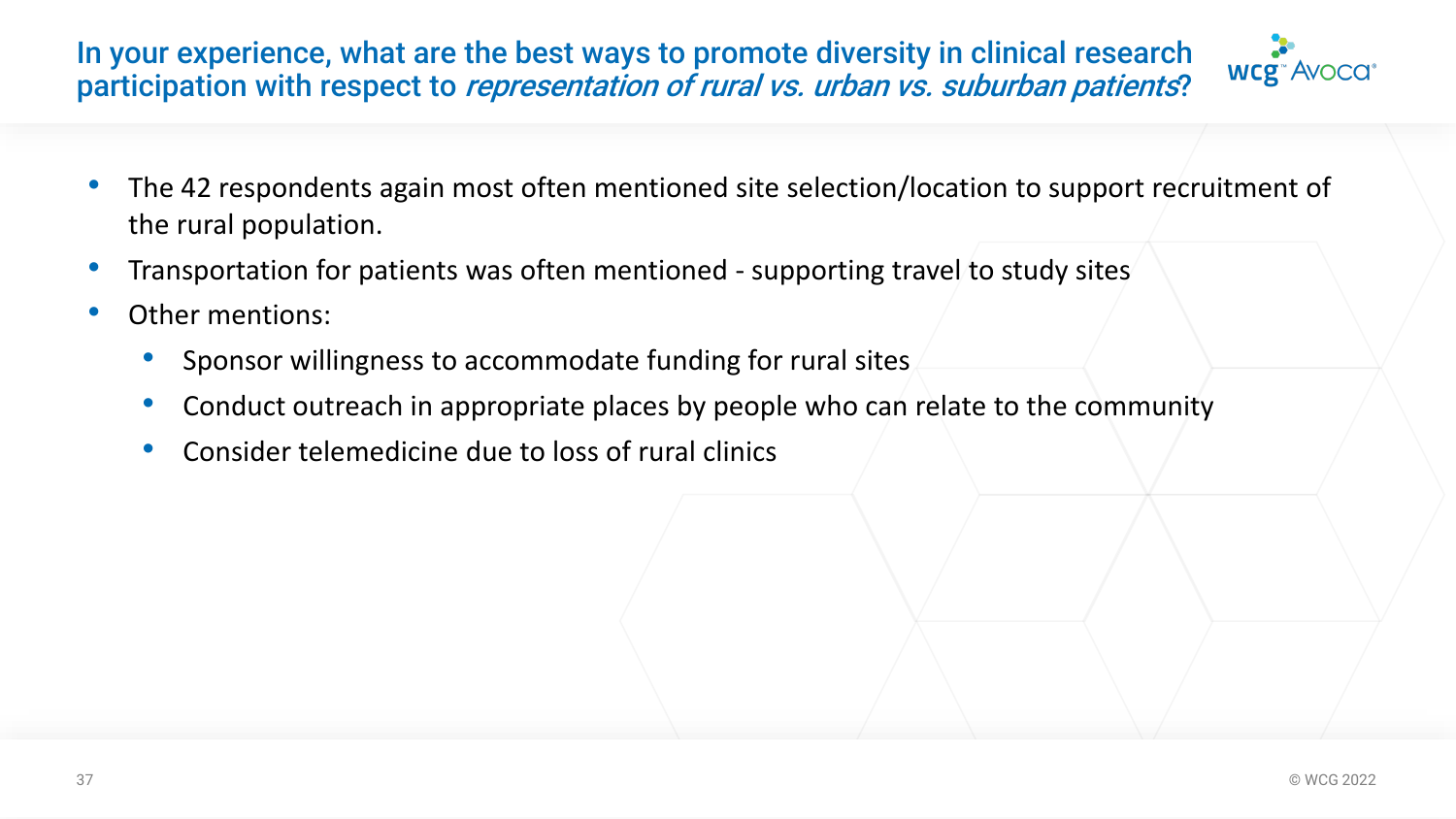In your experience, what are the best ways to promote diversity in clinical research participation with respect to representation of rural vs. urban vs. suburban patients?



- The 42 respondents again most often mentioned site selection/location to support recruitment of the rural population.
- Transportation for patients was often mentioned supporting travel to study sites
- Other mentions:
	- Sponsor willingness to accommodate funding for rural sites
	- Conduct outreach in appropriate places by people who can relate to the community
	- Consider telemedicine due to loss of rural clinics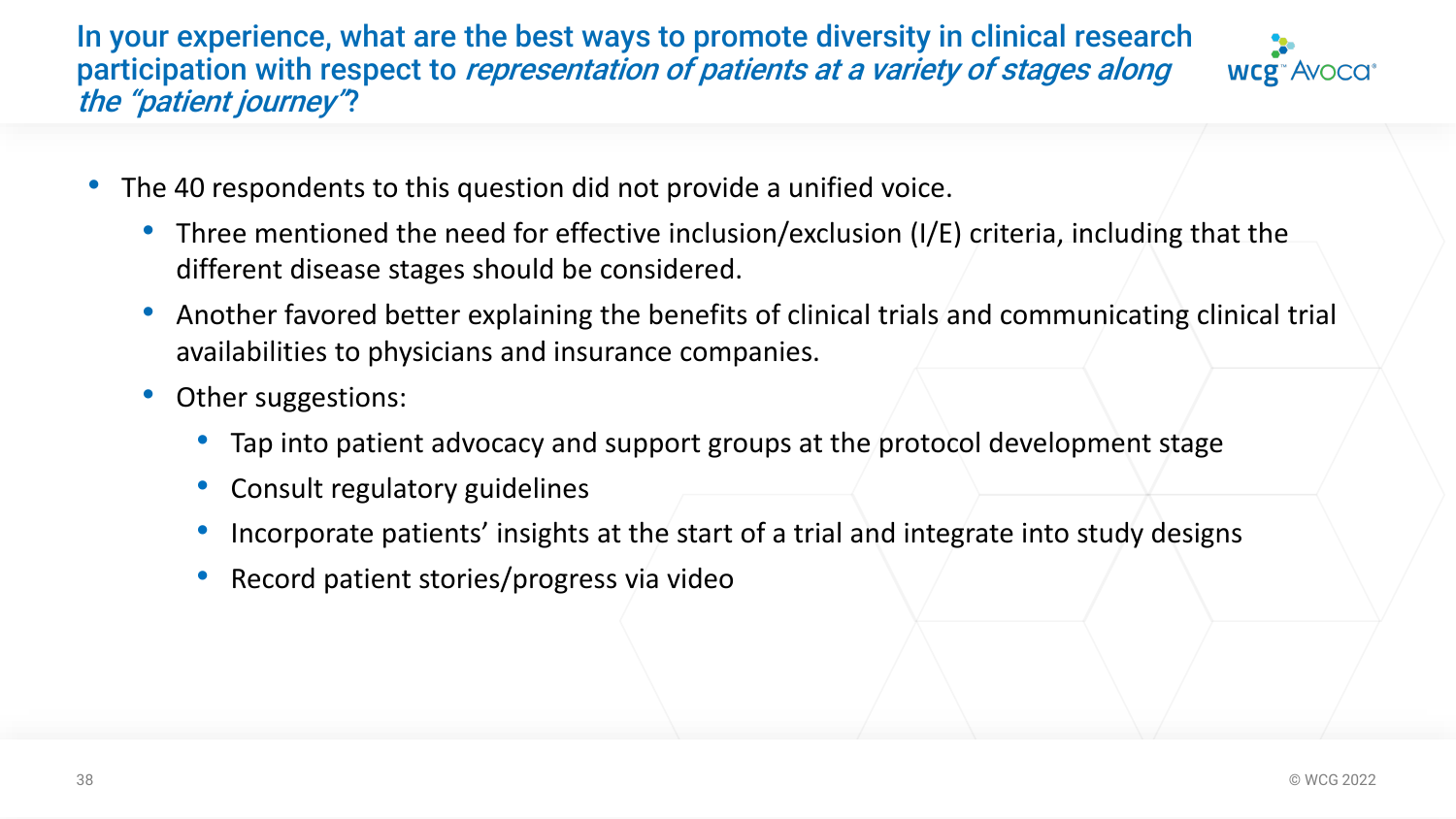In your experience, what are the best ways to promote diversity in clinical research participation with respect to representation of patients at a variety of stages along the "patient journey"?



- The 40 respondents to this question did not provide a unified voice.
	- Three mentioned the need for effective inclusion/exclusion (I/E) criteria, including that the different disease stages should be considered.
	- Another favored better explaining the benefits of clinical trials and communicating clinical trial availabilities to physicians and insurance companies.
	- Other suggestions:
		- Tap into patient advocacy and support groups at the protocol development stage
		- Consult regulatory guidelines
		- Incorporate patients' insights at the start of a trial and integrate into study designs
		- Record patient stories/progress via video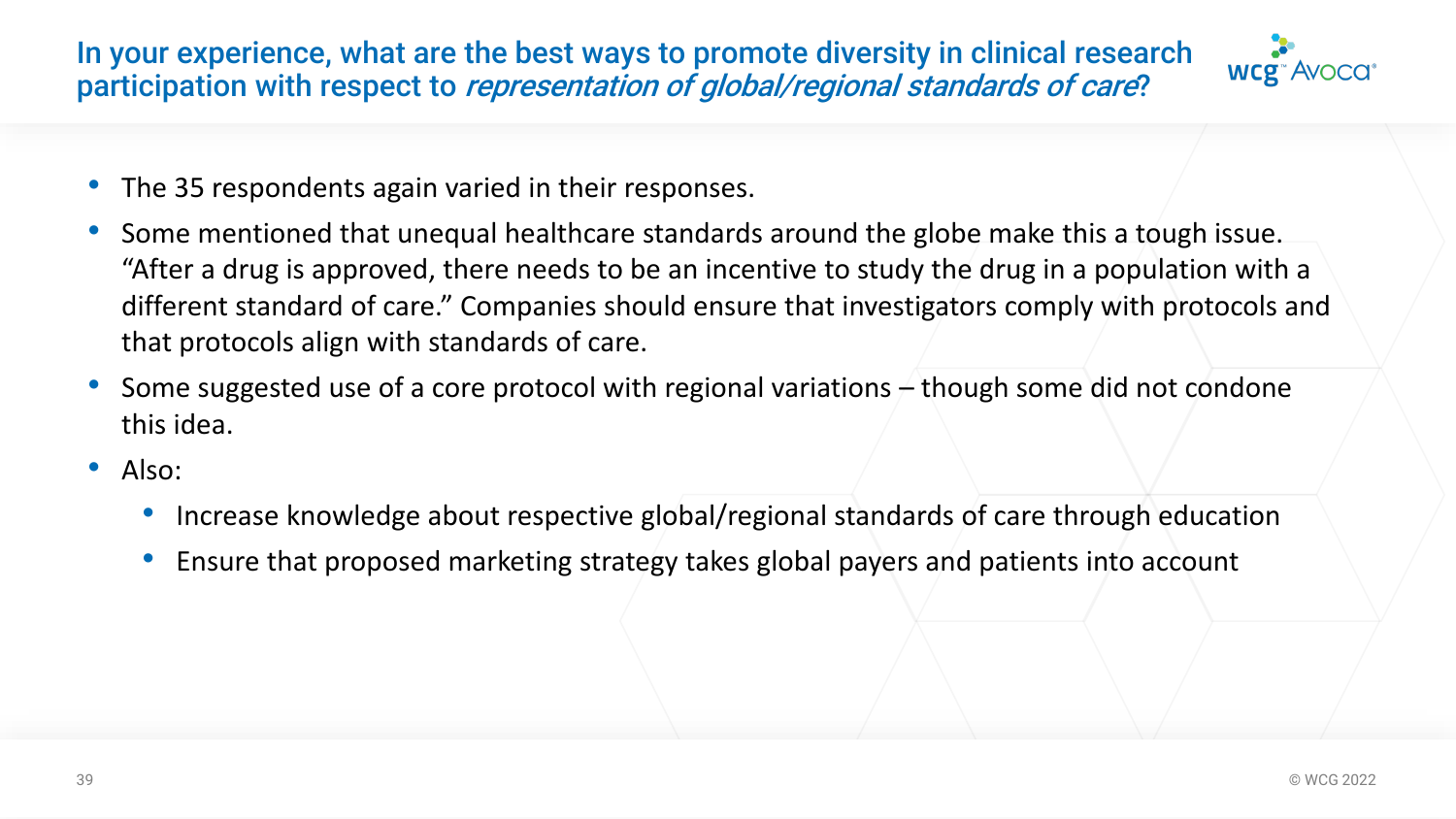In your experience, what are the best ways to promote diversity in clinical research participation with respect to representation of global/regional standards of care?



- The 35 respondents again varied in their responses.
- Some mentioned that unequal healthcare standards around the globe make this a tough issue. "After a drug is approved, there needs to be an incentive to study the drug in a population with a different standard of care." Companies should ensure that investigators comply with protocols and that protocols align with standards of care.
- Some suggested use of a core protocol with regional variations though some did not condone this idea.
- Also:
	- Increase knowledge about respective global/regional standards of care through education
	- Ensure that proposed marketing strategy takes global payers and patients into account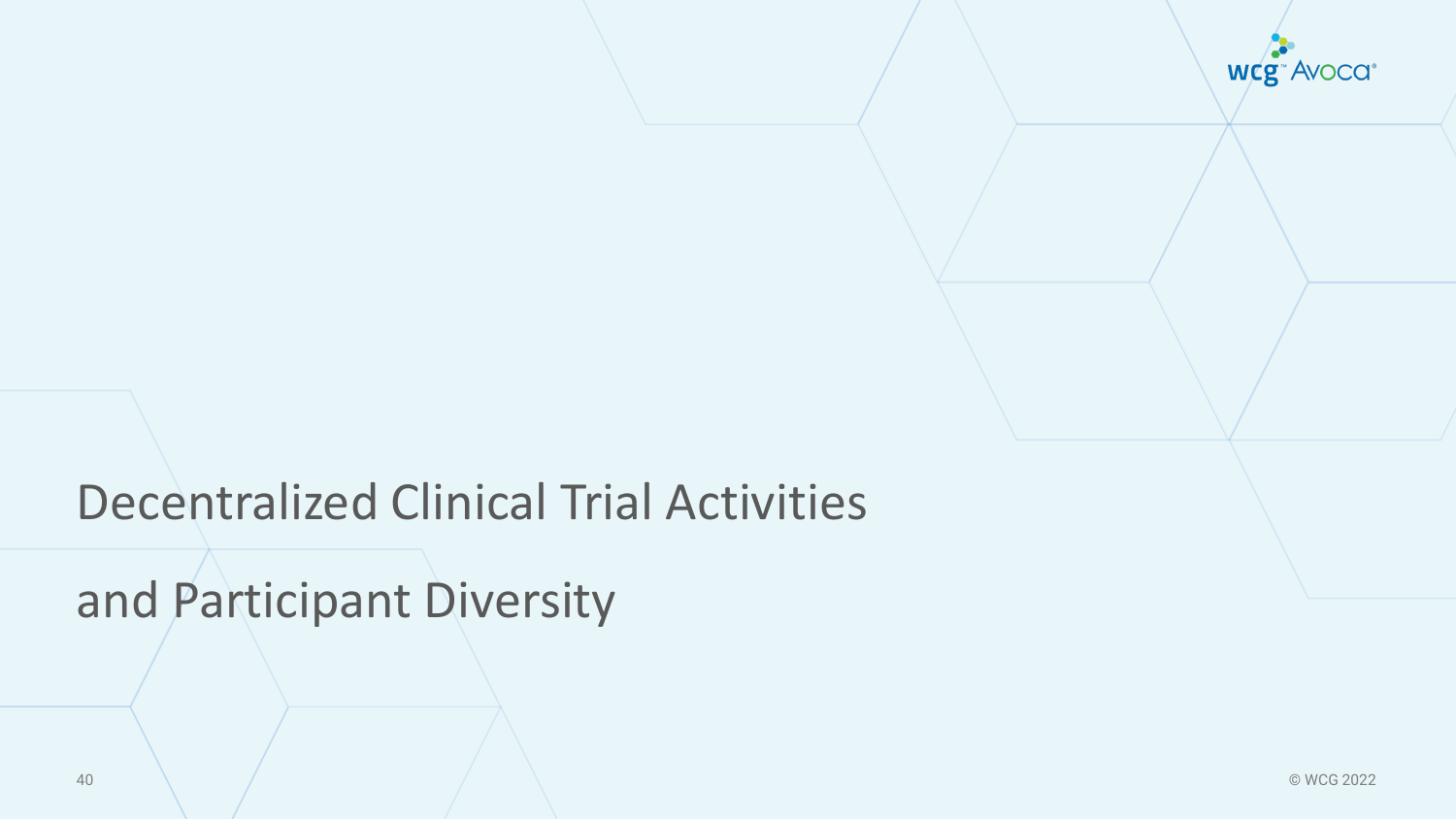wcg<sup>"</sup> Avoca<sup>®</sup>

# Decentralized Clinical Trial Activities

and Participant Diversity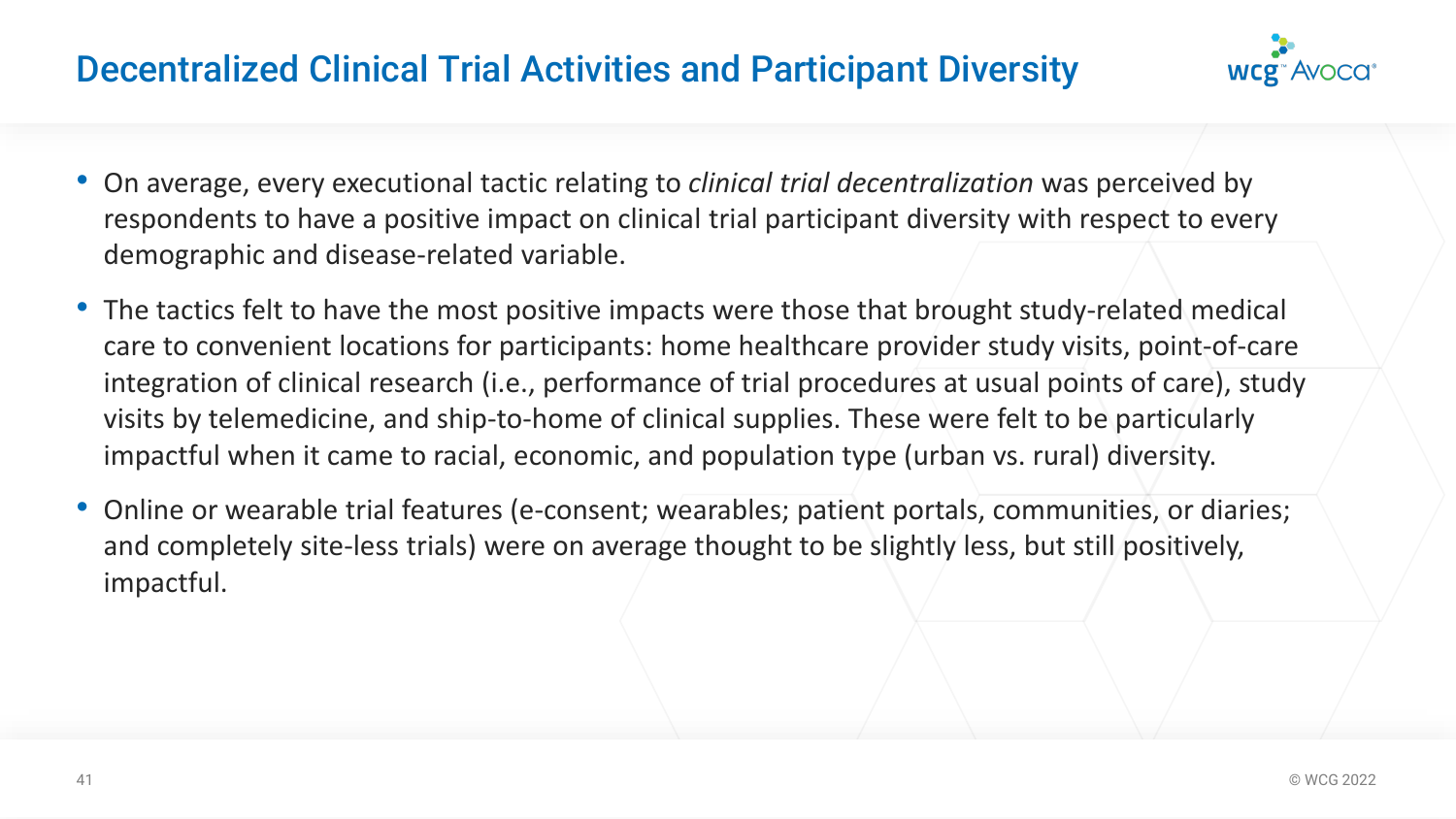# Decentralized Clinical Trial Activities and Participant Diversity



- On average, every executional tactic relating to *clinical trial decentralization* was perceived by respondents to have a positive impact on clinical trial participant diversity with respect to every demographic and disease-related variable.
- The tactics felt to have the most positive impacts were those that brought study-related medical care to convenient locations for participants: home healthcare provider study visits, point-of-care integration of clinical research (i.e., performance of trial procedures at usual points of care), study visits by telemedicine, and ship-to-home of clinical supplies. These were felt to be particularly impactful when it came to racial, economic, and population type (urban vs. rural) diversity.
- Online or wearable trial features (e-consent; wearables; patient portals, communities, or diaries; and completely site-less trials) were on average thought to be slightly less, but still positively, impactful.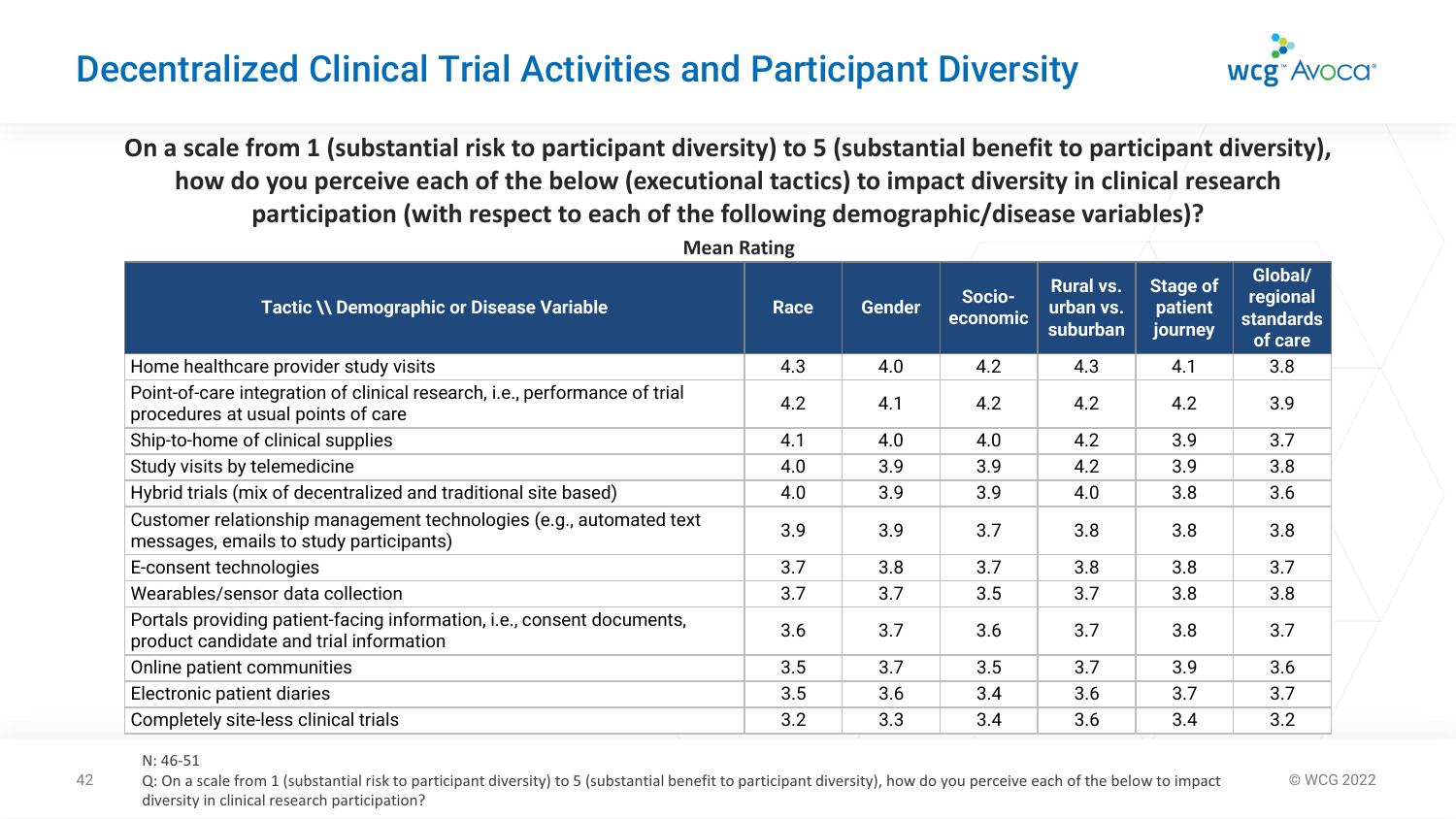# Decentralized Clinical Trial Activities and Participant Diversity



**On a scale from 1 (substantial risk to participant diversity) to 5 (substantial benefit to participant diversity), how do you perceive each of the below (executional tactics) to impact diversity in clinical research participation (with respect to each of the following demographic/disease variables)?**

| <b>Mean Rating</b>                                                                                                |             |               |                    |                                           |                                       |                                                    |
|-------------------------------------------------------------------------------------------------------------------|-------------|---------------|--------------------|-------------------------------------------|---------------------------------------|----------------------------------------------------|
| <b>Tactic \\ Demographic or Disease Variable</b>                                                                  | <b>Race</b> | <b>Gender</b> | Socio-<br>economic | <b>Rural vs.</b><br>urban vs.<br>suburban | <b>Stage of</b><br>patient<br>journey | Global/<br>regional<br><b>standards</b><br>of care |
| Home healthcare provider study visits                                                                             | 4.3         | 4.0           | 4.2                | 4.3                                       | 4.1                                   | 3.8                                                |
| Point-of-care integration of clinical research, i.e., performance of trial<br>procedures at usual points of care  | 4.2         | 4.1           | 4.2                | 4.2                                       | 4.2                                   | 3.9                                                |
| Ship-to-home of clinical supplies                                                                                 | 4.1         | 4.0           | 4.0                | 4.2                                       | 3.9                                   | 3.7                                                |
| Study visits by telemedicine                                                                                      | 4.0         | 3.9           | 3.9                | 4.2                                       | 3.9                                   | 3.8                                                |
| Hybrid trials (mix of decentralized and traditional site based)                                                   | 4.0         | 3.9           | 3.9                | 4.0                                       | 3.8                                   | 3.6                                                |
| Customer relationship management technologies (e.g., automated text<br>messages, emails to study participants)    | 3.9         | 3.9           | 3.7                | 3.8                                       | 3.8                                   | 3.8                                                |
| E-consent technologies                                                                                            | 3.7         | 3.8           | 3.7                | 3.8                                       | 3.8                                   | 3.7                                                |
| Wearables/sensor data collection                                                                                  | 3.7         | 3.7           | 3.5                | 3.7                                       | 3.8                                   | 3.8                                                |
| Portals providing patient-facing information, i.e., consent documents,<br>product candidate and trial information | 3.6         | 3.7           | 3.6                | 3.7                                       | 3.8                                   | 3.7                                                |
| Online patient communities                                                                                        | 3.5         | 3.7           | 3.5                | 3.7                                       | 3.9                                   | 3.6                                                |
| Electronic patient diaries                                                                                        | 3.5         | 3.6           | 3.4                | 3.6                                       | 3.7                                   | 3.7                                                |
| Completely site-less clinical trials                                                                              | 3.2         | 3.3           | 3.4                | 3.6                                       | 3.4                                   | 3.2                                                |

N: 46-51

42 Q: On a scale from 1 (substantial risk to participant diversity) to 5 (substantial benefit to participant diversity), how do you perceive each of the below to impact © WCG 2022 diversity in clinical research participation?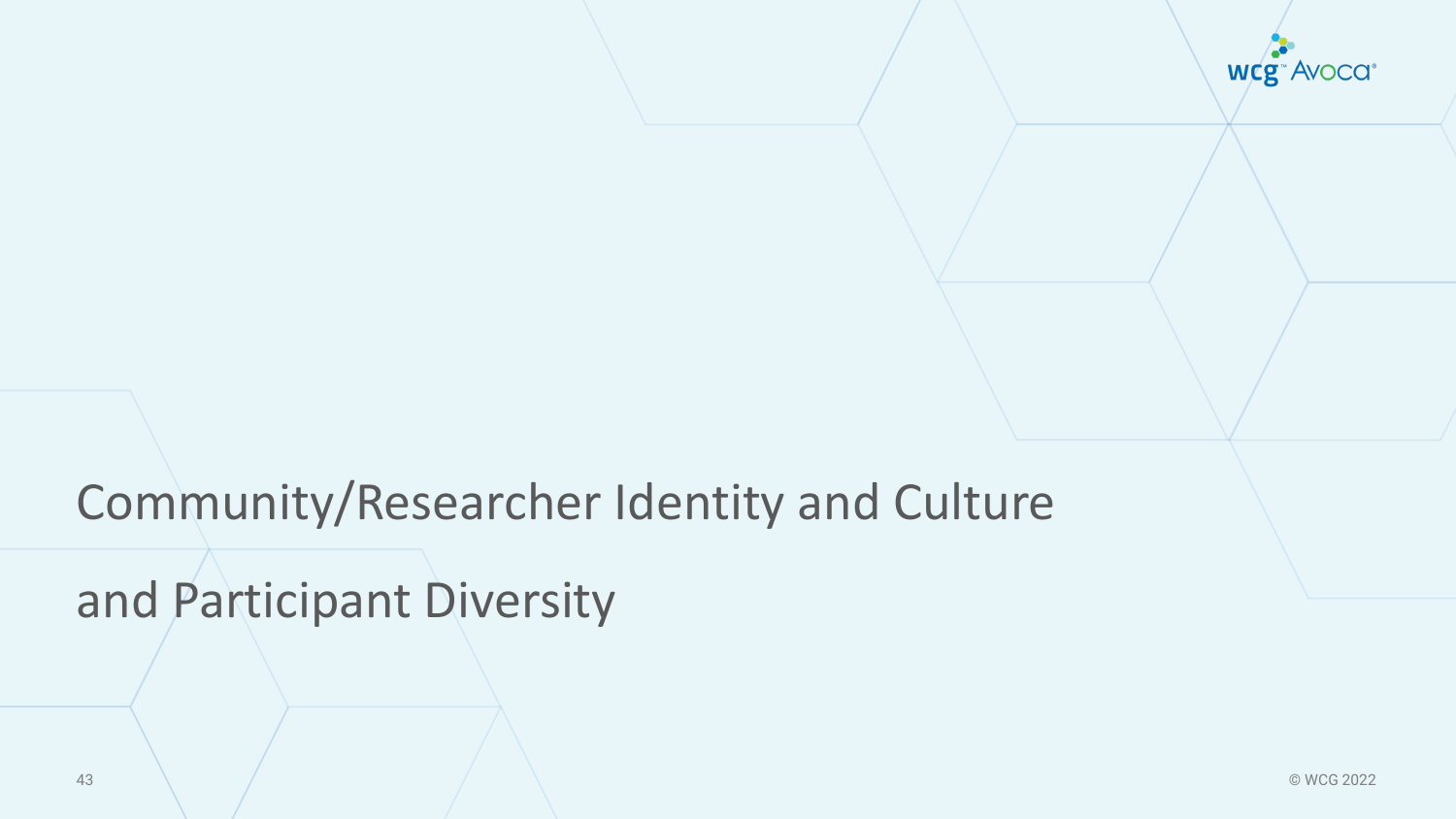

# Community/Researcher Identity and Culture

# and Participant Diversity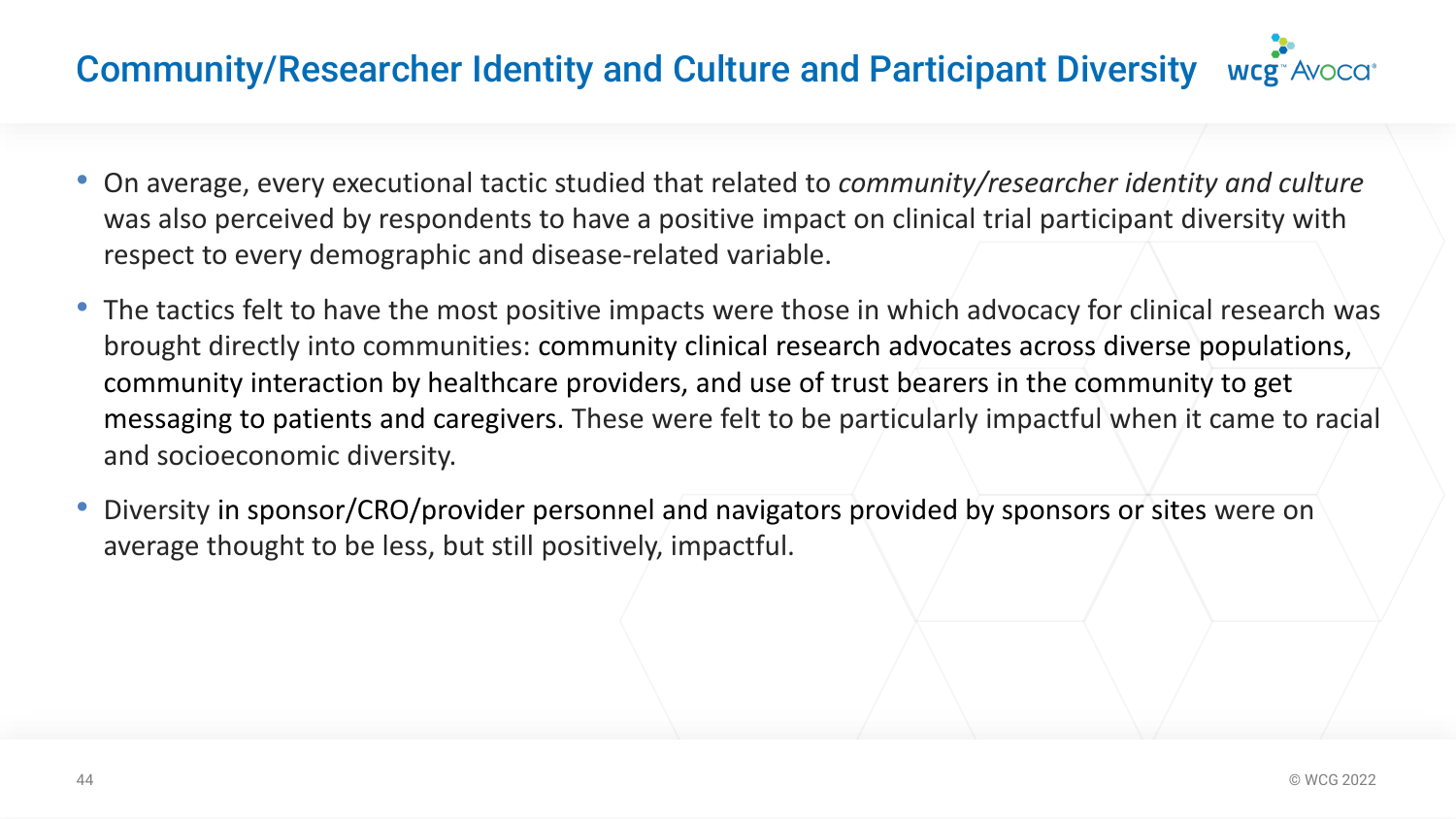# Community/Researcher Identity and Culture and Participant Diversity wcg. Avocation

- On average, every executional tactic studied that related to *community/researcher identity and culture*  was also perceived by respondents to have a positive impact on clinical trial participant diversity with respect to every demographic and disease-related variable.
- The tactics felt to have the most positive impacts were those in which advocacy for clinical research was brought directly into communities: community clinical research advocates across diverse populations, community interaction by healthcare providers, and use of trust bearers in the community to get messaging to patients and caregivers. These were felt to be particularly impactful when it came to racial and socioeconomic diversity.
- Diversity in sponsor/CRO/provider personnel and navigators provided by sponsors or sites were on average thought to be less, but still positively, impactful.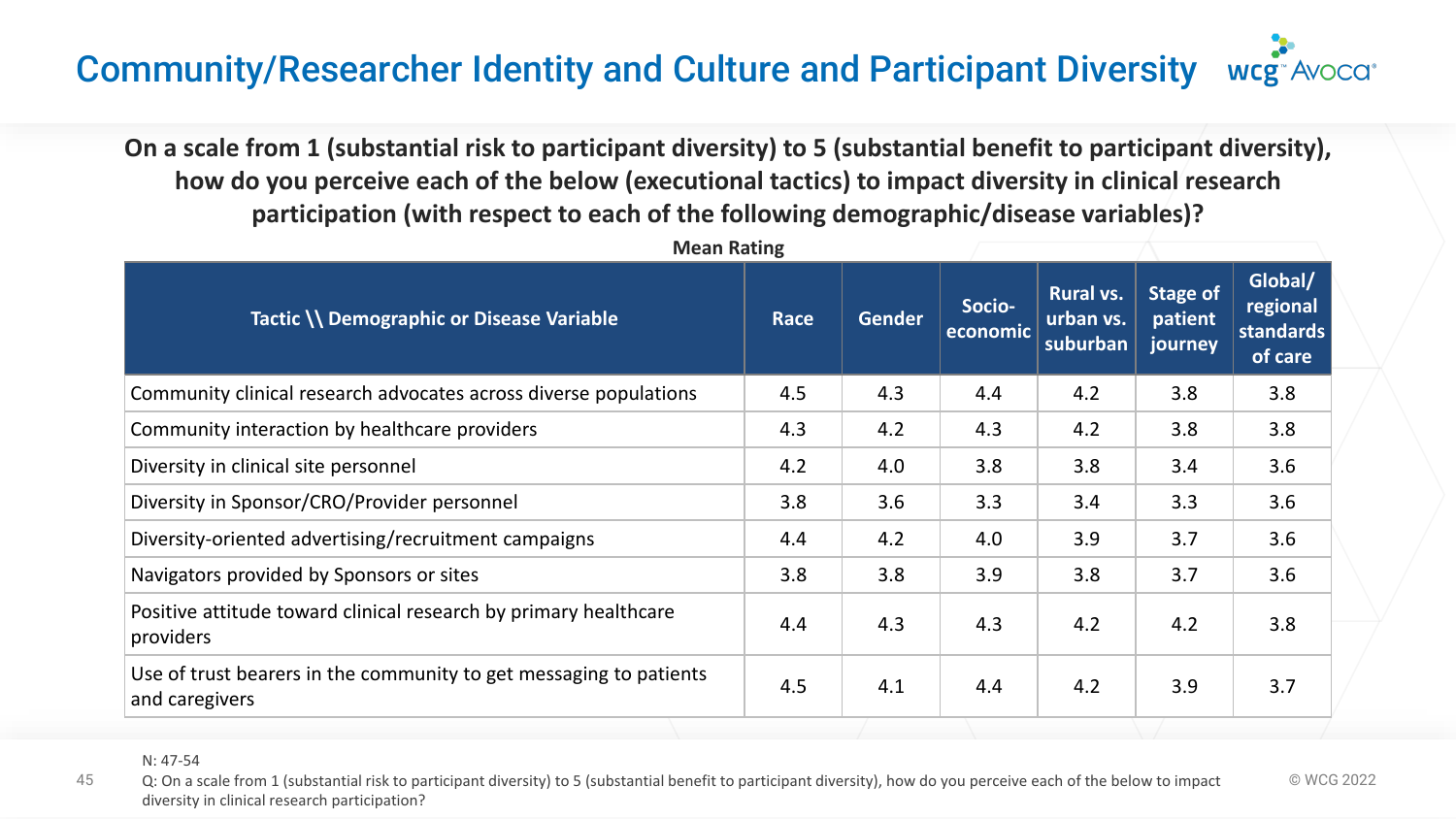#### Community/Researcher Identity and Culture and Participant Diversity **WCg**<sup>-</sup>Avoca<sup>+</sup>

**On a scale from 1 (substantial risk to participant diversity) to 5 (substantial benefit to participant diversity), how do you perceive each of the below (executional tactics) to impact diversity in clinical research participation (with respect to each of the following demographic/disease variables)?**

| <b>Mean Rating</b>                                                                   |             |        |                    |                                           |                                |                                             |
|--------------------------------------------------------------------------------------|-------------|--------|--------------------|-------------------------------------------|--------------------------------|---------------------------------------------|
| Tactic \\ Demographic or Disease Variable                                            | <b>Race</b> | Gender | Socio-<br>economic | <b>Rural vs.</b><br>urban vs.<br>suburban | Stage of<br>patient<br>journey | Global/<br>regional<br>standards<br>of care |
| Community clinical research advocates across diverse populations                     | 4.5         | 4.3    | 4.4                | 4.2                                       | 3.8                            | 3.8                                         |
| Community interaction by healthcare providers                                        | 4.3         | 4.2    | 4.3                | 4.2                                       | 3.8                            | 3.8                                         |
| Diversity in clinical site personnel                                                 | 4.2         | 4.0    | 3.8                | 3.8                                       | 3.4                            | 3.6                                         |
| Diversity in Sponsor/CRO/Provider personnel                                          | 3.8         | 3.6    | 3.3                | 3.4                                       | 3.3                            | 3.6                                         |
| Diversity-oriented advertising/recruitment campaigns                                 | 4.4         | 4.2    | 4.0                | 3.9                                       | 3.7                            | 3.6                                         |
| Navigators provided by Sponsors or sites                                             | 3.8         | 3.8    | 3.9                | 3.8                                       | 3.7                            | 3.6                                         |
| Positive attitude toward clinical research by primary healthcare<br>providers        | 4.4         | 4.3    | 4.3                | 4.2                                       | 4.2                            | 3.8                                         |
| Use of trust bearers in the community to get messaging to patients<br>and caregivers | 4.5         | 4.1    | 4.4                | 4.2                                       | 3.9                            | 3.7                                         |

45 Q: On a scale from 1 (substantial risk to participant diversity) to 5 (substantial benefit to participant diversity), how do you perceive each of the below to impact © WCG 2022 diversity in clinical research participation?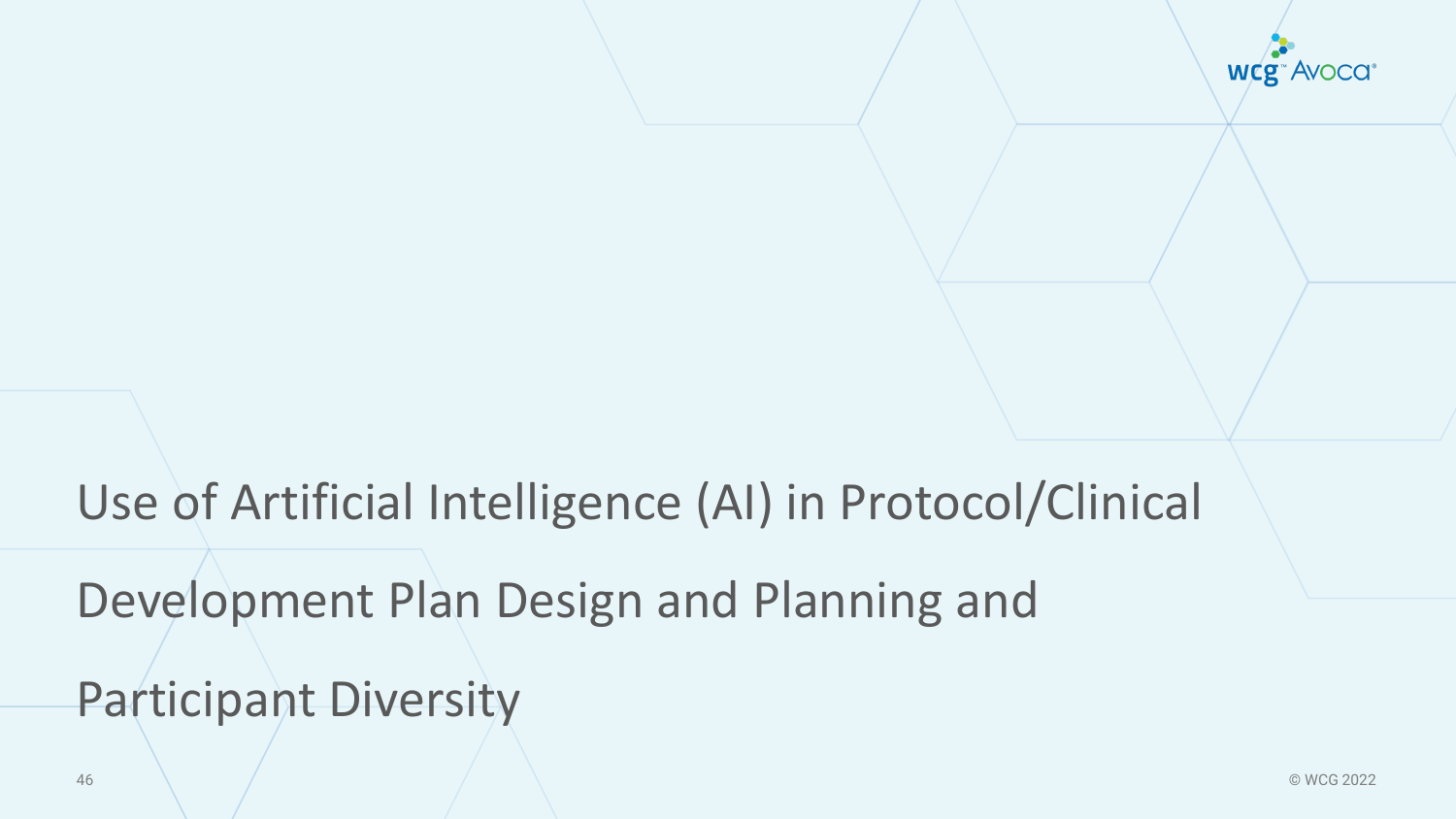

# Use of Artificial Intelligence (AI) in Protocol/Clinical

Development Plan Design and Planning and

Participant Diversity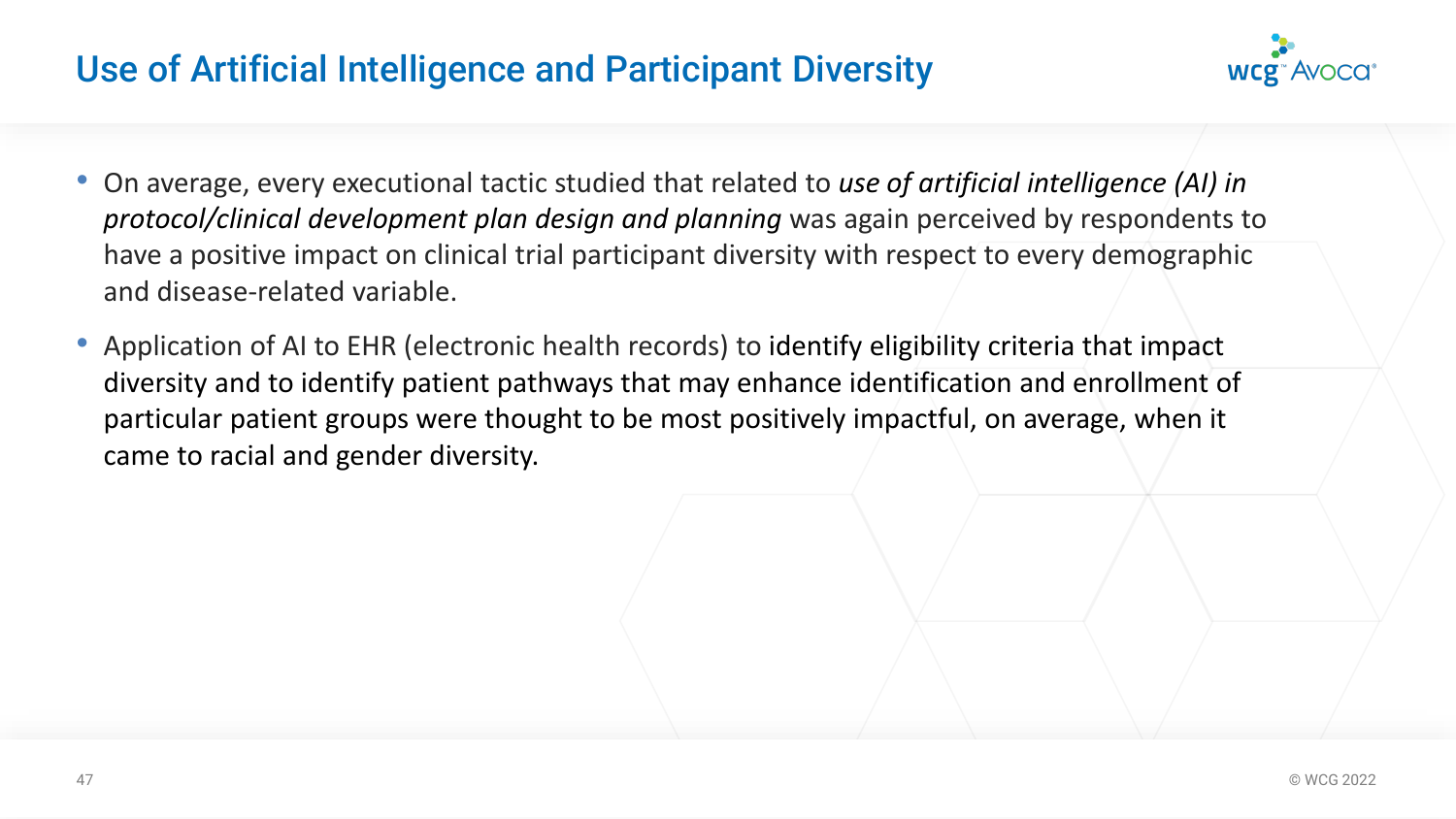# Use of Artificial Intelligence and Participant Diversity



- On average, every executional tactic studied that related to *use of artificial intelligence (AI) in protocol/clinical development plan design and planning* was again perceived by respondents to have a positive impact on clinical trial participant diversity with respect to every demographic and disease-related variable.
- Application of AI to EHR (electronic health records) to identify eligibility criteria that impact diversity and to identify patient pathways that may enhance identification and enrollment of particular patient groups were thought to be most positively impactful, on average, when it came to racial and gender diversity.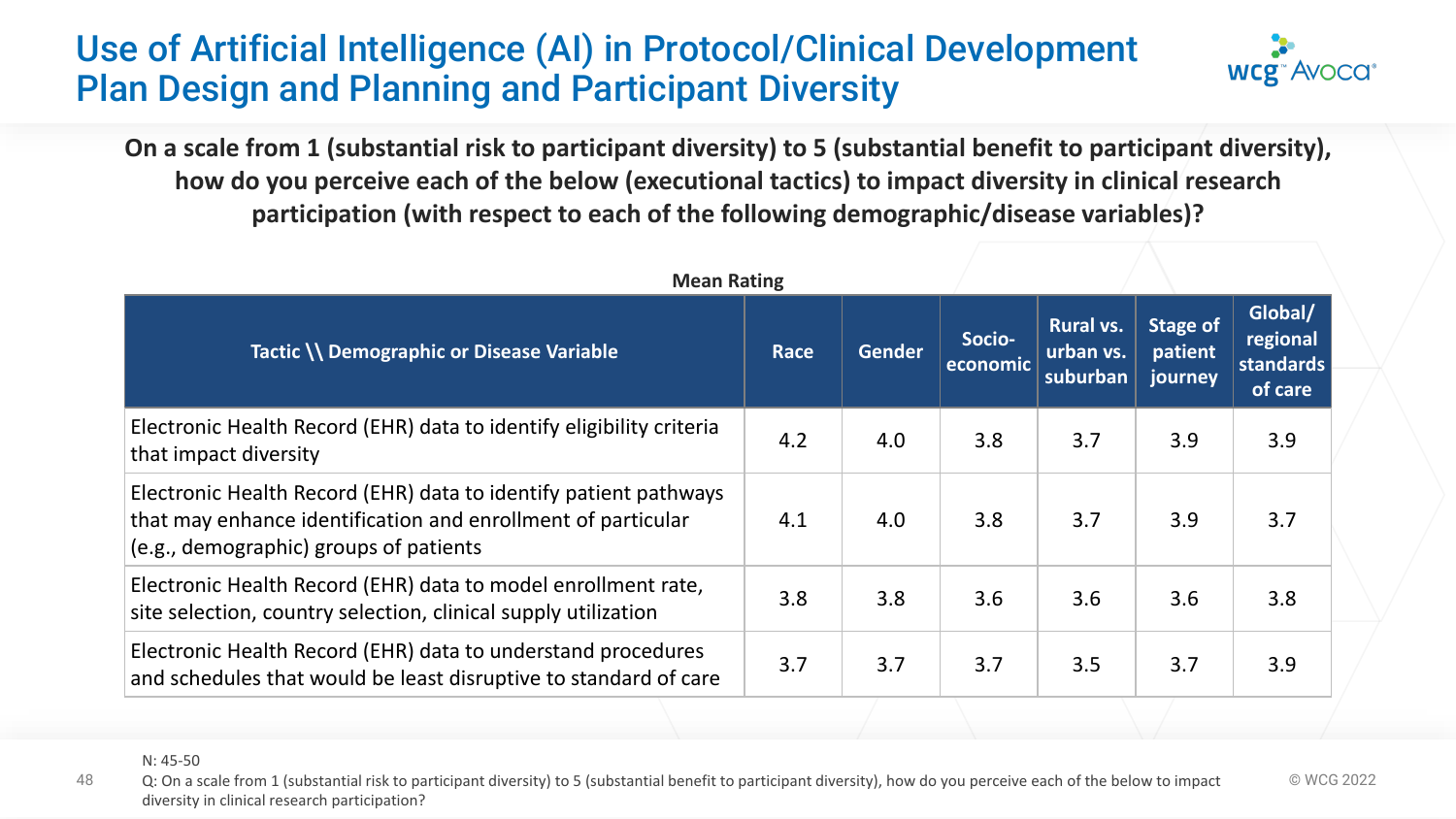# Use of Artificial Intelligence (AI) in Protocol/Clinical Development Plan Design and Planning and Participant Diversity



**On a scale from 1 (substantial risk to participant diversity) to 5 (substantial benefit to participant diversity), how do you perceive each of the below (executional tactics) to impact diversity in clinical research participation (with respect to each of the following demographic/disease variables)?**

| <b>Mean Rating</b>                                                                                                                                                         |             |               |                    |                                           |                                |                                             |
|----------------------------------------------------------------------------------------------------------------------------------------------------------------------------|-------------|---------------|--------------------|-------------------------------------------|--------------------------------|---------------------------------------------|
| Tactic \\ Demographic or Disease Variable                                                                                                                                  | <b>Race</b> | <b>Gender</b> | Socio-<br>economic | <b>Rural vs.</b><br>urban vs.<br>suburban | Stage of<br>patient<br>journey | Global/<br>regional<br>standards<br>of care |
| Electronic Health Record (EHR) data to identify eligibility criteria<br>that impact diversity                                                                              | 4.2         | 4.0           | 3.8                | 3.7                                       | 3.9                            | 3.9                                         |
| Electronic Health Record (EHR) data to identify patient pathways<br>that may enhance identification and enrollment of particular<br>(e.g., demographic) groups of patients | 4.1         | 4.0           | 3.8                | 3.7                                       | 3.9                            | 3.7                                         |
| Electronic Health Record (EHR) data to model enrollment rate,<br>site selection, country selection, clinical supply utilization                                            | 3.8         | 3.8           | 3.6                | 3.6                                       | 3.6                            | 3.8                                         |
| Electronic Health Record (EHR) data to understand procedures<br>and schedules that would be least disruptive to standard of care                                           | 3.7         | 3.7           | 3.7                | 3.5                                       | 3.7                            | 3.9                                         |

48 Q: On a scale from 1 (substantial risk to participant diversity) to 5 (substantial benefit to participant diversity), how do you perceive each of the below to impact © WCG 2022 diversity in clinical research participation?

N: 45-50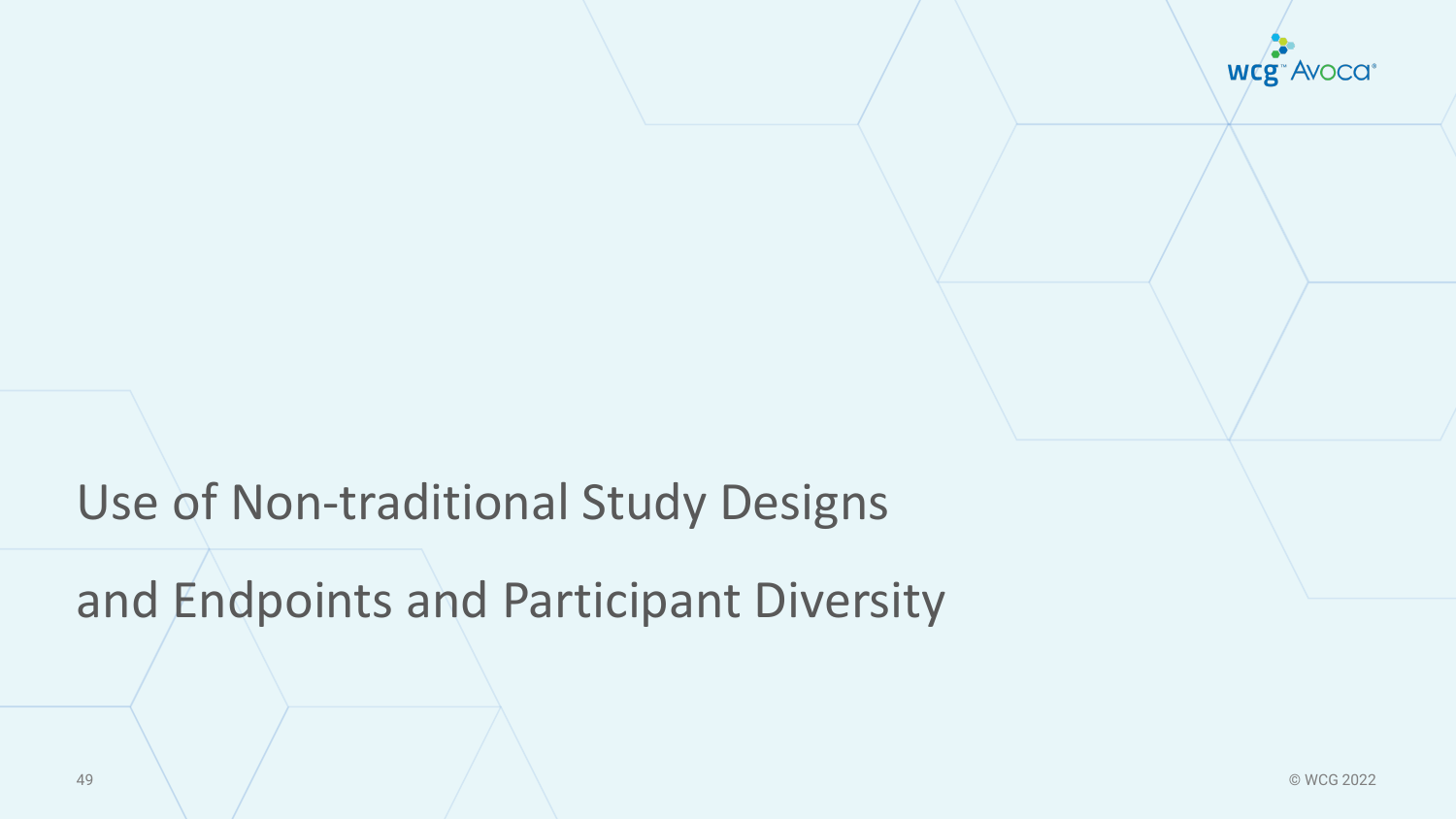**wcg**<sup>\*</sup> Avoca<sup>\*</sup>

# Use of Non-traditional Study Designs

and Endpoints and Participant Diversity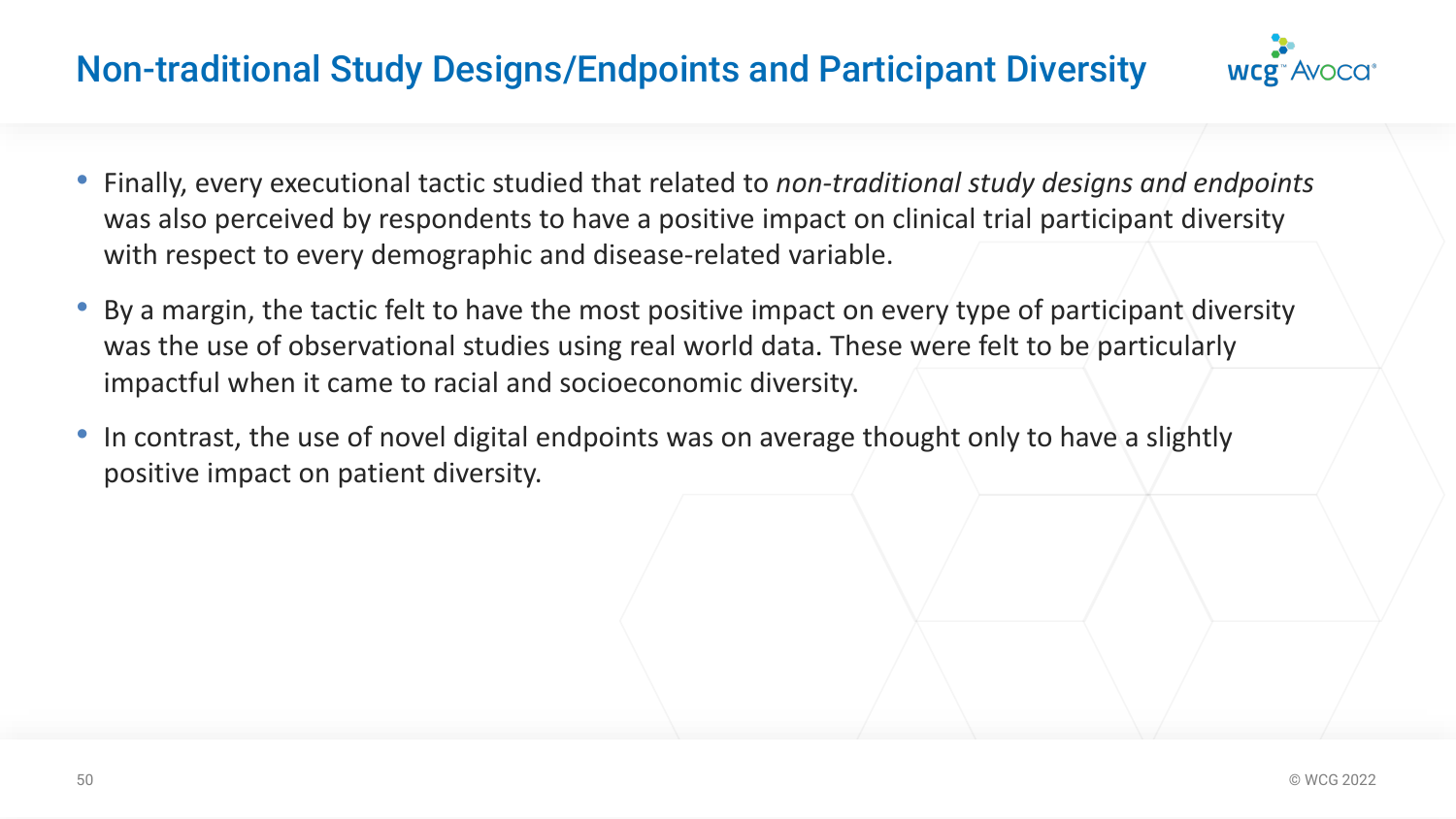# Non-traditional Study Designs/Endpoints and Participant Diversity



- Finally, every executional tactic studied that related to *non-traditional study designs and endpoints*  was also perceived by respondents to have a positive impact on clinical trial participant diversity with respect to every demographic and disease-related variable.
- By a margin, the tactic felt to have the most positive impact on every type of participant diversity was the use of observational studies using real world data. These were felt to be particularly impactful when it came to racial and socioeconomic diversity.
- In contrast, the use of novel digital endpoints was on average thought only to have a slightly positive impact on patient diversity.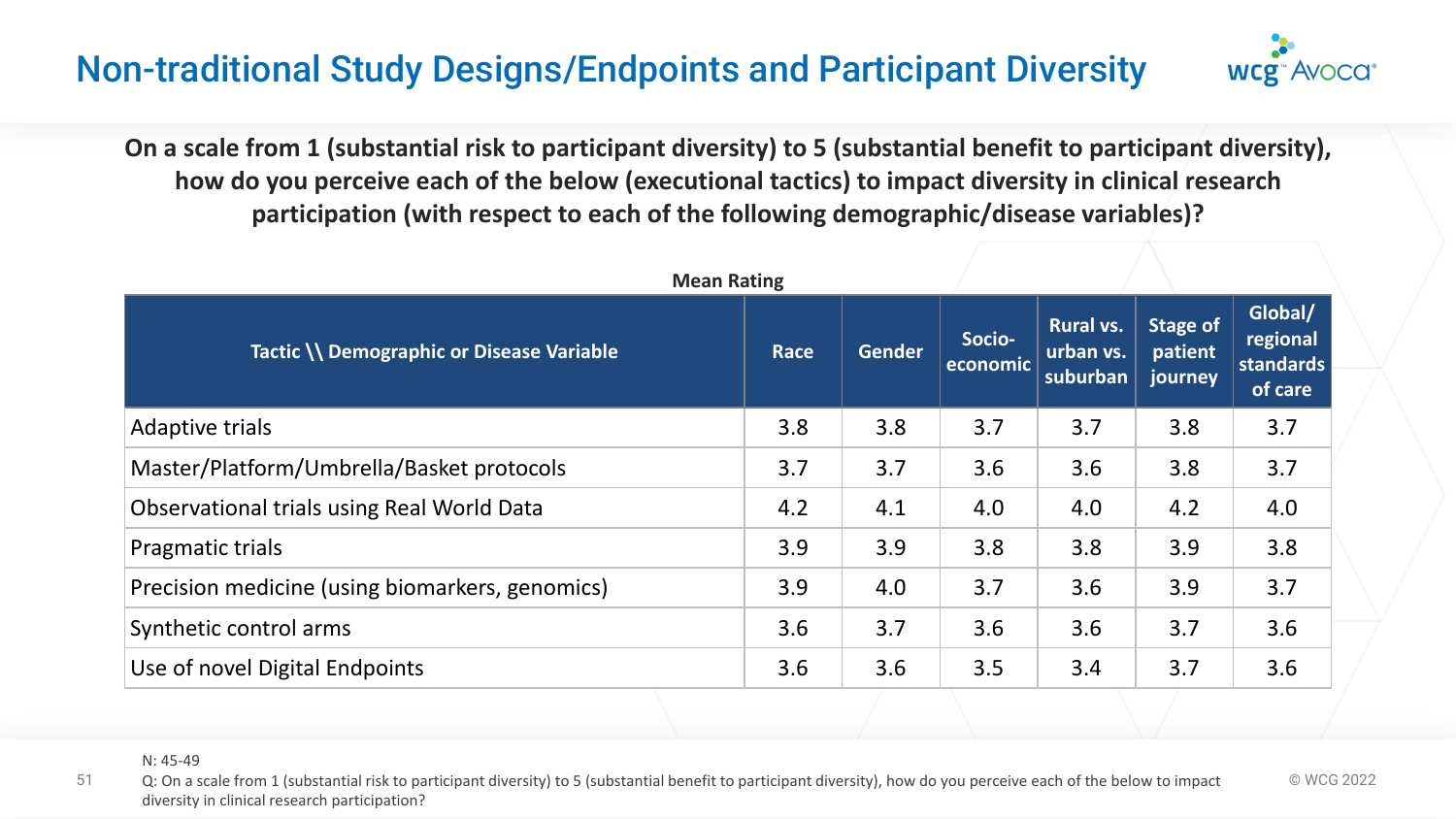# Non-traditional Study Designs/Endpoints and Participant Diversity

**On a scale from 1 (substantial risk to participant diversity) to 5 (substantial benefit to participant diversity), how do you perceive each of the below (executional tactics) to impact diversity in clinical research participation (with respect to each of the following demographic/disease variables)?**

**WCE** Avoca

| <b>Mean Rating</b>                              |             |               |                    |                                           |                                |                                             |
|-------------------------------------------------|-------------|---------------|--------------------|-------------------------------------------|--------------------------------|---------------------------------------------|
| Tactic \\ Demographic or Disease Variable       | <b>Race</b> | <b>Gender</b> | Socio-<br>economic | <b>Rural vs.</b><br>urban vs.<br>suburban | Stage of<br>patient<br>journey | Global/<br>regional<br>standards<br>of care |
| Adaptive trials                                 | 3.8         | 3.8           | 3.7                | 3.7                                       | 3.8                            | 3.7                                         |
| Master/Platform/Umbrella/Basket protocols       | 3.7         | 3.7           | 3.6                | 3.6                                       | 3.8                            | 3.7                                         |
| Observational trials using Real World Data      | 4.2         | 4.1           | 4.0                | 4.0                                       | 4.2                            | 4.0                                         |
| Pragmatic trials                                | 3.9         | 3.9           | 3.8                | 3.8                                       | 3.9                            | 3.8                                         |
| Precision medicine (using biomarkers, genomics) | 3.9         | 4.0           | 3.7                | 3.6                                       | 3.9                            | 3.7                                         |
| Synthetic control arms                          | 3.6         | 3.7           | 3.6                | 3.6                                       | 3.7                            | 3.6                                         |
| Use of novel Digital Endpoints                  | 3.6         | 3.6           | 3.5                | 3.4                                       | 3.7                            | 3.6                                         |

N: 45-49

<sup>51</sup> Q: On a scale from 1 (substantial risk to participant diversity) to 5 (substantial benefit to participant diversity), how do you perceive each of the below to impact © WCG 2022 diversity in clinical research participation?